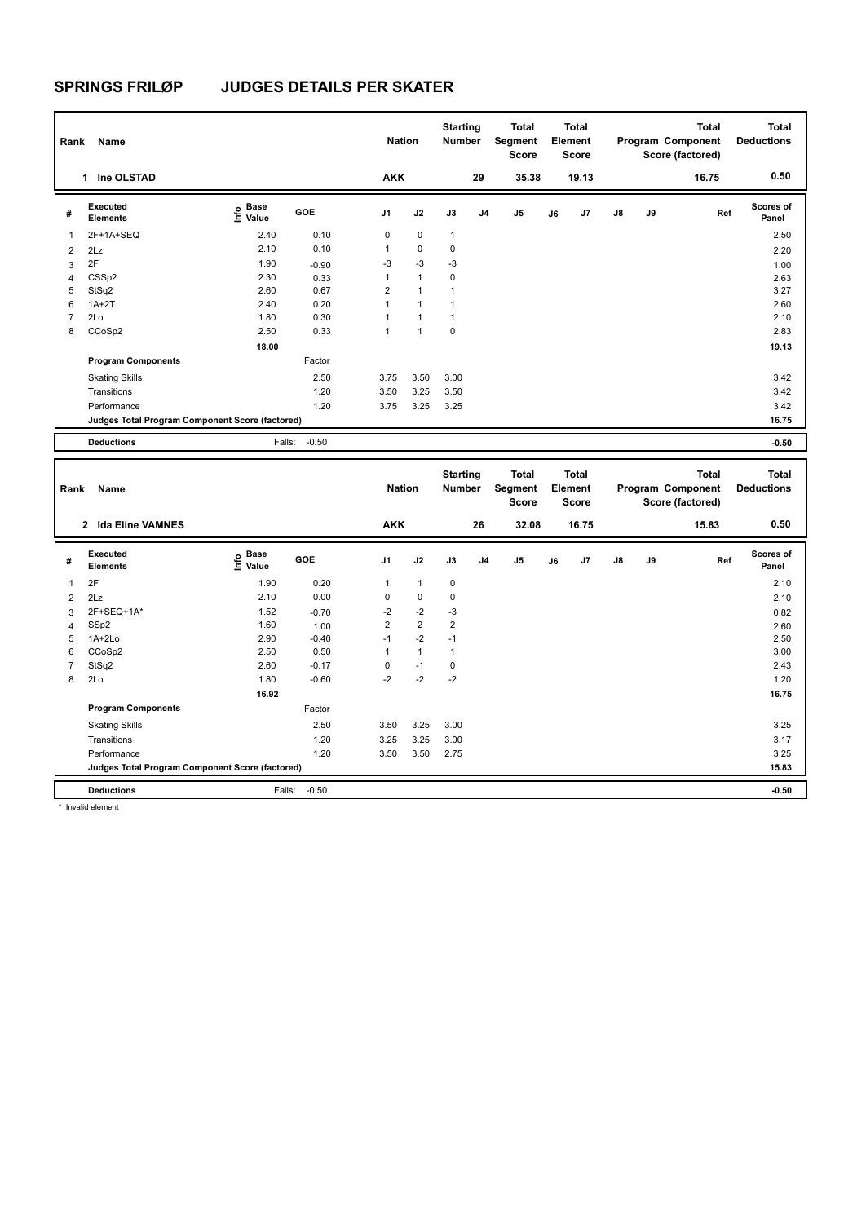| Rank           | Name<br>Ine OLSTAD<br>1                         |                                             |         |                | <b>Nation</b>  | <b>Starting</b><br><b>Number</b> |                | Total<br>Segment<br><b>Score</b> |    | <b>Total</b><br>Element<br><b>Score</b> |    |    | <b>Total</b><br>Program Component<br>Score (factored) | <b>Total</b><br><b>Deductions</b> |
|----------------|-------------------------------------------------|---------------------------------------------|---------|----------------|----------------|----------------------------------|----------------|----------------------------------|----|-----------------------------------------|----|----|-------------------------------------------------------|-----------------------------------|
|                |                                                 |                                             |         | <b>AKK</b>     |                |                                  | 29             | 35.38                            |    | 19.13                                   |    |    | 16.75                                                 | 0.50                              |
| #              | Executed<br><b>Elements</b>                     | <b>Base</b><br>e <sup>Base</sup><br>⊆ Value | GOE     | J1             | J2             | J3                               | J <sub>4</sub> | J <sub>5</sub>                   | J6 | J7                                      | J8 | J9 | Ref                                                   | Scores of<br>Panel                |
| 1              | 2F+1A+SEQ                                       | 2.40                                        | 0.10    | 0              | $\mathbf 0$    | $\mathbf{1}$                     |                |                                  |    |                                         |    |    |                                                       | 2.50                              |
| $\overline{2}$ | 2Lz                                             | 2.10                                        | 0.10    | 1              | $\pmb{0}$      | 0                                |                |                                  |    |                                         |    |    |                                                       | 2.20                              |
| 3              | 2F                                              | 1.90                                        | $-0.90$ | $-3$           | $-3$           | $-3$                             |                |                                  |    |                                         |    |    |                                                       | 1.00                              |
| 4              | CSS <sub>p2</sub>                               | 2.30                                        | 0.33    |                | $\mathbf{1}$   | 0                                |                |                                  |    |                                         |    |    |                                                       | 2.63                              |
| 5              | StSq2                                           | 2.60                                        | 0.67    | $\overline{2}$ | $\overline{1}$ | 1                                |                |                                  |    |                                         |    |    |                                                       | 3.27                              |
| 6              | $1A+2T$                                         | 2.40                                        | 0.20    |                | 1              | 1                                |                |                                  |    |                                         |    |    |                                                       | 2.60                              |
| $\overline{7}$ | 2Lo                                             | 1.80                                        | 0.30    |                | 1              | $\overline{1}$                   |                |                                  |    |                                         |    |    |                                                       | 2.10                              |
| 8              | CCoSp2                                          | 2.50                                        | 0.33    | 1              | 1              | 0                                |                |                                  |    |                                         |    |    |                                                       | 2.83                              |
|                |                                                 | 18.00                                       |         |                |                |                                  |                |                                  |    |                                         |    |    |                                                       | 19.13                             |
|                | <b>Program Components</b>                       |                                             | Factor  |                |                |                                  |                |                                  |    |                                         |    |    |                                                       |                                   |
|                | <b>Skating Skills</b>                           |                                             | 2.50    | 3.75           | 3.50           | 3.00                             |                |                                  |    |                                         |    |    |                                                       | 3.42                              |
|                | Transitions                                     |                                             | 1.20    | 3.50           | 3.25           | 3.50                             |                |                                  |    |                                         |    |    |                                                       | 3.42                              |
|                | Performance                                     |                                             | 1.20    | 3.75           | 3.25           | 3.25                             |                |                                  |    |                                         |    |    |                                                       | 3.42                              |
|                | Judges Total Program Component Score (factored) |                                             |         |                |                |                                  |                |                                  |    |                                         |    |    |                                                       | 16.75                             |
|                | <b>Deductions</b>                               | Falls:                                      | $-0.50$ |                |                |                                  |                |                                  |    |                                         |    |    |                                                       | $-0.50$                           |

| Rank           | Name                                            |                                  |            | <b>Nation</b>  |                | <b>Starting</b><br><b>Number</b> |                | Total<br>Segment<br><b>Score</b> |    | <b>Total</b><br>Element<br><b>Score</b> |               |    | <b>Total</b><br>Program Component<br>Score (factored) | <b>Total</b><br><b>Deductions</b> |
|----------------|-------------------------------------------------|----------------------------------|------------|----------------|----------------|----------------------------------|----------------|----------------------------------|----|-----------------------------------------|---------------|----|-------------------------------------------------------|-----------------------------------|
|                | <b>Ida Eline VAMNES</b><br>$\mathbf{2}$         |                                  |            | <b>AKK</b>     |                |                                  | 26             | 32.08                            |    | 16.75                                   |               |    | 15.83                                                 | 0.50                              |
| #              | Executed<br><b>Elements</b>                     | <b>Base</b><br>e Base<br>E Value | <b>GOE</b> | J <sub>1</sub> | J2             | J3                               | J <sub>4</sub> | J <sub>5</sub>                   | J6 | J7                                      | $\mathsf{J}8$ | J9 | Ref                                                   | Scores of<br>Panel                |
|                | 2F                                              | 1.90                             | 0.20       | 1              | $\overline{1}$ | $\mathbf 0$                      |                |                                  |    |                                         |               |    |                                                       | 2.10                              |
| $\overline{2}$ | 2Lz                                             | 2.10                             | 0.00       | 0              | 0              | 0                                |                |                                  |    |                                         |               |    |                                                       | 2.10                              |
| 3              | 2F+SEQ+1A*                                      | 1.52                             | $-0.70$    | $-2$           | $-2$           | -3                               |                |                                  |    |                                         |               |    |                                                       | 0.82                              |
| $\overline{4}$ | SSp2                                            | 1.60                             | 1.00       | $\overline{2}$ | $\overline{2}$ | $\overline{2}$                   |                |                                  |    |                                         |               |    |                                                       | 2.60                              |
| 5              | $1A+2Lo$                                        | 2.90                             | $-0.40$    | $-1$           | $-2$           | $-1$                             |                |                                  |    |                                         |               |    |                                                       | 2.50                              |
| 6              | CCoSp2                                          | 2.50                             | 0.50       | 1              | 1              | $\mathbf{1}$                     |                |                                  |    |                                         |               |    |                                                       | 3.00                              |
|                | StSq2                                           | 2.60                             | $-0.17$    | 0              | $-1$           | 0                                |                |                                  |    |                                         |               |    |                                                       | 2.43                              |
| 8              | 2Lo                                             | 1.80                             | $-0.60$    | $-2$           | $-2$           | $-2$                             |                |                                  |    |                                         |               |    |                                                       | 1.20                              |
|                |                                                 | 16.92                            |            |                |                |                                  |                |                                  |    |                                         |               |    |                                                       | 16.75                             |
|                | <b>Program Components</b>                       |                                  | Factor     |                |                |                                  |                |                                  |    |                                         |               |    |                                                       |                                   |
|                | <b>Skating Skills</b>                           |                                  | 2.50       | 3.50           | 3.25           | 3.00                             |                |                                  |    |                                         |               |    |                                                       | 3.25                              |
|                | Transitions                                     |                                  | 1.20       | 3.25           | 3.25           | 3.00                             |                |                                  |    |                                         |               |    |                                                       | 3.17                              |
|                | Performance                                     |                                  | 1.20       | 3.50           | 3.50           | 2.75                             |                |                                  |    |                                         |               |    |                                                       | 3.25                              |
|                | Judges Total Program Component Score (factored) |                                  |            |                |                |                                  |                |                                  |    |                                         |               |    |                                                       | 15.83                             |
|                | <b>Deductions</b>                               | Falls:                           | $-0.50$    |                |                |                                  |                |                                  |    |                                         |               |    |                                                       | $-0.50$                           |

\* Invalid element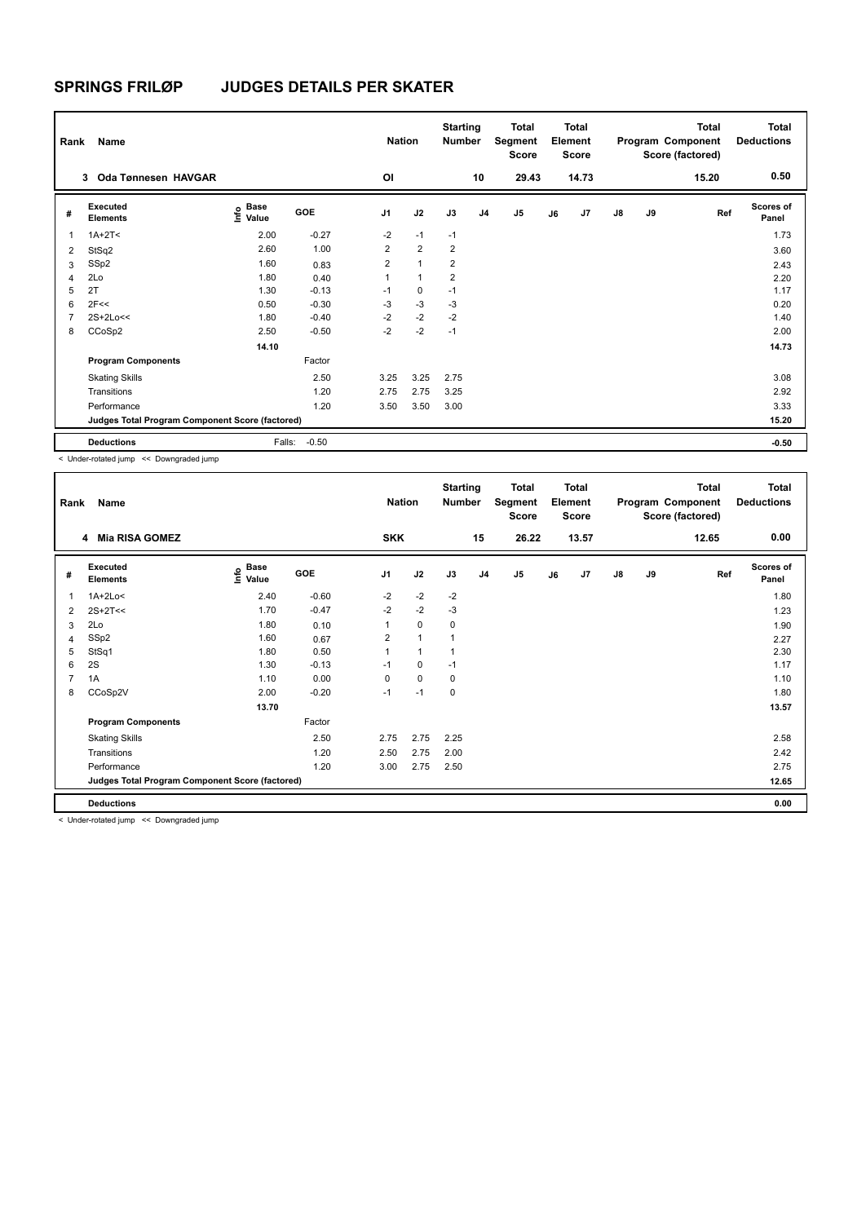| Rank           | Name                                            |                           |            | <b>Nation</b>  |                | <b>Starting</b><br><b>Number</b> |                | <b>Total</b><br>Segment<br><b>Score</b> |    | <b>Total</b><br>Element<br><b>Score</b> |               |    | <b>Total</b><br>Program Component<br>Score (factored) | <b>Total</b><br><b>Deductions</b> |
|----------------|-------------------------------------------------|---------------------------|------------|----------------|----------------|----------------------------------|----------------|-----------------------------------------|----|-----------------------------------------|---------------|----|-------------------------------------------------------|-----------------------------------|
|                | Oda Tønnesen HAVGAR<br>3                        |                           |            | ΟI             |                |                                  | 10             | 29.43                                   |    | 14.73                                   |               |    | 15.20                                                 | 0.50                              |
| #              | Executed<br><b>Elements</b>                     | Base<br>e Base<br>⊆ Value | <b>GOE</b> | J <sub>1</sub> | J2             | J3                               | J <sub>4</sub> | J <sub>5</sub>                          | J6 | J7                                      | $\mathsf{J}8$ | J9 | Ref                                                   | <b>Scores of</b><br>Panel         |
| 1              | $1A+2T<$                                        | 2.00                      | $-0.27$    | $-2$           | $-1$           | $-1$                             |                |                                         |    |                                         |               |    |                                                       | 1.73                              |
| 2              | StSq2                                           | 2.60                      | 1.00       | $\overline{2}$ | 2              | $\overline{2}$                   |                |                                         |    |                                         |               |    |                                                       | 3.60                              |
| 3              | SSp2                                            | 1.60                      | 0.83       | $\overline{2}$ | $\overline{1}$ | $\overline{2}$                   |                |                                         |    |                                         |               |    |                                                       | 2.43                              |
| $\overline{4}$ | 2Lo                                             | 1.80                      | 0.40       | 1              | $\overline{1}$ | $\overline{2}$                   |                |                                         |    |                                         |               |    |                                                       | 2.20                              |
| 5              | 2T                                              | 1.30                      | $-0.13$    | $-1$           | $\mathbf 0$    | $-1$                             |                |                                         |    |                                         |               |    |                                                       | 1.17                              |
| 6              | 2F<<                                            | 0.50                      | $-0.30$    | $-3$           | $-3$           | $-3$                             |                |                                         |    |                                         |               |    |                                                       | 0.20                              |
| 7              | 2S+2Lo<<                                        | 1.80                      | $-0.40$    | $-2$           | $-2$           | $-2$                             |                |                                         |    |                                         |               |    |                                                       | 1.40                              |
| 8              | CCoSp2                                          | 2.50                      | $-0.50$    | $-2$           | $-2$           | $-1$                             |                |                                         |    |                                         |               |    |                                                       | 2.00                              |
|                |                                                 | 14.10                     |            |                |                |                                  |                |                                         |    |                                         |               |    |                                                       | 14.73                             |
|                | <b>Program Components</b>                       |                           | Factor     |                |                |                                  |                |                                         |    |                                         |               |    |                                                       |                                   |
|                | <b>Skating Skills</b>                           |                           | 2.50       | 3.25           | 3.25           | 2.75                             |                |                                         |    |                                         |               |    |                                                       | 3.08                              |
|                | Transitions                                     |                           | 1.20       | 2.75           | 2.75           | 3.25                             |                |                                         |    |                                         |               |    |                                                       | 2.92                              |
|                | Performance                                     |                           | 1.20       | 3.50           | 3.50           | 3.00                             |                |                                         |    |                                         |               |    |                                                       | 3.33                              |
|                | Judges Total Program Component Score (factored) |                           |            |                |                |                                  |                |                                         |    |                                         |               |    |                                                       | 15.20                             |
|                | <b>Deductions</b>                               | Falls:                    | $-0.50$    |                |                |                                  |                |                                         |    |                                         |               |    |                                                       | $-0.50$                           |

< Under-rotated jump << Downgraded jump

| Rank           | Name<br><b>Mia RISA GOMEZ</b><br>4              |                                           |         |                | <b>Nation</b> | <b>Starting</b><br><b>Number</b> |                | <b>Total</b><br>Segment<br><b>Score</b> |    | <b>Total</b><br>Element<br><b>Score</b> |               |    | <b>Total</b><br>Program Component<br>Score (factored) | Total<br><b>Deductions</b> |
|----------------|-------------------------------------------------|-------------------------------------------|---------|----------------|---------------|----------------------------------|----------------|-----------------------------------------|----|-----------------------------------------|---------------|----|-------------------------------------------------------|----------------------------|
|                |                                                 |                                           |         | <b>SKK</b>     |               |                                  | 15             | 26.22                                   |    | 13.57                                   |               |    | 12.65                                                 | 0.00                       |
| #              | <b>Executed</b><br><b>Elements</b>              | $\frac{e}{E}$ Base<br>$\frac{E}{E}$ Value | GOE     | J <sub>1</sub> | J2            | J3                               | J <sub>4</sub> | J5                                      | J6 | J7                                      | $\mathsf{J}8$ | J9 | Ref                                                   | <b>Scores of</b><br>Panel  |
| 1              | $1A+2Lo<$                                       | 2.40                                      | $-0.60$ | $-2$           | $-2$          | $-2$                             |                |                                         |    |                                         |               |    |                                                       | 1.80                       |
| $\overline{2}$ | $2S+2T<<$                                       | 1.70                                      | $-0.47$ | $-2$           | $-2$          | $-3$                             |                |                                         |    |                                         |               |    |                                                       | 1.23                       |
| 3              | 2Lo                                             | 1.80                                      | 0.10    | 1              | $\mathbf 0$   | 0                                |                |                                         |    |                                         |               |    |                                                       | 1.90                       |
| 4              | SSp2                                            | 1.60                                      | 0.67    | 2              | $\mathbf{1}$  |                                  |                |                                         |    |                                         |               |    |                                                       | 2.27                       |
| 5              | StSq1                                           | 1.80                                      | 0.50    |                | $\mathbf{1}$  |                                  |                |                                         |    |                                         |               |    |                                                       | 2.30                       |
| 6              | 2S                                              | 1.30                                      | $-0.13$ | $-1$           | 0             | $-1$                             |                |                                         |    |                                         |               |    |                                                       | 1.17                       |
| $\overline{7}$ | 1A                                              | 1.10                                      | 0.00    | $\Omega$       | $\Omega$      | 0                                |                |                                         |    |                                         |               |    |                                                       | 1.10                       |
| 8              | CCoSp2V                                         | 2.00                                      | $-0.20$ | $-1$           | $-1$          | 0                                |                |                                         |    |                                         |               |    |                                                       | 1.80                       |
|                |                                                 | 13.70                                     |         |                |               |                                  |                |                                         |    |                                         |               |    |                                                       | 13.57                      |
|                | <b>Program Components</b>                       |                                           | Factor  |                |               |                                  |                |                                         |    |                                         |               |    |                                                       |                            |
|                | <b>Skating Skills</b>                           |                                           | 2.50    | 2.75           | 2.75          | 2.25                             |                |                                         |    |                                         |               |    |                                                       | 2.58                       |
|                | Transitions                                     |                                           | 1.20    | 2.50           | 2.75          | 2.00                             |                |                                         |    |                                         |               |    |                                                       | 2.42                       |
|                | Performance                                     |                                           | 1.20    | 3.00           | 2.75          | 2.50                             |                |                                         |    |                                         |               |    |                                                       | 2.75                       |
|                | Judges Total Program Component Score (factored) |                                           |         |                |               |                                  |                |                                         |    |                                         |               |    |                                                       | 12.65                      |
|                | <b>Deductions</b>                               |                                           |         |                |               |                                  |                |                                         |    |                                         |               |    |                                                       | 0.00                       |

< Under-rotated jump << Downgraded jump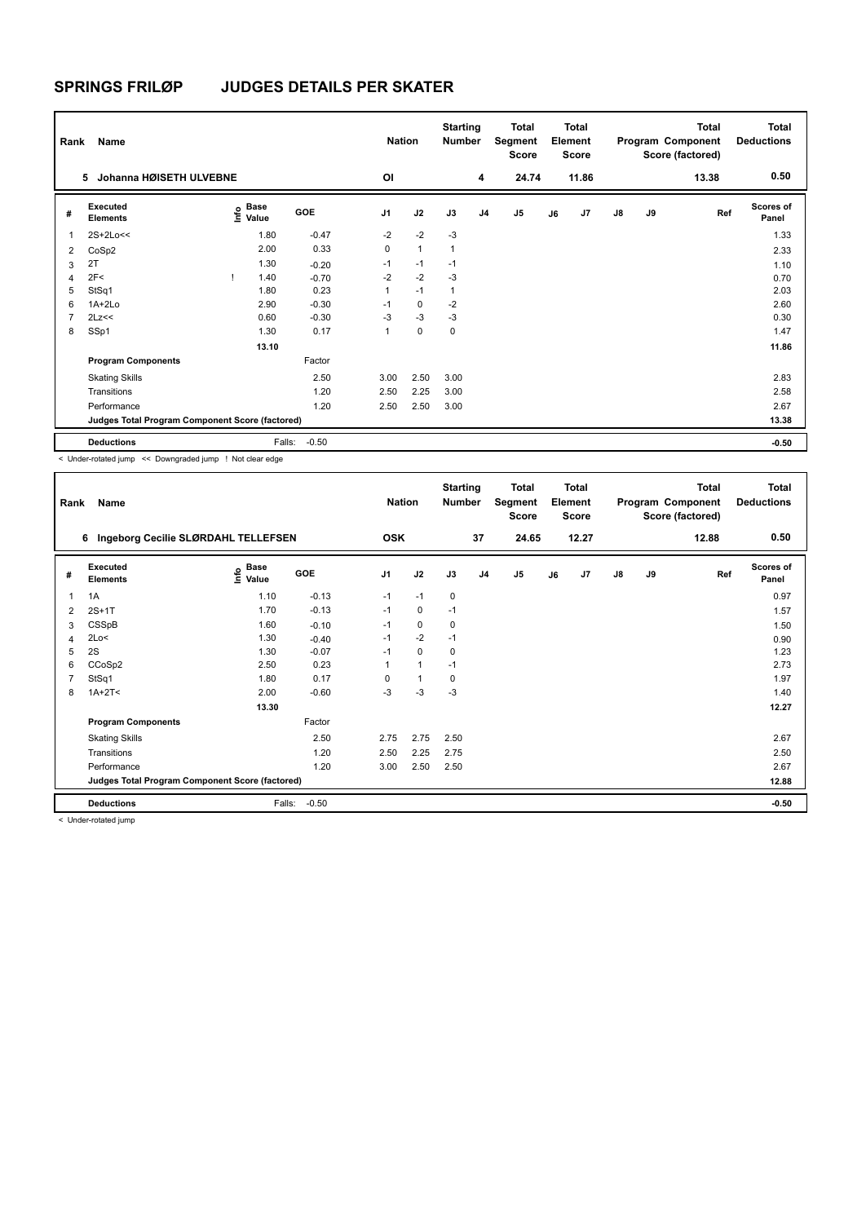| Rank           | Name                                            |                                             |         | <b>Nation</b>  |                | <b>Starting</b><br><b>Number</b> |                | <b>Total</b><br>Segment<br><b>Score</b> |    | <b>Total</b><br>Element<br><b>Score</b> |               |    | <b>Total</b><br>Program Component<br>Score (factored) | <b>Total</b><br><b>Deductions</b> |
|----------------|-------------------------------------------------|---------------------------------------------|---------|----------------|----------------|----------------------------------|----------------|-----------------------------------------|----|-----------------------------------------|---------------|----|-------------------------------------------------------|-----------------------------------|
|                | Johanna HØISETH ULVEBNE<br>5                    |                                             |         | OI             |                |                                  | 4              | 24.74                                   |    | 11.86                                   |               |    | 13.38                                                 | 0.50                              |
| #              | Executed<br><b>Elements</b>                     | <b>Base</b><br>e <sup>Base</sup><br>⊆ Value | GOE     | J <sub>1</sub> | J2             | J3                               | J <sub>4</sub> | J <sub>5</sub>                          | J6 | J7                                      | $\mathsf{J}8$ | J9 | Ref                                                   | <b>Scores of</b><br>Panel         |
| 1              | 2S+2Lo<<                                        | 1.80                                        | $-0.47$ | $-2$           | $-2$           | $-3$                             |                |                                         |    |                                         |               |    |                                                       | 1.33                              |
| 2              | CoSp2                                           | 2.00                                        | 0.33    | 0              | $\overline{1}$ | $\overline{1}$                   |                |                                         |    |                                         |               |    |                                                       | 2.33                              |
| 3              | 2T                                              | 1.30                                        | $-0.20$ | $-1$           | $-1$           | $-1$                             |                |                                         |    |                                         |               |    |                                                       | 1.10                              |
| $\overline{4}$ | 2F<                                             | 1.40                                        | $-0.70$ | $-2$           | $-2$           | $-3$                             |                |                                         |    |                                         |               |    |                                                       | 0.70                              |
| 5              | StSq1                                           | 1.80                                        | 0.23    | 1              | $-1$           | $\overline{1}$                   |                |                                         |    |                                         |               |    |                                                       | 2.03                              |
| 6              | $1A+2Lo$                                        | 2.90                                        | $-0.30$ | $-1$           | $\mathbf 0$    | $-2$                             |                |                                         |    |                                         |               |    |                                                       | 2.60                              |
| 7              | 2Lz<<                                           | 0.60                                        | $-0.30$ | $-3$           | $-3$           | $-3$                             |                |                                         |    |                                         |               |    |                                                       | 0.30                              |
| 8              | SSp1                                            | 1.30                                        | 0.17    | 1              | $\mathbf 0$    | 0                                |                |                                         |    |                                         |               |    |                                                       | 1.47                              |
|                |                                                 | 13.10                                       |         |                |                |                                  |                |                                         |    |                                         |               |    |                                                       | 11.86                             |
|                | <b>Program Components</b>                       |                                             | Factor  |                |                |                                  |                |                                         |    |                                         |               |    |                                                       |                                   |
|                | <b>Skating Skills</b>                           |                                             | 2.50    | 3.00           | 2.50           | 3.00                             |                |                                         |    |                                         |               |    |                                                       | 2.83                              |
|                | Transitions                                     |                                             | 1.20    | 2.50           | 2.25           | 3.00                             |                |                                         |    |                                         |               |    |                                                       | 2.58                              |
|                | Performance                                     |                                             | 1.20    | 2.50           | 2.50           | 3.00                             |                |                                         |    |                                         |               |    |                                                       | 2.67                              |
|                | Judges Total Program Component Score (factored) |                                             |         |                |                |                                  |                |                                         |    |                                         |               |    |                                                       | 13.38                             |
|                | <b>Deductions</b>                               | Falls:                                      | $-0.50$ |                |                |                                  |                |                                         |    |                                         |               |    |                                                       | $-0.50$                           |

< Under-rotated jump << Downgraded jump ! Not clear edge

| Rank | Name                                            |                                  |         | <b>Nation</b>  |                | <b>Starting</b><br>Number |                | Total<br>Segment<br>Score |    | <b>Total</b><br>Element<br><b>Score</b> |               |    | <b>Total</b><br>Program Component<br>Score (factored) | <b>Total</b><br><b>Deductions</b> |
|------|-------------------------------------------------|----------------------------------|---------|----------------|----------------|---------------------------|----------------|---------------------------|----|-----------------------------------------|---------------|----|-------------------------------------------------------|-----------------------------------|
|      | 6 Ingeborg Cecilie SLØRDAHL TELLEFSEN           |                                  |         | <b>OSK</b>     |                |                           | 37             | 24.65                     |    | 12.27                                   |               |    | 12.88                                                 | 0.50                              |
| #    | Executed<br><b>Elements</b>                     | <b>Base</b><br>e Base<br>⊆ Value | GOE     | J <sub>1</sub> | J2             | J3                        | J <sub>4</sub> | J5                        | J6 | J7                                      | $\mathsf{J}8$ | J9 | Ref                                                   | <b>Scores of</b><br>Panel         |
| 1    | 1A                                              | 1.10                             | $-0.13$ | $-1$           | $-1$           | 0                         |                |                           |    |                                         |               |    |                                                       | 0.97                              |
| 2    | $2S+1T$                                         | 1.70                             | $-0.13$ | $-1$           | 0              | $-1$                      |                |                           |    |                                         |               |    |                                                       | 1.57                              |
| 3    | CSSpB                                           | 1.60                             | $-0.10$ | $-1$           | 0              | 0                         |                |                           |    |                                         |               |    |                                                       | 1.50                              |
| 4    | 2Lo<                                            | 1.30                             | $-0.40$ | $-1$           | $-2$           | $-1$                      |                |                           |    |                                         |               |    |                                                       | 0.90                              |
| 5    | 2S                                              | 1.30                             | $-0.07$ | $-1$           | 0              | 0                         |                |                           |    |                                         |               |    |                                                       | 1.23                              |
| 6    | CCoSp2                                          | 2.50                             | 0.23    |                | $\overline{1}$ | $-1$                      |                |                           |    |                                         |               |    |                                                       | 2.73                              |
|      | StSq1                                           | 1.80                             | 0.17    | $\Omega$       |                | 0                         |                |                           |    |                                         |               |    |                                                       | 1.97                              |
| 8    | $1A+2T2$                                        | 2.00                             | $-0.60$ | $-3$           | $-3$           | $-3$                      |                |                           |    |                                         |               |    |                                                       | 1.40                              |
|      |                                                 | 13.30                            |         |                |                |                           |                |                           |    |                                         |               |    |                                                       | 12.27                             |
|      | <b>Program Components</b>                       |                                  | Factor  |                |                |                           |                |                           |    |                                         |               |    |                                                       |                                   |
|      | <b>Skating Skills</b>                           |                                  | 2.50    | 2.75           | 2.75           | 2.50                      |                |                           |    |                                         |               |    |                                                       | 2.67                              |
|      | Transitions                                     |                                  | 1.20    | 2.50           | 2.25           | 2.75                      |                |                           |    |                                         |               |    |                                                       | 2.50                              |
|      | Performance                                     |                                  | 1.20    | 3.00           | 2.50           | 2.50                      |                |                           |    |                                         |               |    |                                                       | 2.67                              |
|      | Judges Total Program Component Score (factored) |                                  |         |                |                |                           |                |                           |    |                                         |               |    |                                                       | 12.88                             |
|      | <b>Deductions</b>                               | Falls:                           | $-0.50$ |                |                |                           |                |                           |    |                                         |               |    |                                                       | $-0.50$                           |
|      | to all the others are devided to the con-       |                                  |         |                |                |                           |                |                           |    |                                         |               |    |                                                       |                                   |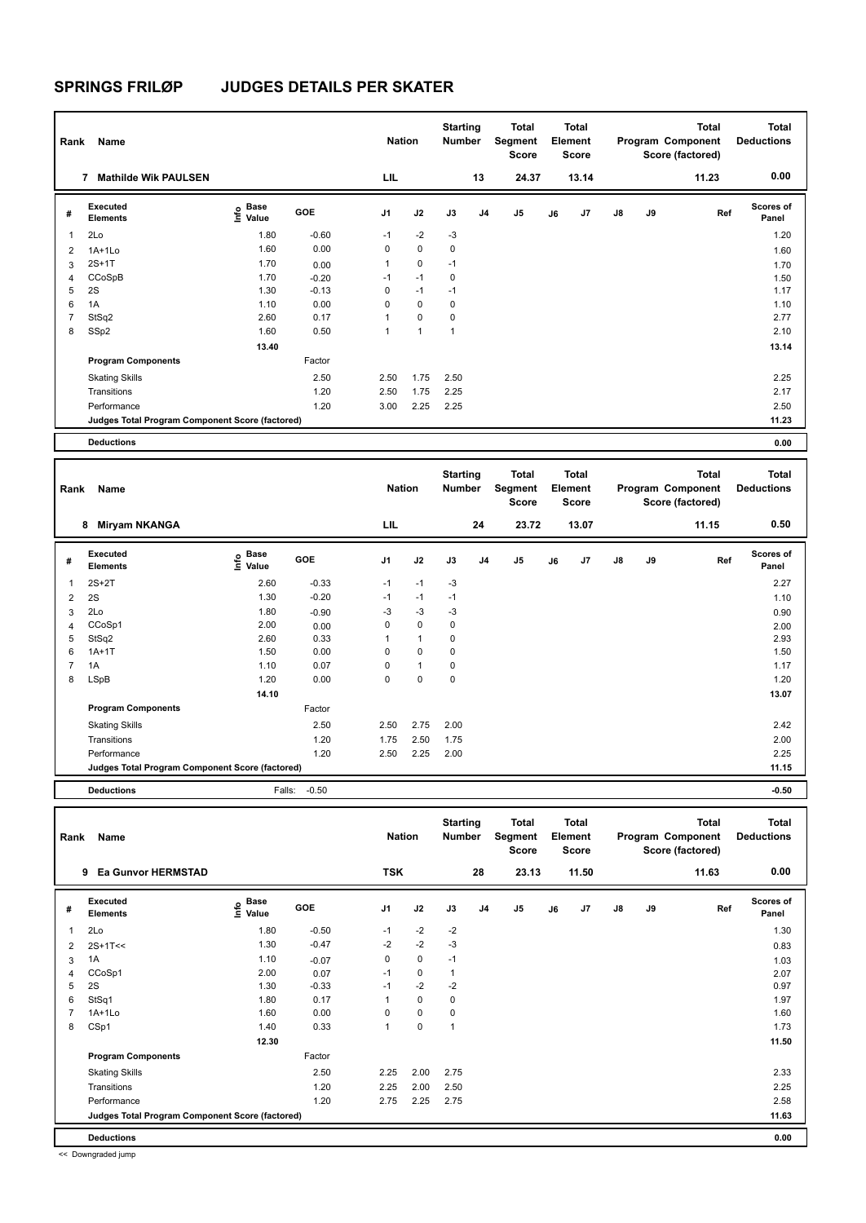| Rank           | Name                                            |                           |            | <b>Nation</b>  |              | <b>Starting</b><br><b>Number</b> |                | Total<br>Segment<br><b>Score</b> |    | Total<br>Element<br><b>Score</b> |               |    | <b>Total</b><br>Program Component<br>Score (factored) | <b>Total</b><br><b>Deductions</b> |
|----------------|-------------------------------------------------|---------------------------|------------|----------------|--------------|----------------------------------|----------------|----------------------------------|----|----------------------------------|---------------|----|-------------------------------------------------------|-----------------------------------|
|                | <b>Mathilde Wik PAULSEN</b><br>7                |                           |            | LIL            |              |                                  | 13             | 24.37                            |    | 13.14                            |               |    | 11.23                                                 | 0.00                              |
| #              | Executed<br><b>Elements</b>                     | Base<br>e Base<br>⊆ Value | <b>GOE</b> | J <sub>1</sub> | J2           | J3                               | J <sub>4</sub> | J5                               | J6 | J <sub>7</sub>                   | $\mathsf{J}8$ | J9 | Ref                                                   | <b>Scores of</b><br>Panel         |
| 1              | 2Lo                                             | 1.80                      | $-0.60$    | $-1$           | $-2$         | $-3$                             |                |                                  |    |                                  |               |    |                                                       | 1.20                              |
| $\overline{2}$ | $1A+1Lo$                                        | 1.60                      | 0.00       | $\mathbf 0$    | $\mathbf 0$  | $\mathbf 0$                      |                |                                  |    |                                  |               |    |                                                       | 1.60                              |
| 3              | $2S+1T$                                         | 1.70                      | 0.00       | 1              | $\mathbf 0$  | $-1$                             |                |                                  |    |                                  |               |    |                                                       | 1.70                              |
| $\overline{4}$ | CCoSpB                                          | 1.70                      | $-0.20$    | $-1$           | $-1$         | $\mathbf 0$                      |                |                                  |    |                                  |               |    |                                                       | 1.50                              |
| 5              | 2S                                              | 1.30                      | $-0.13$    | $\mathbf 0$    | $-1$         | $-1$                             |                |                                  |    |                                  |               |    |                                                       | 1.17                              |
| 6              | 1A                                              | 1.10                      | 0.00       | $\mathbf 0$    | $\mathbf 0$  | $\mathbf 0$                      |                |                                  |    |                                  |               |    |                                                       | 1.10                              |
| $\overline{7}$ | StSq2                                           | 2.60                      | 0.17       | 1              | $\mathbf 0$  | 0                                |                |                                  |    |                                  |               |    |                                                       | 2.77                              |
| 8              | SSp2                                            | 1.60                      | 0.50       | 1              | $\mathbf{1}$ | $\mathbf{1}$                     |                |                                  |    |                                  |               |    |                                                       | 2.10                              |
|                |                                                 | 13.40                     |            |                |              |                                  |                |                                  |    |                                  |               |    |                                                       | 13.14                             |
|                | <b>Program Components</b>                       |                           | Factor     |                |              |                                  |                |                                  |    |                                  |               |    |                                                       |                                   |
|                | <b>Skating Skills</b>                           |                           | 2.50       | 2.50           | 1.75         | 2.50                             |                |                                  |    |                                  |               |    |                                                       | 2.25                              |
|                | Transitions                                     |                           | 1.20       | 2.50           | 1.75         | 2.25                             |                |                                  |    |                                  |               |    |                                                       | 2.17                              |
|                | Performance                                     |                           | 1.20       | 3.00           | 2.25         | 2.25                             |                |                                  |    |                                  |               |    |                                                       | 2.50                              |
|                | Judges Total Program Component Score (factored) |                           |            |                |              |                                  |                |                                  |    |                                  |               |    |                                                       | 11.23                             |
|                | <b>Deductions</b>                               |                           |            |                |              |                                  |                |                                  |    |                                  |               |    |                                                       | 0.00                              |

| Rank           | Name                                            |                                       |            | <b>Nation</b>  |              | <b>Starting</b><br><b>Number</b> |                | Total<br>Segment<br><b>Score</b> |    | Total<br>Element<br>Score |               |    | <b>Total</b><br>Program Component<br>Score (factored) | Total<br><b>Deductions</b> |
|----------------|-------------------------------------------------|---------------------------------------|------------|----------------|--------------|----------------------------------|----------------|----------------------------------|----|---------------------------|---------------|----|-------------------------------------------------------|----------------------------|
|                | <b>Miryam NKANGA</b><br>8                       |                                       |            | LIL            |              |                                  | 24             | 23.72                            |    | 13.07                     |               |    | 11.15                                                 | 0.50                       |
| #              | Executed<br><b>Elements</b>                     | <b>Base</b><br>$\sum_{i=1}^{6}$ Value | <b>GOE</b> | J <sub>1</sub> | J2           | J3                               | J <sub>4</sub> | J5                               | J6 | J7                        | $\mathsf{J}8$ | J9 | Ref                                                   | <b>Scores of</b><br>Panel  |
| 1              | $2S+2T$                                         | 2.60                                  | $-0.33$    | $-1$           | $-1$         | $-3$                             |                |                                  |    |                           |               |    |                                                       | 2.27                       |
| 2              | 2S                                              | 1.30                                  | $-0.20$    | $-1$           | $-1$         | $-1$                             |                |                                  |    |                           |               |    |                                                       | 1.10                       |
| 3              | 2Lo                                             | 1.80                                  | $-0.90$    | $-3$           | $-3$         | $-3$                             |                |                                  |    |                           |               |    |                                                       | 0.90                       |
| $\overline{4}$ | CCoSp1                                          | 2.00                                  | 0.00       | 0              | $\mathbf 0$  | 0                                |                |                                  |    |                           |               |    |                                                       | 2.00                       |
| 5              | StSq2                                           | 2.60                                  | 0.33       |                | 1            | 0                                |                |                                  |    |                           |               |    |                                                       | 2.93                       |
| 6              | $1A+1T$                                         | 1.50                                  | 0.00       | 0              | 0            | 0                                |                |                                  |    |                           |               |    |                                                       | 1.50                       |
| $\overline{7}$ | 1A                                              | 1.10                                  | 0.07       | 0              | $\mathbf{1}$ | 0                                |                |                                  |    |                           |               |    |                                                       | 1.17                       |
| 8              | LSpB                                            | 1.20                                  | 0.00       | 0              | $\mathbf 0$  | 0                                |                |                                  |    |                           |               |    |                                                       | 1.20                       |
|                |                                                 | 14.10                                 |            |                |              |                                  |                |                                  |    |                           |               |    |                                                       | 13.07                      |
|                | <b>Program Components</b>                       |                                       | Factor     |                |              |                                  |                |                                  |    |                           |               |    |                                                       |                            |
|                | <b>Skating Skills</b>                           |                                       | 2.50       | 2.50           | 2.75         | 2.00                             |                |                                  |    |                           |               |    |                                                       | 2.42                       |
|                | Transitions                                     |                                       | 1.20       | 1.75           | 2.50         | 1.75                             |                |                                  |    |                           |               |    |                                                       | 2.00                       |
|                | Performance                                     |                                       | 1.20       | 2.50           | 2.25         | 2.00                             |                |                                  |    |                           |               |    |                                                       | 2.25                       |
|                | Judges Total Program Component Score (factored) |                                       |            |                |              |                                  |                |                                  |    |                           |               |    |                                                       | 11.15                      |
|                | <b>Deductions</b>                               | Falls:                                | $-0.50$    |                |              |                                  |                |                                  |    |                           |               |    |                                                       | $-0.50$                    |

**Total Deductions Total Program Component Score (factored) Total Element Segment Score Total Score Starting Rank Name Nation Number # Executed Elements Base Value GOE J1 J2 J3 J4 J5 J6 J7 J8 J9 Scores of Panel** 1 1.80 -0.50 -1 -2 -2 **Ref**  المساحة المساحة المساحة المساحة المساحة المساحة المساحة المساحة المساحة المساحة المساحة المساحة المساحة المساح<br>1.30 1.30 −0.50 −1 −2 −2<br>2Lo 1.30 −0.50 −1 −2 −2  **9 Ea Gunvor HERMSTAD TSK 28 23.13 11.50 11.63 0.00** 2 2S+1T<< 1.30 -0.47 -2 -2 -3 0.83  $3$  1A 1.03  $1.10$   $-0.07$  0 0  $-1$  1.03 4 CCoSp1 2.00 0.07 -1 0 1 2.07 2.07 2.07 5 2S 1.30 -0.33 -1 -2 -2 0.97 6 StSq1 1.80 0.17 1 0 0 1.97 7 1A+1Lo 1.60 0.00 0 0 0 1.60 8 CSp1 1.40 0.33 1 0 1 1.73  **12.30 11.50 Program Components**  Skating Skills 2.25 2.00 2.75 2.50 2.33 Factor Transitions 1.20 2.25 2.00 2.50 2.25 Performance 1.20 2.75 2.25 2.75 2.58 **Deductions 0.00 Judges Total Program Component Score (factored) 11.63**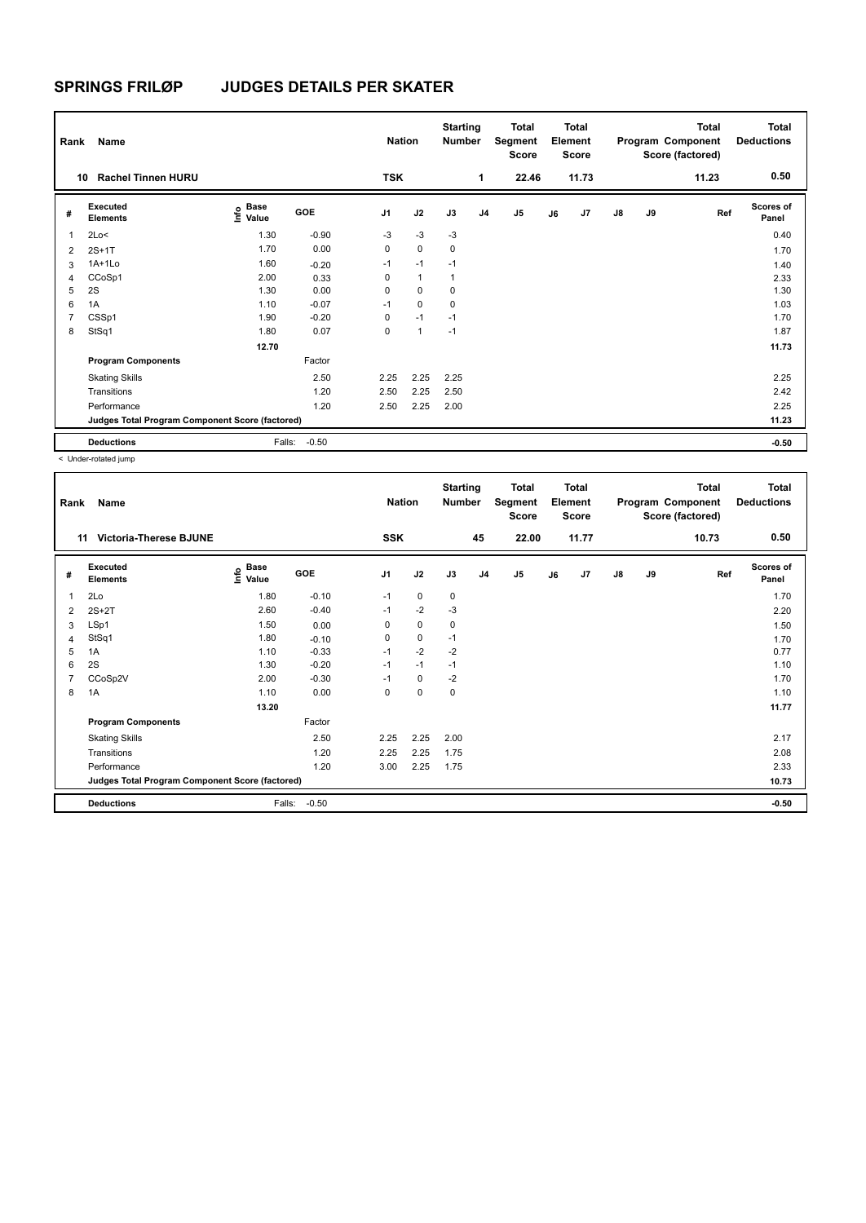| Rank           | Name                                            |                           |         | <b>Nation</b>  |              | <b>Starting</b><br><b>Number</b> |                | <b>Total</b><br>Segment<br><b>Score</b> |    | <b>Total</b><br>Element<br><b>Score</b> |               |    | <b>Total</b><br>Program Component<br>Score (factored) | <b>Total</b><br><b>Deductions</b> |
|----------------|-------------------------------------------------|---------------------------|---------|----------------|--------------|----------------------------------|----------------|-----------------------------------------|----|-----------------------------------------|---------------|----|-------------------------------------------------------|-----------------------------------|
|                | <b>Rachel Tinnen HURU</b><br>10                 |                           |         | <b>TSK</b>     |              |                                  | 1              | 22.46                                   |    | 11.73                                   |               |    | 11.23                                                 | 0.50                              |
| #              | Executed<br><b>Elements</b>                     | Base<br>e Base<br>⊆ Value | GOE     | J <sub>1</sub> | J2           | J3                               | J <sub>4</sub> | J <sub>5</sub>                          | J6 | J7                                      | $\mathsf{J}8$ | J9 | Ref                                                   | <b>Scores of</b><br>Panel         |
| 1              | 2Lo<                                            | 1.30                      | $-0.90$ | $-3$           | $-3$         | $-3$                             |                |                                         |    |                                         |               |    |                                                       | 0.40                              |
| 2              | $2S+1T$                                         | 1.70                      | 0.00    | 0              | $\mathbf 0$  | 0                                |                |                                         |    |                                         |               |    |                                                       | 1.70                              |
| 3              | $1A+1L0$                                        | 1.60                      | $-0.20$ | $-1$           | $-1$         | $-1$                             |                |                                         |    |                                         |               |    |                                                       | 1.40                              |
| 4              | CCoSp1                                          | 2.00                      | 0.33    | 0              | $\mathbf{1}$ | 1                                |                |                                         |    |                                         |               |    |                                                       | 2.33                              |
| 5              | 2S                                              | 1.30                      | 0.00    | 0              | $\mathbf 0$  | 0                                |                |                                         |    |                                         |               |    |                                                       | 1.30                              |
| 6              | 1A                                              | 1.10                      | $-0.07$ | $-1$           | $\mathbf 0$  | $\mathbf 0$                      |                |                                         |    |                                         |               |    |                                                       | 1.03                              |
| $\overline{7}$ | CSSp1                                           | 1.90                      | $-0.20$ | 0              | $-1$         | $-1$                             |                |                                         |    |                                         |               |    |                                                       | 1.70                              |
| 8              | StSq1                                           | 1.80                      | 0.07    | 0              | 1            | $-1$                             |                |                                         |    |                                         |               |    |                                                       | 1.87                              |
|                |                                                 | 12.70                     |         |                |              |                                  |                |                                         |    |                                         |               |    |                                                       | 11.73                             |
|                | <b>Program Components</b>                       |                           | Factor  |                |              |                                  |                |                                         |    |                                         |               |    |                                                       |                                   |
|                | <b>Skating Skills</b>                           |                           | 2.50    | 2.25           | 2.25         | 2.25                             |                |                                         |    |                                         |               |    |                                                       | 2.25                              |
|                | Transitions                                     |                           | 1.20    | 2.50           | 2.25         | 2.50                             |                |                                         |    |                                         |               |    |                                                       | 2.42                              |
|                | Performance                                     |                           | 1.20    | 2.50           | 2.25         | 2.00                             |                |                                         |    |                                         |               |    |                                                       | 2.25                              |
|                | Judges Total Program Component Score (factored) |                           |         |                |              |                                  |                |                                         |    |                                         |               |    |                                                       | 11.23                             |
|                | <b>Deductions</b>                               | Falls:                    | $-0.50$ |                |              |                                  |                |                                         |    |                                         |               |    |                                                       | $-0.50$                           |

| Rank           | Name                                            |                                           |            | <b>Nation</b>  |             | <b>Starting</b><br><b>Number</b> |                | <b>Total</b><br>Segment<br><b>Score</b> |    | <b>Total</b><br>Element<br><b>Score</b> |               |    | <b>Total</b><br>Program Component<br>Score (factored) | <b>Total</b><br><b>Deductions</b> |
|----------------|-------------------------------------------------|-------------------------------------------|------------|----------------|-------------|----------------------------------|----------------|-----------------------------------------|----|-----------------------------------------|---------------|----|-------------------------------------------------------|-----------------------------------|
| 11             | <b>Victoria-Therese BJUNE</b>                   |                                           |            | SSK            |             |                                  | 45             | 22.00                                   |    | 11.77                                   |               |    | 10.73                                                 | 0.50                              |
| #              | <b>Executed</b><br><b>Elements</b>              | $\frac{e}{E}$ Base<br>$\frac{E}{E}$ Value | <b>GOE</b> | J <sub>1</sub> | J2          | J3                               | J <sub>4</sub> | J <sub>5</sub>                          | J6 | J7                                      | $\mathsf{J}8$ | J9 | Ref                                                   | Scores of<br>Panel                |
| 1              | 2Lo                                             | 1.80                                      | $-0.10$    | $-1$           | $\mathbf 0$ | 0                                |                |                                         |    |                                         |               |    |                                                       | 1.70                              |
| 2              | $2S+2T$                                         | 2.60                                      | $-0.40$    | $-1$           | $-2$        | -3                               |                |                                         |    |                                         |               |    |                                                       | 2.20                              |
| 3              | LSp1                                            | 1.50                                      | 0.00       | 0              | $\mathbf 0$ | $\pmb{0}$                        |                |                                         |    |                                         |               |    |                                                       | 1.50                              |
| 4              | StSq1                                           | 1.80                                      | $-0.10$    | 0              | 0           | $-1$                             |                |                                         |    |                                         |               |    |                                                       | 1.70                              |
| 5              | 1A                                              | 1.10                                      | $-0.33$    | $-1$           | $-2$        | $-2$                             |                |                                         |    |                                         |               |    |                                                       | 0.77                              |
| 6              | 2S                                              | 1.30                                      | $-0.20$    | $-1$           | $-1$        | $-1$                             |                |                                         |    |                                         |               |    |                                                       | 1.10                              |
| $\overline{7}$ | CCoSp2V                                         | 2.00                                      | $-0.30$    | $-1$           | $\mathbf 0$ | $-2$                             |                |                                         |    |                                         |               |    |                                                       | 1.70                              |
| 8              | 1A                                              | 1.10                                      | 0.00       | 0              | $\pmb{0}$   | 0                                |                |                                         |    |                                         |               |    |                                                       | 1.10                              |
|                |                                                 | 13.20                                     |            |                |             |                                  |                |                                         |    |                                         |               |    |                                                       | 11.77                             |
|                | <b>Program Components</b>                       |                                           | Factor     |                |             |                                  |                |                                         |    |                                         |               |    |                                                       |                                   |
|                | <b>Skating Skills</b>                           |                                           | 2.50       | 2.25           | 2.25        | 2.00                             |                |                                         |    |                                         |               |    |                                                       | 2.17                              |
|                | Transitions                                     |                                           | 1.20       | 2.25           | 2.25        | 1.75                             |                |                                         |    |                                         |               |    |                                                       | 2.08                              |
|                | Performance                                     |                                           | 1.20       | 3.00           | 2.25        | 1.75                             |                |                                         |    |                                         |               |    |                                                       | 2.33                              |
|                | Judges Total Program Component Score (factored) |                                           |            |                |             |                                  |                |                                         |    |                                         |               |    |                                                       | 10.73                             |
|                | <b>Deductions</b>                               | Falls:                                    | $-0.50$    |                |             |                                  |                |                                         |    |                                         |               |    |                                                       | $-0.50$                           |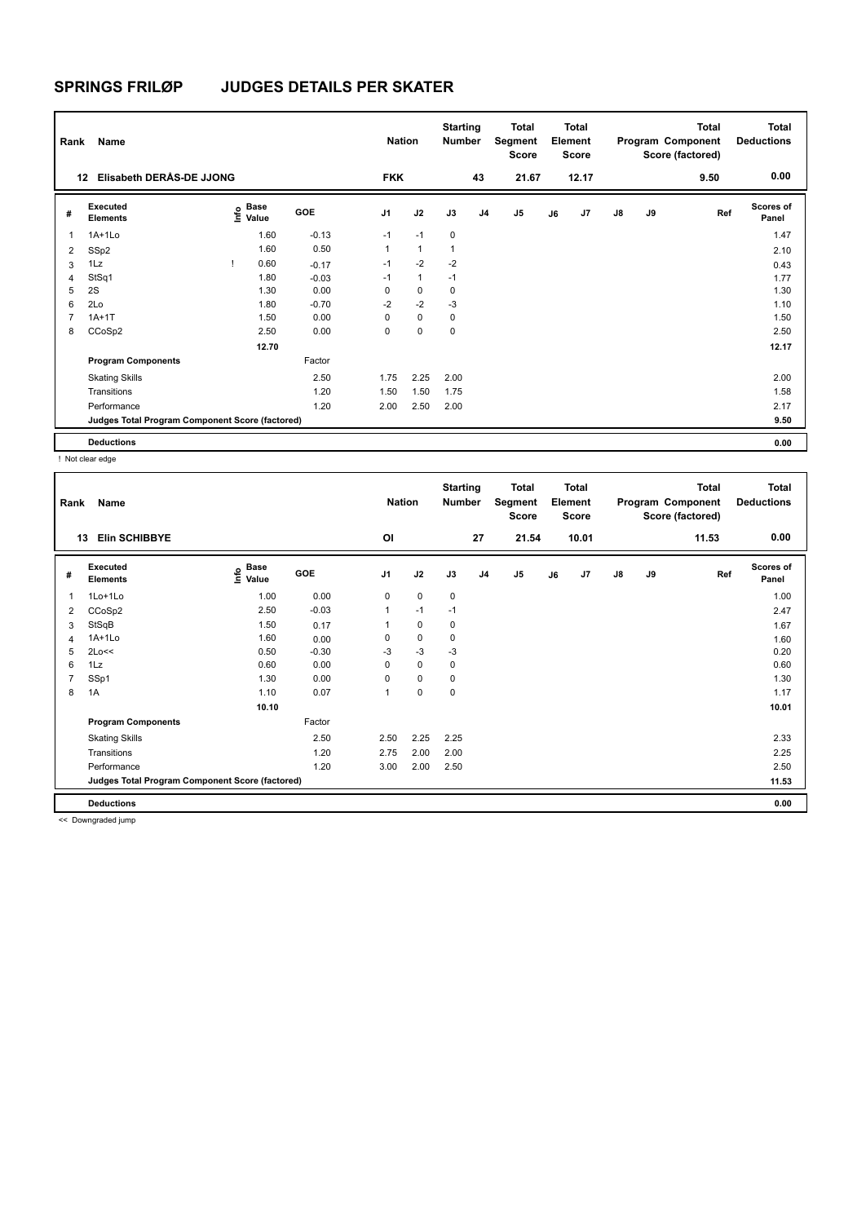| Rank           | Name                                            |      |                      |         | <b>Nation</b>  |              | <b>Starting</b><br><b>Number</b> |                | <b>Total</b><br>Segment<br><b>Score</b> |    | <b>Total</b><br>Element<br><b>Score</b> |               |    | <b>Total</b><br>Program Component<br>Score (factored) | <b>Total</b><br><b>Deductions</b> |
|----------------|-------------------------------------------------|------|----------------------|---------|----------------|--------------|----------------------------------|----------------|-----------------------------------------|----|-----------------------------------------|---------------|----|-------------------------------------------------------|-----------------------------------|
|                | Elisabeth DERAS-DE JJONG<br>12                  |      |                      |         | <b>FKK</b>     |              |                                  | 43             | 21.67                                   |    | 12.17                                   |               |    | 9.50                                                  | 0.00                              |
| #              | <b>Executed</b><br><b>Elements</b>              | lnfo | <b>Base</b><br>Value | GOE     | J <sub>1</sub> | J2           | J3                               | J <sub>4</sub> | J <sub>5</sub>                          | J6 | J7                                      | $\mathsf{J}8$ | J9 | Ref                                                   | <b>Scores of</b><br>Panel         |
| $\overline{1}$ | $1A+1Lo$                                        |      | 1.60                 | $-0.13$ | $-1$           | $-1$         | $\mathbf 0$                      |                |                                         |    |                                         |               |    |                                                       | 1.47                              |
| 2              | SSp2                                            |      | 1.60                 | 0.50    | 1              | $\mathbf{1}$ | 1                                |                |                                         |    |                                         |               |    |                                                       | 2.10                              |
| 3              | 1Lz                                             |      | 0.60                 | $-0.17$ | $-1$           | $-2$         | $-2$                             |                |                                         |    |                                         |               |    |                                                       | 0.43                              |
| $\overline{4}$ | StSq1                                           |      | 1.80                 | $-0.03$ | $-1$           | $\mathbf{1}$ | $-1$                             |                |                                         |    |                                         |               |    |                                                       | 1.77                              |
| 5              | 2S                                              |      | 1.30                 | 0.00    | 0              | $\mathbf 0$  | 0                                |                |                                         |    |                                         |               |    |                                                       | 1.30                              |
| 6              | 2Lo                                             |      | 1.80                 | $-0.70$ | $-2$           | $-2$         | $-3$                             |                |                                         |    |                                         |               |    |                                                       | 1.10                              |
| $\overline{7}$ | $1A+1T$                                         |      | 1.50                 | 0.00    | $\Omega$       | $\mathbf 0$  | 0                                |                |                                         |    |                                         |               |    |                                                       | 1.50                              |
| 8              | CCoSp2                                          |      | 2.50                 | 0.00    | 0              | $\mathbf 0$  | 0                                |                |                                         |    |                                         |               |    |                                                       | 2.50                              |
|                |                                                 |      | 12.70                |         |                |              |                                  |                |                                         |    |                                         |               |    |                                                       | 12.17                             |
|                | <b>Program Components</b>                       |      |                      | Factor  |                |              |                                  |                |                                         |    |                                         |               |    |                                                       |                                   |
|                | <b>Skating Skills</b>                           |      |                      | 2.50    | 1.75           | 2.25         | 2.00                             |                |                                         |    |                                         |               |    |                                                       | 2.00                              |
|                | Transitions                                     |      |                      | 1.20    | 1.50           | 1.50         | 1.75                             |                |                                         |    |                                         |               |    |                                                       | 1.58                              |
|                | Performance                                     |      |                      | 1.20    | 2.00           | 2.50         | 2.00                             |                |                                         |    |                                         |               |    |                                                       | 2.17                              |
|                | Judges Total Program Component Score (factored) |      |                      |         |                |              |                                  |                |                                         |    |                                         |               |    |                                                       | 9.50                              |
|                | <b>Deductions</b>                               |      |                      |         |                |              |                                  |                |                                         |    |                                         |               |    |                                                       | 0.00                              |

! Not clear edge

| Rank           | Name                                            |                                  |         | <b>Nation</b>  |             | <b>Starting</b><br><b>Number</b> |                | Total<br>Segment<br><b>Score</b> |    | <b>Total</b><br>Element<br><b>Score</b> |               |    | <b>Total</b><br>Program Component<br>Score (factored) | <b>Total</b><br><b>Deductions</b> |
|----------------|-------------------------------------------------|----------------------------------|---------|----------------|-------------|----------------------------------|----------------|----------------------------------|----|-----------------------------------------|---------------|----|-------------------------------------------------------|-----------------------------------|
| 13             | <b>Elin SCHIBBYE</b>                            |                                  |         | <b>OI</b>      |             |                                  | 27             | 21.54                            |    | 10.01                                   |               |    | 11.53                                                 | 0.00                              |
| #              | Executed<br><b>Elements</b>                     | <b>Base</b><br>e Base<br>⊆ Value | GOE     | J <sub>1</sub> | J2          | J3                               | J <sub>4</sub> | J5                               | J6 | J7                                      | $\mathsf{J}8$ | J9 | Ref                                                   | <b>Scores of</b><br>Panel         |
| 1              | 1Lo+1Lo                                         | 1.00                             | 0.00    | 0              | $\mathbf 0$ | 0                                |                |                                  |    |                                         |               |    |                                                       | 1.00                              |
| 2              | CCoSp2                                          | 2.50                             | $-0.03$ | $\mathbf{1}$   | $-1$        | $-1$                             |                |                                  |    |                                         |               |    |                                                       | 2.47                              |
| 3              | StSqB                                           | 1.50                             | 0.17    |                | $\mathbf 0$ | 0                                |                |                                  |    |                                         |               |    |                                                       | 1.67                              |
| 4              | $1A+1L0$                                        | 1.60                             | 0.00    | 0              | $\mathbf 0$ | 0                                |                |                                  |    |                                         |               |    |                                                       | 1.60                              |
| 5              | 2Lo<<                                           | 0.50                             | $-0.30$ | $-3$           | $-3$        | $-3$                             |                |                                  |    |                                         |               |    |                                                       | 0.20                              |
| 6              | 1Lz                                             | 0.60                             | 0.00    | 0              | $\mathbf 0$ | 0                                |                |                                  |    |                                         |               |    |                                                       | 0.60                              |
| $\overline{7}$ | SSp1                                            | 1.30                             | 0.00    | 0              | $\mathbf 0$ | 0                                |                |                                  |    |                                         |               |    |                                                       | 1.30                              |
| 8              | 1A                                              | 1.10                             | 0.07    | 1              | $\pmb{0}$   | 0                                |                |                                  |    |                                         |               |    |                                                       | 1.17                              |
|                |                                                 | 10.10                            |         |                |             |                                  |                |                                  |    |                                         |               |    |                                                       | 10.01                             |
|                | <b>Program Components</b>                       |                                  | Factor  |                |             |                                  |                |                                  |    |                                         |               |    |                                                       |                                   |
|                | <b>Skating Skills</b>                           |                                  | 2.50    | 2.50           | 2.25        | 2.25                             |                |                                  |    |                                         |               |    |                                                       | 2.33                              |
|                | Transitions                                     |                                  | 1.20    | 2.75           | 2.00        | 2.00                             |                |                                  |    |                                         |               |    |                                                       | 2.25                              |
|                | Performance                                     |                                  | 1.20    | 3.00           | 2.00        | 2.50                             |                |                                  |    |                                         |               |    |                                                       | 2.50                              |
|                | Judges Total Program Component Score (factored) |                                  |         |                |             |                                  |                |                                  |    |                                         |               |    |                                                       | 11.53                             |
|                | <b>Deductions</b>                               |                                  |         |                |             |                                  |                |                                  |    |                                         |               |    |                                                       | 0.00                              |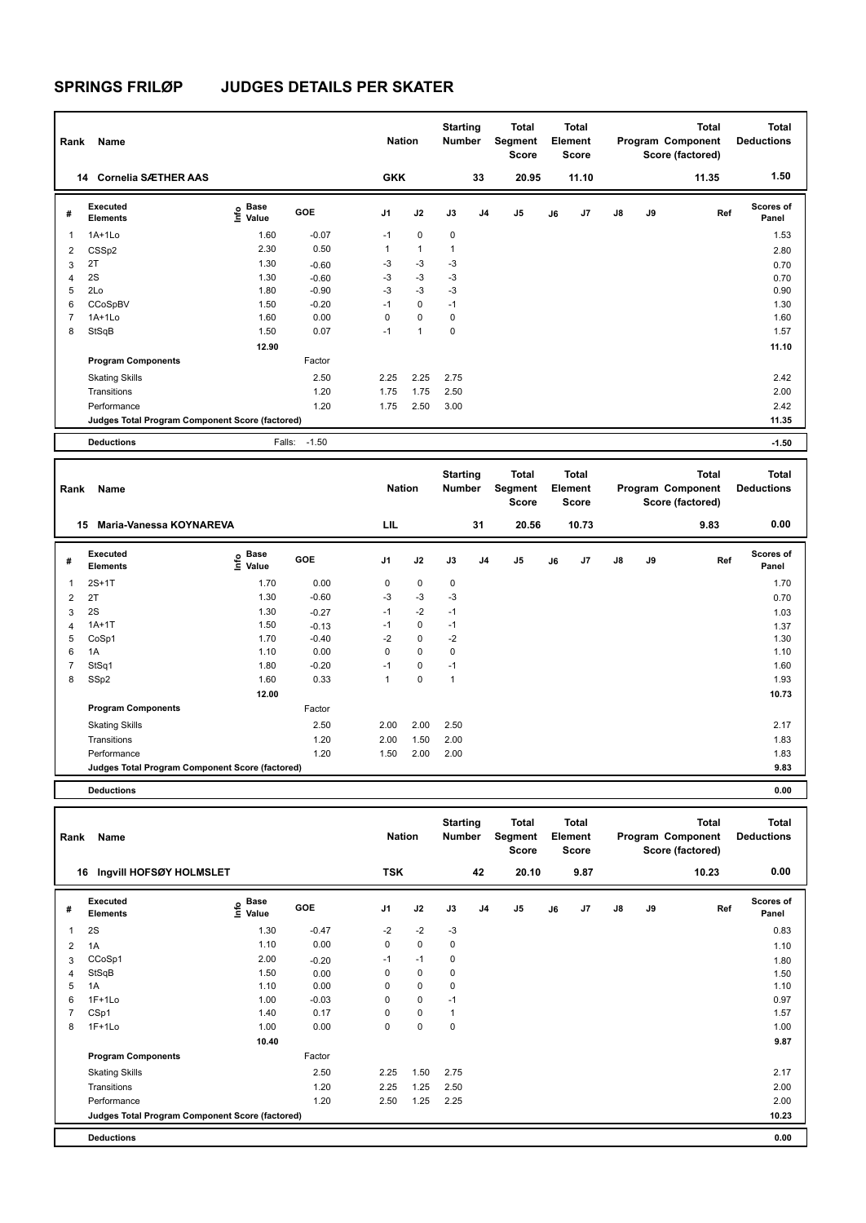| Rank           | Name                                            |                                             |            | <b>Nation</b>  |              | <b>Starting</b><br><b>Number</b> |                | Total<br>Segment<br><b>Score</b> |    | Total<br>Element<br><b>Score</b> |               |    | <b>Total</b><br>Program Component<br>Score (factored) | <b>Total</b><br><b>Deductions</b> |
|----------------|-------------------------------------------------|---------------------------------------------|------------|----------------|--------------|----------------------------------|----------------|----------------------------------|----|----------------------------------|---------------|----|-------------------------------------------------------|-----------------------------------|
|                | <b>Cornelia SÆTHER AAS</b><br>14                |                                             |            | <b>GKK</b>     |              |                                  | 33             | 20.95                            |    | 11.10                            |               |    | 11.35                                                 | 1.50                              |
| #              | Executed<br><b>Elements</b>                     | <b>Base</b><br>e <sup>Base</sup><br>⊆ Value | <b>GOE</b> | J <sub>1</sub> | J2           | J3                               | J <sub>4</sub> | J <sub>5</sub>                   | J6 | J <sub>7</sub>                   | $\mathsf{J}8$ | J9 | Ref                                                   | <b>Scores of</b><br>Panel         |
| 1              | $1A+1Lo$                                        | 1.60                                        | $-0.07$    | $-1$           | $\mathbf 0$  | 0                                |                |                                  |    |                                  |               |    |                                                       | 1.53                              |
| $\overline{2}$ | CSS <sub>p2</sub>                               | 2.30                                        | 0.50       | 1              | $\mathbf{1}$ | $\overline{1}$                   |                |                                  |    |                                  |               |    |                                                       | 2.80                              |
| 3              | 2T                                              | 1.30                                        | $-0.60$    | $-3$           | $-3$         | $-3$                             |                |                                  |    |                                  |               |    |                                                       | 0.70                              |
| 4              | 2S                                              | 1.30                                        | $-0.60$    | $-3$           | $-3$         | $-3$                             |                |                                  |    |                                  |               |    |                                                       | 0.70                              |
| 5              | 2Lo                                             | 1.80                                        | $-0.90$    | $-3$           | $-3$         | $-3$                             |                |                                  |    |                                  |               |    |                                                       | 0.90                              |
| 6              | CCoSpBV                                         | 1.50                                        | $-0.20$    | $-1$           | $\mathbf 0$  | $-1$                             |                |                                  |    |                                  |               |    |                                                       | 1.30                              |
| $\overline{7}$ | $1A+1Lo$                                        | 1.60                                        | 0.00       | 0              | $\mathbf 0$  | 0                                |                |                                  |    |                                  |               |    |                                                       | 1.60                              |
| 8              | StSqB                                           | 1.50                                        | 0.07       | $-1$           | 1            | $\mathbf 0$                      |                |                                  |    |                                  |               |    |                                                       | 1.57                              |
|                |                                                 | 12.90                                       |            |                |              |                                  |                |                                  |    |                                  |               |    |                                                       | 11.10                             |
|                | <b>Program Components</b>                       |                                             | Factor     |                |              |                                  |                |                                  |    |                                  |               |    |                                                       |                                   |
|                | <b>Skating Skills</b>                           |                                             | 2.50       | 2.25           | 2.25         | 2.75                             |                |                                  |    |                                  |               |    |                                                       | 2.42                              |
|                | Transitions                                     |                                             | 1.20       | 1.75           | 1.75         | 2.50                             |                |                                  |    |                                  |               |    |                                                       | 2.00                              |
|                | Performance                                     |                                             | 1.20       | 1.75           | 2.50         | 3.00                             |                |                                  |    |                                  |               |    |                                                       | 2.42                              |
|                | Judges Total Program Component Score (factored) |                                             |            |                |              |                                  |                |                                  |    |                                  |               |    |                                                       | 11.35                             |
|                | <b>Deductions</b>                               | Falls:                                      | $-1.50$    |                |              |                                  |                |                                  |    |                                  |               |    |                                                       | $-1.50$                           |

| Rank | Name                                            |                                  |            | <b>Nation</b>  |             | <b>Starting</b><br><b>Number</b> |    | Total<br>Segment<br><b>Score</b> |    | <b>Total</b><br>Element<br><b>Score</b> |               |    | <b>Total</b><br>Program Component<br>Score (factored) | <b>Total</b><br><b>Deductions</b> |
|------|-------------------------------------------------|----------------------------------|------------|----------------|-------------|----------------------------------|----|----------------------------------|----|-----------------------------------------|---------------|----|-------------------------------------------------------|-----------------------------------|
|      | <b>Maria-Vanessa KOYNAREVA</b><br>15            |                                  |            | LIL            |             |                                  | 31 | 20.56                            |    | 10.73                                   |               |    | 9.83                                                  | 0.00                              |
| #    | Executed<br><b>Elements</b>                     | <b>Base</b><br>e Base<br>E Value | <b>GOE</b> | J <sub>1</sub> | J2          | J3                               | J4 | J <sub>5</sub>                   | J6 | J7                                      | $\mathsf{J}8$ | J9 | Ref                                                   | <b>Scores of</b><br>Panel         |
| 1    | $2S+1T$                                         | 1.70                             | 0.00       | 0              | 0           | 0                                |    |                                  |    |                                         |               |    |                                                       | 1.70                              |
| 2    | 2T                                              | 1.30                             | $-0.60$    | $-3$           | $-3$        | $-3$                             |    |                                  |    |                                         |               |    |                                                       | 0.70                              |
| 3    | 2S                                              | 1.30                             | $-0.27$    | $-1$           | $-2$        | $-1$                             |    |                                  |    |                                         |               |    |                                                       | 1.03                              |
| 4    | $1A+1T$                                         | 1.50                             | $-0.13$    | $-1$           | 0           | $-1$                             |    |                                  |    |                                         |               |    |                                                       | 1.37                              |
| 5    | CoSp1                                           | 1.70                             | $-0.40$    | $-2$           | $\mathbf 0$ | $-2$                             |    |                                  |    |                                         |               |    |                                                       | 1.30                              |
| 6    | 1A                                              | 1.10                             | 0.00       | 0              | $\mathbf 0$ | $\mathbf 0$                      |    |                                  |    |                                         |               |    |                                                       | 1.10                              |
| 7    | StSq1                                           | 1.80                             | $-0.20$    | $-1$           | $\mathbf 0$ | $-1$                             |    |                                  |    |                                         |               |    |                                                       | 1.60                              |
| 8    | SSp2                                            | 1.60                             | 0.33       | 1              | 0           | $\mathbf{1}$                     |    |                                  |    |                                         |               |    |                                                       | 1.93                              |
|      |                                                 | 12.00                            |            |                |             |                                  |    |                                  |    |                                         |               |    |                                                       | 10.73                             |
|      | <b>Program Components</b>                       |                                  | Factor     |                |             |                                  |    |                                  |    |                                         |               |    |                                                       |                                   |
|      | <b>Skating Skills</b>                           |                                  | 2.50       | 2.00           | 2.00        | 2.50                             |    |                                  |    |                                         |               |    |                                                       | 2.17                              |
|      | Transitions                                     |                                  | 1.20       | 2.00           | 1.50        | 2.00                             |    |                                  |    |                                         |               |    |                                                       | 1.83                              |
|      | Performance                                     |                                  | 1.20       | 1.50           | 2.00        | 2.00                             |    |                                  |    |                                         |               |    |                                                       | 1.83                              |
|      | Judges Total Program Component Score (factored) |                                  |            |                |             |                                  |    |                                  |    |                                         |               |    |                                                       | 9.83                              |
|      |                                                 |                                  |            |                |             |                                  |    |                                  |    |                                         |               |    |                                                       |                                   |

**Deductions 0.00**

| Rank           | Name                                            |                                  |         | <b>Nation</b>  |             | <b>Starting</b><br><b>Number</b> |                | <b>Total</b><br>Segment<br><b>Score</b> |    | Total<br>Element<br>Score |               |    | <b>Total</b><br>Program Component<br>Score (factored) | <b>Total</b><br><b>Deductions</b> |
|----------------|-------------------------------------------------|----------------------------------|---------|----------------|-------------|----------------------------------|----------------|-----------------------------------------|----|---------------------------|---------------|----|-------------------------------------------------------|-----------------------------------|
|                | Ingvill HOFSØY HOLMSLET<br>16                   |                                  |         | <b>TSK</b>     |             |                                  | 42             | 20.10                                   |    | 9.87                      |               |    | 10.23                                                 | 0.00                              |
| #              | Executed<br><b>Elements</b>                     | <b>Base</b><br>e Base<br>⊆ Value | GOE     | J <sub>1</sub> | J2          | J3                               | J <sub>4</sub> | J5                                      | J6 | J7                        | $\mathsf{J}8$ | J9 | Ref                                                   | <b>Scores of</b><br>Panel         |
| $\mathbf{1}$   | 2S                                              | 1.30                             | $-0.47$ | $-2$           | $-2$        | $-3$                             |                |                                         |    |                           |               |    |                                                       | 0.83                              |
| $\overline{2}$ | 1A                                              | 1.10                             | 0.00    | 0              | $\mathbf 0$ | 0                                |                |                                         |    |                           |               |    |                                                       | 1.10                              |
| 3              | CCoSp1                                          | 2.00                             | $-0.20$ | $-1$           | $-1$        | 0                                |                |                                         |    |                           |               |    |                                                       | 1.80                              |
| $\overline{4}$ | StSqB                                           | 1.50                             | 0.00    | 0              | $\mathbf 0$ | $\mathbf 0$                      |                |                                         |    |                           |               |    |                                                       | 1.50                              |
| 5              | 1A                                              | 1.10                             | 0.00    | 0              | $\mathbf 0$ | 0                                |                |                                         |    |                           |               |    |                                                       | 1.10                              |
| 6              | $1F+1Lo$                                        | 1.00                             | $-0.03$ | 0              | $\mathbf 0$ | $-1$                             |                |                                         |    |                           |               |    |                                                       | 0.97                              |
| $\overline{7}$ | CSp1                                            | 1.40                             | 0.17    | 0              | $\mathbf 0$ | 1                                |                |                                         |    |                           |               |    |                                                       | 1.57                              |
| 8              | $1F+1Lo$                                        | 1.00                             | 0.00    | 0              | $\pmb{0}$   | 0                                |                |                                         |    |                           |               |    |                                                       | 1.00                              |
|                |                                                 | 10.40                            |         |                |             |                                  |                |                                         |    |                           |               |    |                                                       | 9.87                              |
|                | <b>Program Components</b>                       |                                  | Factor  |                |             |                                  |                |                                         |    |                           |               |    |                                                       |                                   |
|                | <b>Skating Skills</b>                           |                                  | 2.50    | 2.25           | 1.50        | 2.75                             |                |                                         |    |                           |               |    |                                                       | 2.17                              |
|                | Transitions                                     |                                  | 1.20    | 2.25           | 1.25        | 2.50                             |                |                                         |    |                           |               |    |                                                       | 2.00                              |
|                | Performance                                     |                                  | 1.20    | 2.50           | 1.25        | 2.25                             |                |                                         |    |                           |               |    |                                                       | 2.00                              |
|                | Judges Total Program Component Score (factored) |                                  |         |                |             |                                  |                |                                         |    |                           |               |    |                                                       | 10.23                             |
|                | <b>Deductions</b>                               |                                  |         |                |             |                                  |                |                                         |    |                           |               |    |                                                       | 0.00                              |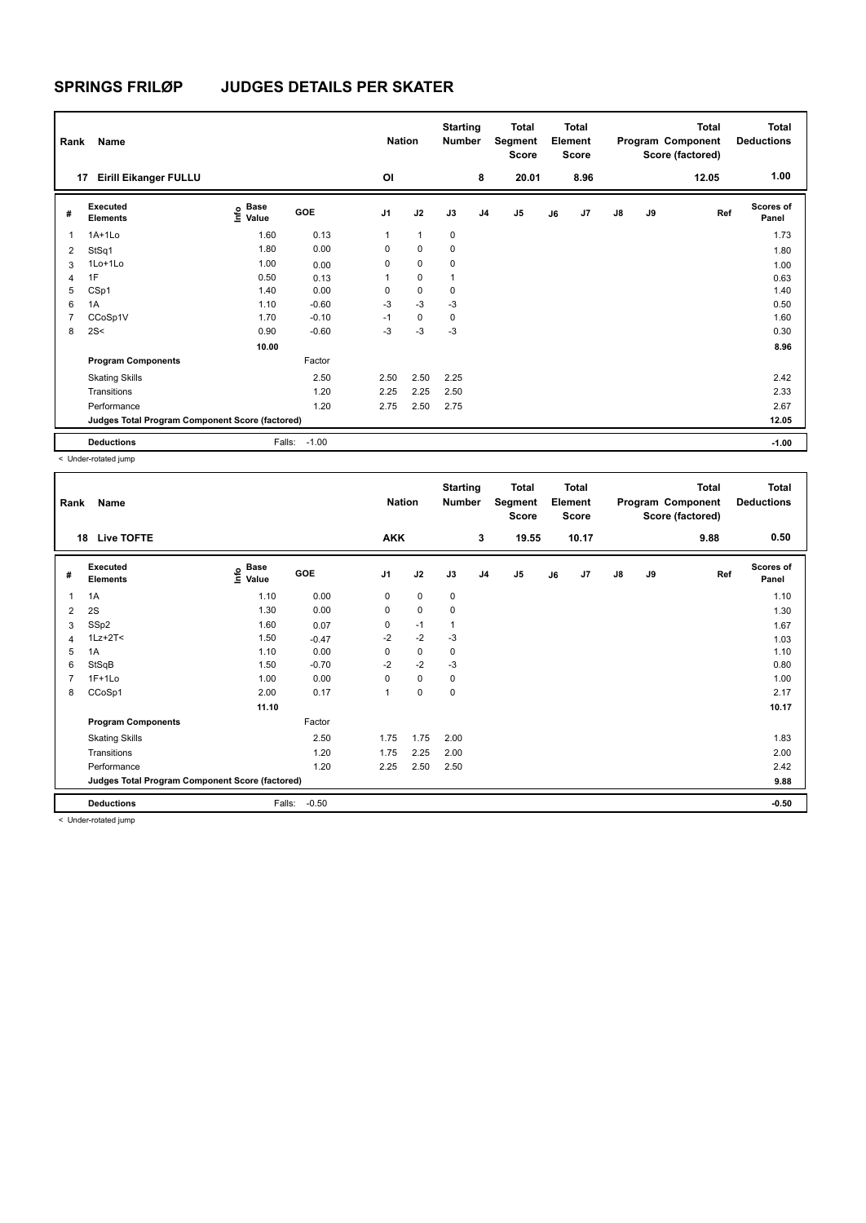| Rank           | Name                                            |                           |         | <b>Nation</b>  |                | <b>Starting</b><br><b>Number</b> |                | <b>Total</b><br>Segment<br>Score |    | <b>Total</b><br>Element<br><b>Score</b> |               |    | <b>Total</b><br>Program Component<br>Score (factored) | Total<br><b>Deductions</b> |
|----------------|-------------------------------------------------|---------------------------|---------|----------------|----------------|----------------------------------|----------------|----------------------------------|----|-----------------------------------------|---------------|----|-------------------------------------------------------|----------------------------|
| 17             | <b>Eirill Eikanger FULLU</b>                    |                           |         | OI             |                |                                  | 8              | 20.01                            |    | 8.96                                    |               |    | 12.05                                                 | 1.00                       |
| #              | Executed<br><b>Elements</b>                     | Base<br>e Base<br>⊆ Value | GOE     | J <sub>1</sub> | J2             | J3                               | J <sub>4</sub> | J <sub>5</sub>                   | J6 | J7                                      | $\mathsf{J}8$ | J9 | Ref                                                   | <b>Scores of</b><br>Panel  |
| 1              | $1A+1Lo$                                        | 1.60                      | 0.13    | 1              | $\overline{1}$ | $\mathbf 0$                      |                |                                  |    |                                         |               |    |                                                       | 1.73                       |
| 2              | StSq1                                           | 1.80                      | 0.00    | 0              | 0              | 0                                |                |                                  |    |                                         |               |    |                                                       | 1.80                       |
| 3              | 1Lo+1Lo                                         | 1.00                      | 0.00    | 0              | $\mathbf 0$    | 0                                |                |                                  |    |                                         |               |    |                                                       | 1.00                       |
| 4              | 1F                                              | 0.50                      | 0.13    | 1              | $\mathbf 0$    | 1                                |                |                                  |    |                                         |               |    |                                                       | 0.63                       |
| 5              | CSp1                                            | 1.40                      | 0.00    | 0              | $\mathbf 0$    | 0                                |                |                                  |    |                                         |               |    |                                                       | 1.40                       |
| 6              | 1A                                              | 1.10                      | $-0.60$ | $-3$           | $-3$           | $-3$                             |                |                                  |    |                                         |               |    |                                                       | 0.50                       |
| $\overline{7}$ | CCoSp1V                                         | 1.70                      | $-0.10$ | $-1$           | $\mathbf 0$    | $\mathbf 0$                      |                |                                  |    |                                         |               |    |                                                       | 1.60                       |
| 8              | 2S<                                             | 0.90                      | $-0.60$ | -3             | $-3$           | -3                               |                |                                  |    |                                         |               |    |                                                       | 0.30                       |
|                |                                                 | 10.00                     |         |                |                |                                  |                |                                  |    |                                         |               |    |                                                       | 8.96                       |
|                | <b>Program Components</b>                       |                           | Factor  |                |                |                                  |                |                                  |    |                                         |               |    |                                                       |                            |
|                | <b>Skating Skills</b>                           |                           | 2.50    | 2.50           | 2.50           | 2.25                             |                |                                  |    |                                         |               |    |                                                       | 2.42                       |
|                | Transitions                                     |                           | 1.20    | 2.25           | 2.25           | 2.50                             |                |                                  |    |                                         |               |    |                                                       | 2.33                       |
|                | Performance                                     |                           | 1.20    | 2.75           | 2.50           | 2.75                             |                |                                  |    |                                         |               |    |                                                       | 2.67                       |
|                | Judges Total Program Component Score (factored) |                           |         |                |                |                                  |                |                                  |    |                                         |               |    |                                                       | 12.05                      |
|                | <b>Deductions</b>                               | Falls:                    | $-1.00$ |                |                |                                  |                |                                  |    |                                         |               |    |                                                       | $-1.00$                    |

< Under-rotated jump

| Rank | Name                                            |                                  |         | <b>Nation</b>  |      | <b>Starting</b><br>Number |                | <b>Total</b><br>Segment<br>Score |    | <b>Total</b><br>Element<br><b>Score</b> |               |    | <b>Total</b><br>Program Component<br>Score (factored) | <b>Total</b><br><b>Deductions</b> |
|------|-------------------------------------------------|----------------------------------|---------|----------------|------|---------------------------|----------------|----------------------------------|----|-----------------------------------------|---------------|----|-------------------------------------------------------|-----------------------------------|
| 18   | <b>Live TOFTE</b>                               |                                  |         | <b>AKK</b>     |      |                           | 3              | 19.55                            |    | 10.17                                   |               |    | 9.88                                                  | 0.50                              |
| #    | Executed<br><b>Elements</b>                     | <b>Base</b><br>e Base<br>⊆ Value | GOE     | J <sub>1</sub> | J2   | J3                        | J <sub>4</sub> | J <sub>5</sub>                   | J6 | J7                                      | $\mathsf{J}8$ | J9 | Ref                                                   | <b>Scores of</b><br>Panel         |
| 1    | 1A                                              | 1.10                             | 0.00    | 0              | 0    | 0                         |                |                                  |    |                                         |               |    |                                                       | 1.10                              |
| 2    | 2S                                              | 1.30                             | 0.00    | 0              | 0    | 0                         |                |                                  |    |                                         |               |    |                                                       | 1.30                              |
| 3    | SSp2                                            | 1.60                             | 0.07    | 0              | $-1$ | 1                         |                |                                  |    |                                         |               |    |                                                       | 1.67                              |
| 4    | $1Lz + 2T <$                                    | 1.50                             | $-0.47$ | $-2$           | $-2$ | -3                        |                |                                  |    |                                         |               |    |                                                       | 1.03                              |
| 5    | 1A                                              | 1.10                             | 0.00    | 0              | 0    | 0                         |                |                                  |    |                                         |               |    |                                                       | 1.10                              |
| 6    | StSqB                                           | 1.50                             | $-0.70$ | $-2$           | $-2$ | $-3$                      |                |                                  |    |                                         |               |    |                                                       | 0.80                              |
|      | $1F+1Lo$                                        | 1.00                             | 0.00    | 0              | 0    | 0                         |                |                                  |    |                                         |               |    |                                                       | 1.00                              |
| 8    | CCoSp1                                          | 2.00                             | 0.17    | $\mathbf{1}$   | 0    | 0                         |                |                                  |    |                                         |               |    |                                                       | 2.17                              |
|      |                                                 | 11.10                            |         |                |      |                           |                |                                  |    |                                         |               |    |                                                       | 10.17                             |
|      | <b>Program Components</b>                       |                                  | Factor  |                |      |                           |                |                                  |    |                                         |               |    |                                                       |                                   |
|      | <b>Skating Skills</b>                           |                                  | 2.50    | 1.75           | 1.75 | 2.00                      |                |                                  |    |                                         |               |    |                                                       | 1.83                              |
|      | Transitions                                     |                                  | 1.20    | 1.75           | 2.25 | 2.00                      |                |                                  |    |                                         |               |    |                                                       | 2.00                              |
|      | Performance                                     |                                  | 1.20    | 2.25           | 2.50 | 2.50                      |                |                                  |    |                                         |               |    |                                                       | 2.42                              |
|      | Judges Total Program Component Score (factored) |                                  |         |                |      |                           |                |                                  |    |                                         |               |    |                                                       | 9.88                              |
|      | <b>Deductions</b>                               | Falls:                           | $-0.50$ |                |      |                           |                |                                  |    |                                         |               |    |                                                       | $-0.50$                           |
|      | .                                               |                                  |         |                |      |                           |                |                                  |    |                                         |               |    |                                                       |                                   |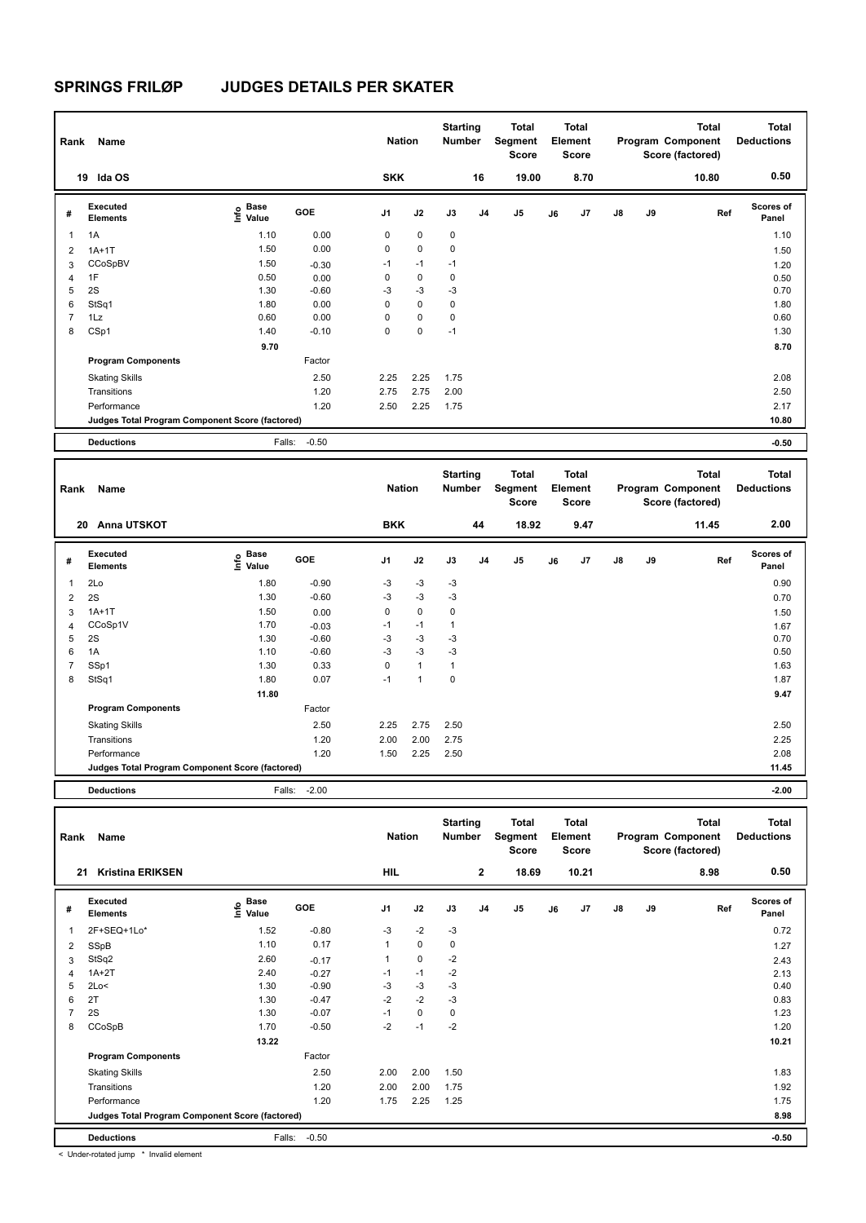| Rank           | Name                                            |                           |         | <b>Nation</b>  |             | <b>Starting</b><br><b>Number</b> |                | Total<br>Segment<br><b>Score</b> |    | Total<br>Element<br><b>Score</b> |               |    | <b>Total</b><br>Program Component<br>Score (factored) | <b>Total</b><br><b>Deductions</b> |
|----------------|-------------------------------------------------|---------------------------|---------|----------------|-------------|----------------------------------|----------------|----------------------------------|----|----------------------------------|---------------|----|-------------------------------------------------------|-----------------------------------|
|                | Ida OS<br>19                                    |                           |         | <b>SKK</b>     |             |                                  | 16             | 19.00                            |    | 8.70                             |               |    | 10.80                                                 | 0.50                              |
| #              | Executed<br><b>Elements</b>                     | Base<br>e Base<br>⊆ Value | GOE     | J <sub>1</sub> | J2          | J3                               | J <sub>4</sub> | $\mathsf{J}5$                    | J6 | J7                               | $\mathsf{J}8$ | J9 | Ref                                                   | <b>Scores of</b><br>Panel         |
| 1              | 1A                                              | 1.10                      | 0.00    | 0              | $\mathbf 0$ | $\mathbf 0$                      |                |                                  |    |                                  |               |    |                                                       | 1.10                              |
| $\overline{2}$ | $1A+1T$                                         | 1.50                      | 0.00    | $\mathbf 0$    | $\mathbf 0$ | $\mathbf 0$                      |                |                                  |    |                                  |               |    |                                                       | 1.50                              |
| 3              | CCoSpBV                                         | 1.50                      | $-0.30$ | $-1$           | $-1$        | $-1$                             |                |                                  |    |                                  |               |    |                                                       | 1.20                              |
| 4              | 1F                                              | 0.50                      | 0.00    | 0              | $\mathbf 0$ | $\mathbf 0$                      |                |                                  |    |                                  |               |    |                                                       | 0.50                              |
| 5              | 2S                                              | 1.30                      | $-0.60$ | -3             | $-3$        | $-3$                             |                |                                  |    |                                  |               |    |                                                       | 0.70                              |
| 6              | StSq1                                           | 1.80                      | 0.00    | 0              | $\mathbf 0$ | $\mathbf 0$                      |                |                                  |    |                                  |               |    |                                                       | 1.80                              |
| 7              | 1Lz                                             | 0.60                      | 0.00    | 0              | $\mathbf 0$ | $\mathbf 0$                      |                |                                  |    |                                  |               |    |                                                       | 0.60                              |
| 8              | CSp1                                            | 1.40                      | $-0.10$ | 0              | 0           | $-1$                             |                |                                  |    |                                  |               |    |                                                       | 1.30                              |
|                |                                                 | 9.70                      |         |                |             |                                  |                |                                  |    |                                  |               |    |                                                       | 8.70                              |
|                | <b>Program Components</b>                       |                           | Factor  |                |             |                                  |                |                                  |    |                                  |               |    |                                                       |                                   |
|                | <b>Skating Skills</b>                           |                           | 2.50    | 2.25           | 2.25        | 1.75                             |                |                                  |    |                                  |               |    |                                                       | 2.08                              |
|                | Transitions                                     |                           | 1.20    | 2.75           | 2.75        | 2.00                             |                |                                  |    |                                  |               |    |                                                       | 2.50                              |
|                | Performance                                     |                           | 1.20    | 2.50           | 2.25        | 1.75                             |                |                                  |    |                                  |               |    |                                                       | 2.17                              |
|                | Judges Total Program Component Score (factored) |                           |         |                |             |                                  |                |                                  |    |                                  |               |    |                                                       | 10.80                             |
|                | <b>Deductions</b>                               | Falls:                    | $-0.50$ |                |             |                                  |                |                                  |    |                                  |               |    |                                                       | $-0.50$                           |

| Rank           | Name                                            |                              |         | <b>Nation</b>  |              | <b>Starting</b><br><b>Number</b> |                | Total<br>Segment<br><b>Score</b> |    | <b>Total</b><br>Element<br><b>Score</b> |               |    | <b>Total</b><br>Program Component<br>Score (factored) | <b>Total</b><br><b>Deductions</b> |
|----------------|-------------------------------------------------|------------------------------|---------|----------------|--------------|----------------------------------|----------------|----------------------------------|----|-----------------------------------------|---------------|----|-------------------------------------------------------|-----------------------------------|
|                | Anna UTSKOT<br>20                               |                              |         | <b>BKK</b>     |              |                                  | 44             | 18.92                            |    | 9.47                                    |               |    | 11.45                                                 | 2.00                              |
| #              | Executed<br><b>Elements</b>                     | <b>Base</b><br>lnfo<br>Value | GOE     | J <sub>1</sub> | J2           | J3                               | J <sub>4</sub> | J <sub>5</sub>                   | J6 | J <sub>7</sub>                          | $\mathsf{J}8$ | J9 | Ref                                                   | <b>Scores of</b><br>Panel         |
| 1              | 2Lo                                             | 1.80                         | $-0.90$ | $-3$           | $-3$         | $-3$                             |                |                                  |    |                                         |               |    |                                                       | 0.90                              |
| 2              | 2S                                              | 1.30                         | $-0.60$ | $-3$           | $-3$         | $-3$                             |                |                                  |    |                                         |               |    |                                                       | 0.70                              |
| 3              | $1A+1T$                                         | 1.50                         | 0.00    | 0              | $\mathbf 0$  | $\mathbf 0$                      |                |                                  |    |                                         |               |    |                                                       | 1.50                              |
| $\overline{4}$ | CCoSp1V                                         | 1.70                         | $-0.03$ | $-1$           | $-1$         | $\mathbf{1}$                     |                |                                  |    |                                         |               |    |                                                       | 1.67                              |
| 5              | 2S                                              | 1.30                         | $-0.60$ | $-3$           | $-3$         | $-3$                             |                |                                  |    |                                         |               |    |                                                       | 0.70                              |
| 6              | 1A                                              | 1.10                         | $-0.60$ | $-3$           | $-3$         | $-3$                             |                |                                  |    |                                         |               |    |                                                       | 0.50                              |
| $\overline{7}$ | SSp1                                            | 1.30                         | 0.33    | 0              | $\mathbf{1}$ | $\mathbf{1}$                     |                |                                  |    |                                         |               |    |                                                       | 1.63                              |
| 8              | StSq1                                           | 1.80                         | 0.07    | $-1$           | 1            | $\mathbf 0$                      |                |                                  |    |                                         |               |    |                                                       | 1.87                              |
|                |                                                 | 11.80                        |         |                |              |                                  |                |                                  |    |                                         |               |    |                                                       | 9.47                              |
|                | <b>Program Components</b>                       |                              | Factor  |                |              |                                  |                |                                  |    |                                         |               |    |                                                       |                                   |
|                | <b>Skating Skills</b>                           |                              | 2.50    | 2.25           | 2.75         | 2.50                             |                |                                  |    |                                         |               |    |                                                       | 2.50                              |
|                | Transitions                                     |                              | 1.20    | 2.00           | 2.00         | 2.75                             |                |                                  |    |                                         |               |    |                                                       | 2.25                              |
|                | Performance                                     |                              | 1.20    | 1.50           | 2.25         | 2.50                             |                |                                  |    |                                         |               |    |                                                       | 2.08                              |
|                | Judges Total Program Component Score (factored) |                              |         |                |              |                                  |                |                                  |    |                                         |               |    |                                                       | 11.45                             |
|                | <b>Deductions</b>                               | Falls:                       | $-2.00$ |                |              |                                  |                |                                  |    |                                         |               |    |                                                       | $-2.00$                           |

| Rank           | Name                                            |                                      |            | <b>Nation</b>  |             | <b>Starting</b><br><b>Number</b> |              | Total<br>Segment<br><b>Score</b> |    | <b>Total</b><br>Element<br><b>Score</b> |               |    | Total<br>Program Component<br>Score (factored) | <b>Total</b><br><b>Deductions</b> |
|----------------|-------------------------------------------------|--------------------------------------|------------|----------------|-------------|----------------------------------|--------------|----------------------------------|----|-----------------------------------------|---------------|----|------------------------------------------------|-----------------------------------|
| 21             | <b>Kristina ERIKSEN</b>                         |                                      |            | HIL            |             |                                  | $\mathbf{2}$ | 18.69                            |    | 10.21                                   |               |    | 8.98                                           | 0.50                              |
| #              | Executed<br><b>Elements</b>                     | Base<br>e <sup>Base</sup><br>⊆ Value | <b>GOE</b> | J <sub>1</sub> | J2          | J3                               | J4           | J <sub>5</sub>                   | J6 | J7                                      | $\mathsf{J}8$ | J9 | Ref                                            | <b>Scores of</b><br>Panel         |
| $\overline{1}$ | 2F+SEQ+1Lo*                                     | 1.52                                 | $-0.80$    | $-3$           | $-2$        | $-3$                             |              |                                  |    |                                         |               |    |                                                | 0.72                              |
| $\overline{2}$ | SSpB                                            | 1.10                                 | 0.17       | 1              | 0           | 0                                |              |                                  |    |                                         |               |    |                                                | 1.27                              |
| 3              | StSq2                                           | 2.60                                 | $-0.17$    | 1              | $\mathbf 0$ | $-2$                             |              |                                  |    |                                         |               |    |                                                | 2.43                              |
| 4              | $1A+2T$                                         | 2.40                                 | $-0.27$    | $-1$           | $-1$        | $-2$                             |              |                                  |    |                                         |               |    |                                                | 2.13                              |
| 5              | 2Lo<                                            | 1.30                                 | $-0.90$    | $-3$           | $-3$        | $-3$                             |              |                                  |    |                                         |               |    |                                                | 0.40                              |
| 6              | 2T                                              | 1.30                                 | $-0.47$    | $-2$           | $-2$        | $-3$                             |              |                                  |    |                                         |               |    |                                                | 0.83                              |
| $\overline{7}$ | 2S                                              | 1.30                                 | $-0.07$    | $-1$           | $\mathbf 0$ | 0                                |              |                                  |    |                                         |               |    |                                                | 1.23                              |
| 8              | CCoSpB                                          | 1.70                                 | $-0.50$    | $-2$           | $-1$        | $-2$                             |              |                                  |    |                                         |               |    |                                                | 1.20                              |
|                |                                                 | 13.22                                |            |                |             |                                  |              |                                  |    |                                         |               |    |                                                | 10.21                             |
|                | <b>Program Components</b>                       |                                      | Factor     |                |             |                                  |              |                                  |    |                                         |               |    |                                                |                                   |
|                | <b>Skating Skills</b>                           |                                      | 2.50       | 2.00           | 2.00        | 1.50                             |              |                                  |    |                                         |               |    |                                                | 1.83                              |
|                | Transitions                                     |                                      | 1.20       | 2.00           | 2.00        | 1.75                             |              |                                  |    |                                         |               |    |                                                | 1.92                              |
|                | Performance                                     |                                      | 1.20       | 1.75           | 2.25        | 1.25                             |              |                                  |    |                                         |               |    |                                                | 1.75                              |
|                | Judges Total Program Component Score (factored) |                                      |            |                |             |                                  |              |                                  |    |                                         |               |    |                                                | 8.98                              |
|                | <b>Deductions</b>                               | Falls:                               | $-0.50$    |                |             |                                  |              |                                  |    |                                         |               |    |                                                | $-0.50$                           |

< Under-rotated jump \* Invalid element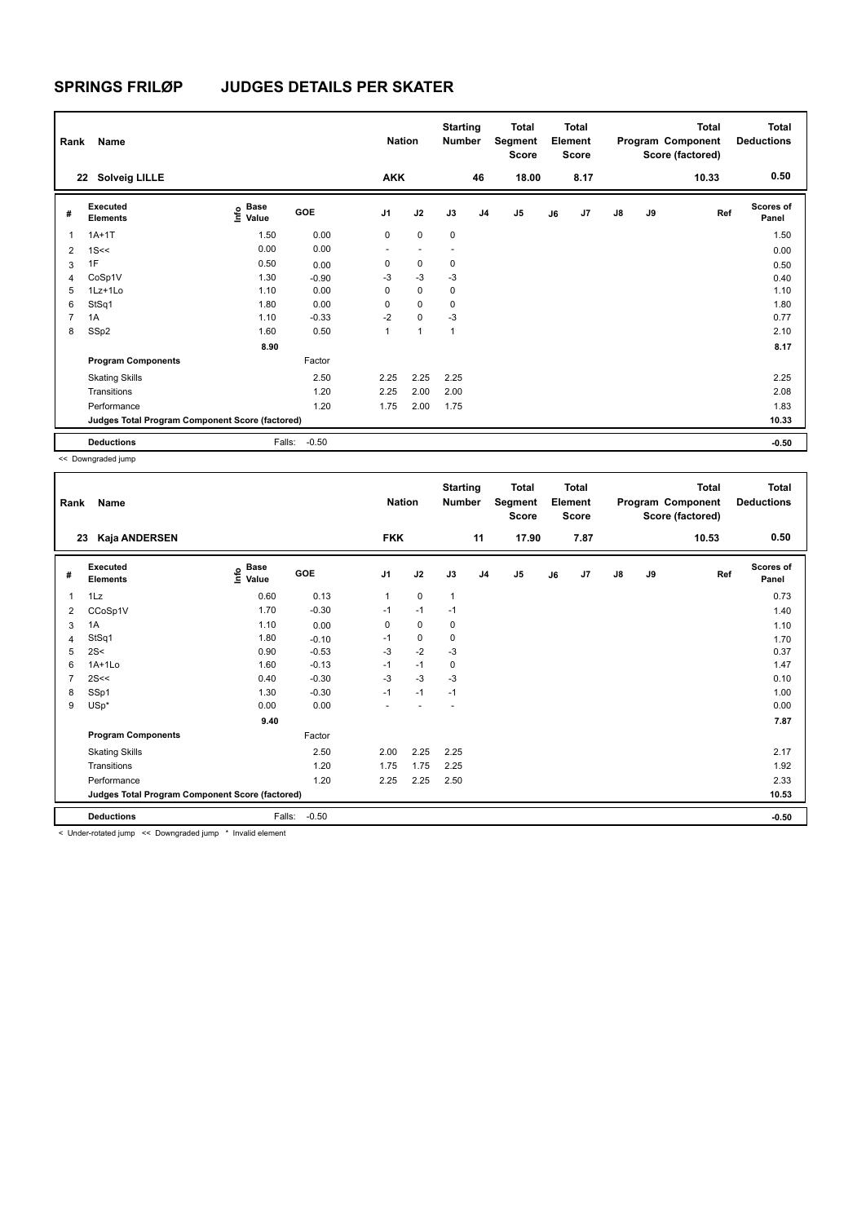| Rank           | Name<br>22 Solveig LILLE                        |                                  |         | <b>Nation</b><br><b>AKK</b> |             | <b>Starting</b><br><b>Number</b> | 46             | <b>Total</b><br>Segment<br>Score<br>18.00 |    | <b>Total</b><br>Element<br><b>Score</b><br>8.17 |               |    | <b>Total</b><br>Program Component<br>Score (factored)<br>10.33 | <b>Total</b><br><b>Deductions</b><br>0.50 |
|----------------|-------------------------------------------------|----------------------------------|---------|-----------------------------|-------------|----------------------------------|----------------|-------------------------------------------|----|-------------------------------------------------|---------------|----|----------------------------------------------------------------|-------------------------------------------|
|                |                                                 |                                  |         |                             |             |                                  |                |                                           |    |                                                 |               |    |                                                                |                                           |
| #              | Executed<br><b>Elements</b>                     | <b>Base</b><br>e Base<br>⊆ Value | GOE     | J <sub>1</sub>              | J2          | J3                               | J <sub>4</sub> | J <sub>5</sub>                            | J6 | J7                                              | $\mathsf{J}8$ | J9 | Ref                                                            | <b>Scores of</b><br>Panel                 |
| 1              | $1A+1T$                                         | 1.50                             | 0.00    | $\mathbf 0$                 | $\mathbf 0$ | $\mathbf 0$                      |                |                                           |    |                                                 |               |    |                                                                | 1.50                                      |
| $\overline{2}$ | 1S<<                                            | 0.00                             | 0.00    | ٠                           |             | $\overline{\phantom{a}}$         |                |                                           |    |                                                 |               |    |                                                                | 0.00                                      |
| 3              | 1F                                              | 0.50                             | 0.00    | 0                           | $\mathbf 0$ | 0                                |                |                                           |    |                                                 |               |    |                                                                | 0.50                                      |
| 4              | CoSp1V                                          | 1.30                             | $-0.90$ | $-3$                        | $-3$        | $-3$                             |                |                                           |    |                                                 |               |    |                                                                | 0.40                                      |
| 5              | 1Lz+1Lo                                         | 1.10                             | 0.00    | $\Omega$                    | $\Omega$    | 0                                |                |                                           |    |                                                 |               |    |                                                                | 1.10                                      |
| 6              | StSq1                                           | 1.80                             | 0.00    | 0                           | $\mathbf 0$ | 0                                |                |                                           |    |                                                 |               |    |                                                                | 1.80                                      |
| $\overline{7}$ | 1A                                              | 1.10                             | $-0.33$ | $-2$                        | $\mathbf 0$ | $-3$                             |                |                                           |    |                                                 |               |    |                                                                | 0.77                                      |
| 8              | SSp2                                            | 1.60                             | 0.50    | 1                           | 1           | $\overline{1}$                   |                |                                           |    |                                                 |               |    |                                                                | 2.10                                      |
|                |                                                 | 8.90                             |         |                             |             |                                  |                |                                           |    |                                                 |               |    |                                                                | 8.17                                      |
|                | <b>Program Components</b>                       |                                  | Factor  |                             |             |                                  |                |                                           |    |                                                 |               |    |                                                                |                                           |
|                | <b>Skating Skills</b>                           |                                  | 2.50    | 2.25                        | 2.25        | 2.25                             |                |                                           |    |                                                 |               |    |                                                                | 2.25                                      |
|                | Transitions                                     |                                  | 1.20    | 2.25                        | 2.00        | 2.00                             |                |                                           |    |                                                 |               |    |                                                                | 2.08                                      |
|                | Performance                                     |                                  | 1.20    | 1.75                        | 2.00        | 1.75                             |                |                                           |    |                                                 |               |    |                                                                | 1.83                                      |
|                | Judges Total Program Component Score (factored) |                                  |         |                             |             |                                  |                |                                           |    |                                                 |               |    |                                                                | 10.33                                     |
|                | <b>Deductions</b>                               | Falls:                           | $-0.50$ |                             |             |                                  |                |                                           |    |                                                 |               |    |                                                                | $-0.50$                                   |

<< Downgraded jump

| Rank           | <b>Name</b>                                     |                                  |            | <b>Nation</b>  |             | <b>Starting</b><br><b>Number</b> |                | <b>Total</b><br>Segment<br><b>Score</b> |    | <b>Total</b><br>Element<br><b>Score</b> |               |    | <b>Total</b><br>Program Component<br>Score (factored) | <b>Total</b><br><b>Deductions</b> |
|----------------|-------------------------------------------------|----------------------------------|------------|----------------|-------------|----------------------------------|----------------|-----------------------------------------|----|-----------------------------------------|---------------|----|-------------------------------------------------------|-----------------------------------|
|                | Kaja ANDERSEN<br>23                             |                                  |            | <b>FKK</b>     |             |                                  | 11             | 17.90                                   |    | 7.87                                    |               |    | 10.53                                                 | 0.50                              |
| #              | Executed<br><b>Elements</b>                     | <b>Base</b><br>e Base<br>⊆ Value | <b>GOE</b> | J <sub>1</sub> | J2          | J3                               | J <sub>4</sub> | J <sub>5</sub>                          | J6 | J7                                      | $\mathsf{J}8$ | J9 | Ref                                                   | <b>Scores of</b><br>Panel         |
| 1              | 1Lz                                             | 0.60                             | 0.13       | 1              | $\mathbf 0$ | $\mathbf{1}$                     |                |                                         |    |                                         |               |    |                                                       | 0.73                              |
| 2              | CCoSp1V                                         | 1.70                             | $-0.30$    | $-1$           | $-1$        | $-1$                             |                |                                         |    |                                         |               |    |                                                       | 1.40                              |
| 3              | 1A                                              | 1.10                             | 0.00       | 0              | 0           | 0                                |                |                                         |    |                                         |               |    |                                                       | 1.10                              |
| 4              | StSq1                                           | 1.80                             | $-0.10$    | $-1$           | 0           | $\mathbf 0$                      |                |                                         |    |                                         |               |    |                                                       | 1.70                              |
| 5              | 2S<                                             | 0.90                             | $-0.53$    | $-3$           | $-2$        | $-3$                             |                |                                         |    |                                         |               |    |                                                       | 0.37                              |
| 6              | $1A+1Lo$                                        | 1.60                             | $-0.13$    | $-1$           | $-1$        | $\mathbf 0$                      |                |                                         |    |                                         |               |    |                                                       | 1.47                              |
| $\overline{7}$ | 2S<<                                            | 0.40                             | $-0.30$    | $-3$           | $-3$        | $-3$                             |                |                                         |    |                                         |               |    |                                                       | 0.10                              |
| 8              | SSp1                                            | 1.30                             | $-0.30$    | $-1$           | $-1$        | $-1$                             |                |                                         |    |                                         |               |    |                                                       | 1.00                              |
| 9              | $USp*$                                          | 0.00                             | 0.00       | ٠              |             | $\overline{\phantom{a}}$         |                |                                         |    |                                         |               |    |                                                       | 0.00                              |
|                |                                                 | 9.40                             |            |                |             |                                  |                |                                         |    |                                         |               |    |                                                       | 7.87                              |
|                | <b>Program Components</b>                       |                                  | Factor     |                |             |                                  |                |                                         |    |                                         |               |    |                                                       |                                   |
|                | <b>Skating Skills</b>                           |                                  | 2.50       | 2.00           | 2.25        | 2.25                             |                |                                         |    |                                         |               |    |                                                       | 2.17                              |
|                | Transitions                                     |                                  | 1.20       | 1.75           | 1.75        | 2.25                             |                |                                         |    |                                         |               |    |                                                       | 1.92                              |
|                | Performance                                     |                                  | 1.20       | 2.25           | 2.25        | 2.50                             |                |                                         |    |                                         |               |    |                                                       | 2.33                              |
|                | Judges Total Program Component Score (factored) |                                  |            |                |             |                                  |                |                                         |    |                                         |               |    |                                                       | 10.53                             |
|                | <b>Deductions</b>                               | Falls:                           | $-0.50$    |                |             |                                  |                |                                         |    |                                         |               |    |                                                       | $-0.50$                           |

< Under-rotated jump << Downgraded jump \* Invalid element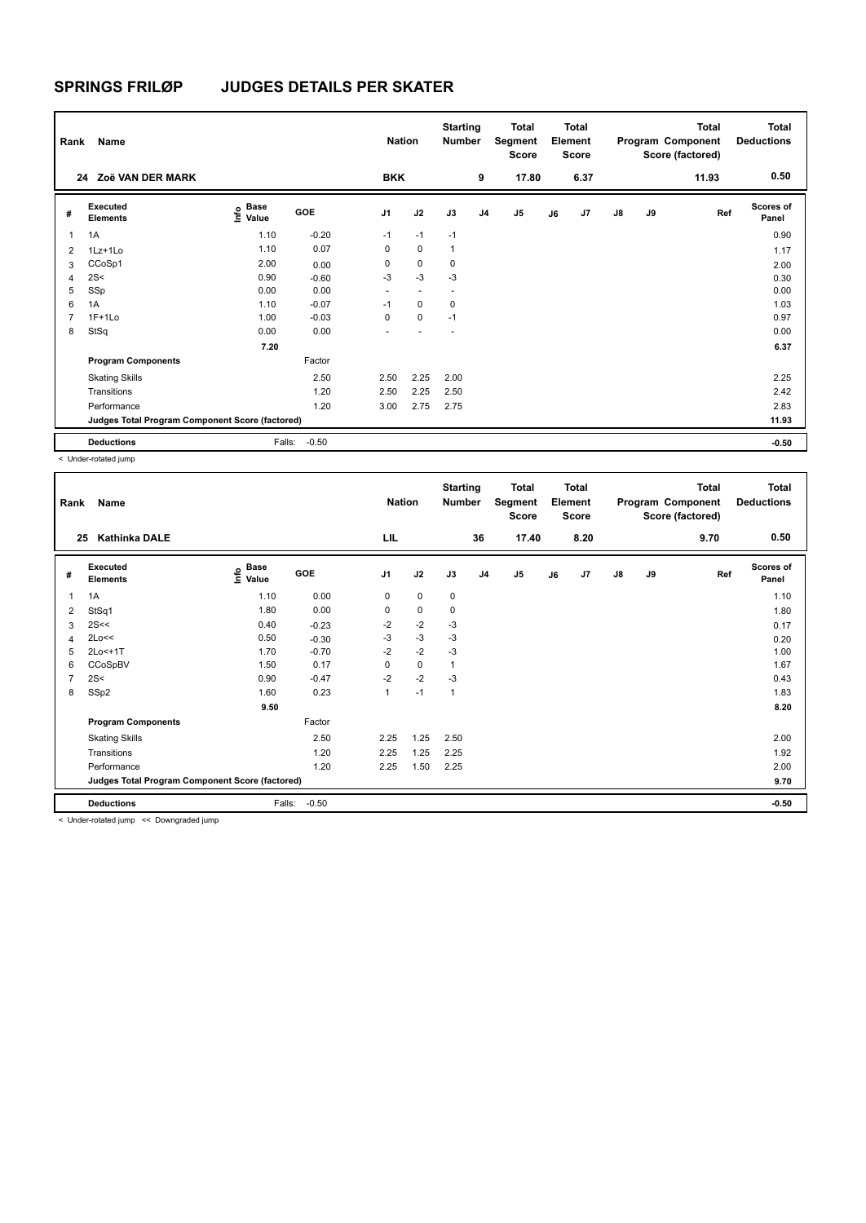| Rank           | Name                                            |                                  |         | <b>Nation</b>  |                          | <b>Starting</b><br><b>Number</b> |                | <b>Total</b><br>Segment<br><b>Score</b> |    | <b>Total</b><br>Element<br><b>Score</b> |               |    | <b>Total</b><br>Program Component<br>Score (factored) | Total<br><b>Deductions</b> |
|----------------|-------------------------------------------------|----------------------------------|---------|----------------|--------------------------|----------------------------------|----------------|-----------------------------------------|----|-----------------------------------------|---------------|----|-------------------------------------------------------|----------------------------|
| 24             | Zoë VAN DER MARK                                |                                  |         | <b>BKK</b>     |                          |                                  | 9              | 17.80                                   |    | 6.37                                    |               |    | 11.93                                                 | 0.50                       |
| #              | Executed<br><b>Elements</b>                     | <b>Base</b><br>e Base<br>E Value | GOE     | J <sub>1</sub> | J2                       | J3                               | J <sub>4</sub> | J <sub>5</sub>                          | J6 | J7                                      | $\mathsf{J}8$ | J9 | Ref                                                   | <b>Scores of</b><br>Panel  |
| 1              | 1A                                              | 1.10                             | $-0.20$ | $-1$           | $-1$                     | $-1$                             |                |                                         |    |                                         |               |    |                                                       | 0.90                       |
| $\overline{2}$ | 1Lz+1Lo                                         | 1.10                             | 0.07    | 0              | $\mathbf 0$              | $\mathbf{1}$                     |                |                                         |    |                                         |               |    |                                                       | 1.17                       |
| 3              | CCoSp1                                          | 2.00                             | 0.00    | 0              | $\mathbf 0$              | 0                                |                |                                         |    |                                         |               |    |                                                       | 2.00                       |
| 4              | 2S<                                             | 0.90                             | $-0.60$ | $-3$           | $-3$                     | $-3$                             |                |                                         |    |                                         |               |    |                                                       | 0.30                       |
| 5              | SSp                                             | 0.00                             | 0.00    | $\sim$         | $\overline{\phantom{a}}$ | $\overline{\phantom{a}}$         |                |                                         |    |                                         |               |    |                                                       | 0.00                       |
| 6              | 1A                                              | 1.10                             | $-0.07$ | $-1$           | $\Omega$                 | $\mathbf 0$                      |                |                                         |    |                                         |               |    |                                                       | 1.03                       |
| $\overline{7}$ | $1F+1Lo$                                        | 1.00                             | $-0.03$ | $\Omega$       | $\mathbf 0$              | $-1$                             |                |                                         |    |                                         |               |    |                                                       | 0.97                       |
| 8              | StSq                                            | 0.00                             | 0.00    |                |                          | ٠                                |                |                                         |    |                                         |               |    |                                                       | 0.00                       |
|                |                                                 | 7.20                             |         |                |                          |                                  |                |                                         |    |                                         |               |    |                                                       | 6.37                       |
|                | <b>Program Components</b>                       |                                  | Factor  |                |                          |                                  |                |                                         |    |                                         |               |    |                                                       |                            |
|                | <b>Skating Skills</b>                           |                                  | 2.50    | 2.50           | 2.25                     | 2.00                             |                |                                         |    |                                         |               |    |                                                       | 2.25                       |
|                | Transitions                                     |                                  | 1.20    | 2.50           | 2.25                     | 2.50                             |                |                                         |    |                                         |               |    |                                                       | 2.42                       |
|                | Performance                                     |                                  | 1.20    | 3.00           | 2.75                     | 2.75                             |                |                                         |    |                                         |               |    |                                                       | 2.83                       |
|                | Judges Total Program Component Score (factored) |                                  |         |                |                          |                                  |                |                                         |    |                                         |               |    |                                                       | 11.93                      |
|                | <b>Deductions</b>                               | Falls:                           | $-0.50$ |                |                          |                                  |                |                                         |    |                                         |               |    |                                                       | $-0.50$                    |

< Under-rotated jump

| Rank           | Name                                            |                                    |         | <b>Nation</b>  |             | <b>Starting</b><br>Number |                | <b>Total</b><br>Segment<br><b>Score</b> |    | <b>Total</b><br>Element<br><b>Score</b> |               |    | <b>Total</b><br>Program Component<br>Score (factored) | <b>Total</b><br><b>Deductions</b> |
|----------------|-------------------------------------------------|------------------------------------|---------|----------------|-------------|---------------------------|----------------|-----------------------------------------|----|-----------------------------------------|---------------|----|-------------------------------------------------------|-----------------------------------|
| 25             | <b>Kathinka DALE</b>                            |                                    |         | LIL            |             |                           | 36             | 17.40                                   |    | 8.20                                    |               |    | 9.70                                                  | 0.50                              |
| #              | <b>Executed</b><br><b>Elements</b>              | <b>Base</b><br>$\frac{6}{5}$ Value | GOE     | J <sub>1</sub> | J2          | J3                        | J <sub>4</sub> | $\mathsf{J}5$                           | J6 | J7                                      | $\mathsf{J}8$ | J9 | Ref                                                   | <b>Scores of</b><br>Panel         |
| 1              | 1A                                              | 1.10                               | 0.00    | 0              | $\mathbf 0$ | 0                         |                |                                         |    |                                         |               |    |                                                       | 1.10                              |
| 2              | StSq1                                           | 1.80                               | 0.00    | 0              | 0           | 0                         |                |                                         |    |                                         |               |    |                                                       | 1.80                              |
| 3              | 2S<<                                            | 0.40                               | $-0.23$ | $-2$           | $-2$        | $-3$                      |                |                                         |    |                                         |               |    |                                                       | 0.17                              |
| 4              | 2Lo<<                                           | 0.50                               | $-0.30$ | $-3$           | $-3$        | -3                        |                |                                         |    |                                         |               |    |                                                       | 0.20                              |
| 5              | 2Lo<+1T                                         | 1.70                               | $-0.70$ | $-2$           | $-2$        | -3                        |                |                                         |    |                                         |               |    |                                                       | 1.00                              |
| 6              | CCoSpBV                                         | 1.50                               | 0.17    | 0              | 0           | $\mathbf{1}$              |                |                                         |    |                                         |               |    |                                                       | 1.67                              |
| $\overline{7}$ | 2S<                                             | 0.90                               | $-0.47$ | $-2$           | $-2$        | $-3$                      |                |                                         |    |                                         |               |    |                                                       | 0.43                              |
| 8              | SSp2                                            | 1.60                               | 0.23    | $\mathbf{1}$   | $-1$        | $\mathbf{1}$              |                |                                         |    |                                         |               |    |                                                       | 1.83                              |
|                |                                                 | 9.50                               |         |                |             |                           |                |                                         |    |                                         |               |    |                                                       | 8.20                              |
|                | <b>Program Components</b>                       |                                    | Factor  |                |             |                           |                |                                         |    |                                         |               |    |                                                       |                                   |
|                | <b>Skating Skills</b>                           |                                    | 2.50    | 2.25           | 1.25        | 2.50                      |                |                                         |    |                                         |               |    |                                                       | 2.00                              |
|                | Transitions                                     |                                    | 1.20    | 2.25           | 1.25        | 2.25                      |                |                                         |    |                                         |               |    |                                                       | 1.92                              |
|                | Performance                                     |                                    | 1.20    | 2.25           | 1.50        | 2.25                      |                |                                         |    |                                         |               |    |                                                       | 2.00                              |
|                | Judges Total Program Component Score (factored) |                                    |         |                |             |                           |                |                                         |    |                                         |               |    |                                                       | 9.70                              |
|                | <b>Deductions</b>                               | Falls:                             | $-0.50$ |                |             |                           |                |                                         |    |                                         |               |    |                                                       | $-0.50$                           |

< Under-rotated jump << Downgraded jump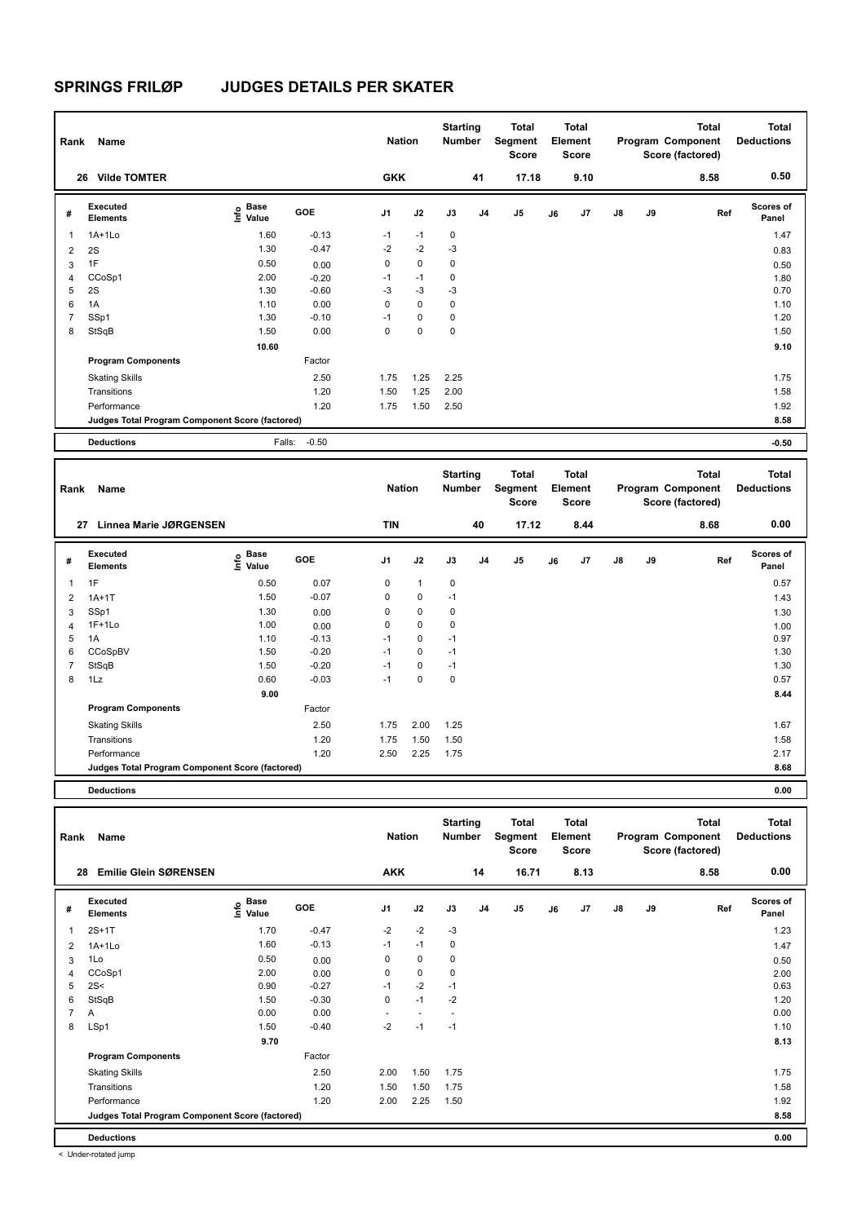| Rank           | Name                                            |                                             |         | <b>Nation</b>  |             | <b>Starting</b><br><b>Number</b> |                | <b>Total</b><br>Segment<br><b>Score</b> |    | Total<br>Element<br><b>Score</b> |               |    | <b>Total</b><br>Program Component<br>Score (factored) | <b>Total</b><br><b>Deductions</b> |
|----------------|-------------------------------------------------|---------------------------------------------|---------|----------------|-------------|----------------------------------|----------------|-----------------------------------------|----|----------------------------------|---------------|----|-------------------------------------------------------|-----------------------------------|
|                | <b>Vilde TOMTER</b><br>26                       |                                             |         | <b>GKK</b>     |             |                                  | 41             | 17.18                                   |    | 9.10                             |               |    | 8.58                                                  | 0.50                              |
| #              | Executed<br><b>Elements</b>                     | <b>Base</b><br>e <sup>Base</sup><br>⊆ Value | GOE     | J <sub>1</sub> | J2          | J3                               | J <sub>4</sub> | J <sub>5</sub>                          | J6 | J7                               | $\mathsf{J}8$ | J9 | Ref                                                   | <b>Scores of</b><br>Panel         |
| 1              | $1A+1Lo$                                        | 1.60                                        | $-0.13$ | $-1$           | $-1$        | $\mathbf 0$                      |                |                                         |    |                                  |               |    |                                                       | 1.47                              |
| 2              | 2S                                              | 1.30                                        | $-0.47$ | $-2$           | $-2$        | $-3$                             |                |                                         |    |                                  |               |    |                                                       | 0.83                              |
| 3              | 1F                                              | 0.50                                        | 0.00    | 0              | $\mathbf 0$ | $\mathbf 0$                      |                |                                         |    |                                  |               |    |                                                       | 0.50                              |
| $\overline{4}$ | CCoSp1                                          | 2.00                                        | $-0.20$ | $-1$           | $-1$        | 0                                |                |                                         |    |                                  |               |    |                                                       | 1.80                              |
| 5              | 2S                                              | 1.30                                        | $-0.60$ | $-3$           | $-3$        | $-3$                             |                |                                         |    |                                  |               |    |                                                       | 0.70                              |
| 6              | 1A                                              | 1.10                                        | 0.00    | 0              | $\mathbf 0$ | 0                                |                |                                         |    |                                  |               |    |                                                       | 1.10                              |
| $\overline{7}$ | SSp1                                            | 1.30                                        | $-0.10$ | $-1$           | $\mathbf 0$ | 0                                |                |                                         |    |                                  |               |    |                                                       | 1.20                              |
| 8              | StSqB                                           | 1.50                                        | 0.00    | 0              | $\mathbf 0$ | $\mathbf 0$                      |                |                                         |    |                                  |               |    |                                                       | 1.50                              |
|                |                                                 | 10.60                                       |         |                |             |                                  |                |                                         |    |                                  |               |    |                                                       | 9.10                              |
|                | <b>Program Components</b>                       |                                             | Factor  |                |             |                                  |                |                                         |    |                                  |               |    |                                                       |                                   |
|                | <b>Skating Skills</b>                           |                                             | 2.50    | 1.75           | 1.25        | 2.25                             |                |                                         |    |                                  |               |    |                                                       | 1.75                              |
|                | Transitions                                     |                                             | 1.20    | 1.50           | 1.25        | 2.00                             |                |                                         |    |                                  |               |    |                                                       | 1.58                              |
|                | Performance                                     |                                             | 1.20    | 1.75           | 1.50        | 2.50                             |                |                                         |    |                                  |               |    |                                                       | 1.92                              |
|                | Judges Total Program Component Score (factored) |                                             |         |                |             |                                  |                |                                         |    |                                  |               |    |                                                       | 8.58                              |
|                | <b>Deductions</b>                               | Falls:                                      | $-0.50$ |                |             |                                  |                |                                         |    |                                  |               |    |                                                       | $-0.50$                           |

| Rank           | Name                                            |                           |         | <b>Nation</b>  |              | <b>Starting</b><br><b>Number</b> |    | Total<br>Segment<br>Score |    | <b>Total</b><br>Element<br>Score |               |    | <b>Total</b><br>Program Component<br>Score (factored) | <b>Total</b><br><b>Deductions</b> |
|----------------|-------------------------------------------------|---------------------------|---------|----------------|--------------|----------------------------------|----|---------------------------|----|----------------------------------|---------------|----|-------------------------------------------------------|-----------------------------------|
| 27             | <b>Linnea Marie JØRGENSEN</b>                   |                           |         | <b>TIN</b>     |              |                                  | 40 | 17.12                     |    | 8.44                             |               |    | 8.68                                                  | 0.00                              |
| #              | Executed<br><b>Elements</b>                     | Base<br>e Base<br>E Value | GOE     | J <sub>1</sub> | J2           | J3                               | J4 | J <sub>5</sub>            | J6 | J <sub>7</sub>                   | $\mathsf{J}8$ | J9 | Ref                                                   | <b>Scores of</b><br>Panel         |
| 1              | 1F                                              | 0.50                      | 0.07    | 0              | $\mathbf{1}$ | 0                                |    |                           |    |                                  |               |    |                                                       | 0.57                              |
| 2              | $1A+1T$                                         | 1.50                      | $-0.07$ | 0              | 0            | $-1$                             |    |                           |    |                                  |               |    |                                                       | 1.43                              |
| 3              | SSp1                                            | 1.30                      | 0.00    | 0              | $\mathbf 0$  | 0                                |    |                           |    |                                  |               |    |                                                       | 1.30                              |
| 4              | $1F+1Lo$                                        | 1.00                      | 0.00    | 0              | 0            | 0                                |    |                           |    |                                  |               |    |                                                       | 1.00                              |
| 5              | 1A                                              | 1.10                      | $-0.13$ | $-1$           | 0            | $-1$                             |    |                           |    |                                  |               |    |                                                       | 0.97                              |
| 6              | CCoSpBV                                         | 1.50                      | $-0.20$ | $-1$           | 0            | $-1$                             |    |                           |    |                                  |               |    |                                                       | 1.30                              |
| $\overline{7}$ | StSqB                                           | 1.50                      | $-0.20$ | $-1$           | 0            | $-1$                             |    |                           |    |                                  |               |    |                                                       | 1.30                              |
| 8              | 1Lz                                             | 0.60                      | $-0.03$ | $-1$           | 0            | 0                                |    |                           |    |                                  |               |    |                                                       | 0.57                              |
|                |                                                 | 9.00                      |         |                |              |                                  |    |                           |    |                                  |               |    |                                                       | 8.44                              |
|                | <b>Program Components</b>                       |                           | Factor  |                |              |                                  |    |                           |    |                                  |               |    |                                                       |                                   |
|                | <b>Skating Skills</b>                           |                           | 2.50    | 1.75           | 2.00         | 1.25                             |    |                           |    |                                  |               |    |                                                       | 1.67                              |
|                | Transitions                                     |                           | 1.20    | 1.75           | 1.50         | 1.50                             |    |                           |    |                                  |               |    |                                                       | 1.58                              |
|                | Performance                                     |                           | 1.20    | 2.50           | 2.25         | 1.75                             |    |                           |    |                                  |               |    |                                                       | 2.17                              |
|                | Judges Total Program Component Score (factored) |                           |         |                |              |                                  |    |                           |    |                                  |               |    |                                                       | 8.68                              |
|                |                                                 |                           |         |                |              |                                  |    |                           |    |                                  |               |    |                                                       |                                   |

**Deductions 0.00**

| Rank           | Name                                            |                                    |            | <b>Nation</b>  |                | <b>Starting</b><br><b>Number</b> |                | <b>Total</b><br>Segment<br>Score |    | <b>Total</b><br>Element<br><b>Score</b> |    |    | Total<br>Program Component<br>Score (factored) | <b>Total</b><br><b>Deductions</b> |
|----------------|-------------------------------------------------|------------------------------------|------------|----------------|----------------|----------------------------------|----------------|----------------------------------|----|-----------------------------------------|----|----|------------------------------------------------|-----------------------------------|
| 28             | <b>Emilie Glein SØRENSEN</b>                    |                                    |            | <b>AKK</b>     |                |                                  | 14             | 16.71                            |    | 8.13                                    |    |    | 8.58                                           | 0.00                              |
| #              | Executed<br><b>Elements</b>                     | <b>Base</b><br>$\frac{6}{5}$ Value | <b>GOE</b> | J <sub>1</sub> | J2             | J3                               | J <sub>4</sub> | J <sub>5</sub>                   | J6 | J7                                      | J8 | J9 | Ref                                            | <b>Scores of</b><br>Panel         |
|                | $2S+1T$                                         | 1.70                               | $-0.47$    | $-2$           | $-2$           | $-3$                             |                |                                  |    |                                         |    |    |                                                | 1.23                              |
| 2              | $1A+1Lo$                                        | 1.60                               | $-0.13$    | $-1$           | $-1$           | 0                                |                |                                  |    |                                         |    |    |                                                | 1.47                              |
| 3              | 1Lo                                             | 0.50                               | 0.00       | 0              | $\mathbf 0$    | 0                                |                |                                  |    |                                         |    |    |                                                | 0.50                              |
| 4              | CCoSp1                                          | 2.00                               | 0.00       | 0              | $\mathbf 0$    | 0                                |                |                                  |    |                                         |    |    |                                                | 2.00                              |
| 5              | 2S<                                             | 0.90                               | $-0.27$    | $-1$           | $-2$           | $-1$                             |                |                                  |    |                                         |    |    |                                                | 0.63                              |
| 6              | StSqB                                           | 1.50                               | $-0.30$    | 0              | $-1$           | $-2$                             |                |                                  |    |                                         |    |    |                                                | 1.20                              |
| $\overline{7}$ | A                                               | 0.00                               | 0.00       | ٠              | $\overline{a}$ |                                  |                |                                  |    |                                         |    |    |                                                | 0.00                              |
| 8              | LSp1                                            | 1.50                               | $-0.40$    | $-2$           | $-1$           | $-1$                             |                |                                  |    |                                         |    |    |                                                | 1.10                              |
|                |                                                 | 9.70                               |            |                |                |                                  |                |                                  |    |                                         |    |    |                                                | 8.13                              |
|                | <b>Program Components</b>                       |                                    | Factor     |                |                |                                  |                |                                  |    |                                         |    |    |                                                |                                   |
|                | <b>Skating Skills</b>                           |                                    | 2.50       | 2.00           | 1.50           | 1.75                             |                |                                  |    |                                         |    |    |                                                | 1.75                              |
|                | Transitions                                     |                                    | 1.20       | 1.50           | 1.50           | 1.75                             |                |                                  |    |                                         |    |    |                                                | 1.58                              |
|                | Performance                                     |                                    | 1.20       | 2.00           | 2.25           | 1.50                             |                |                                  |    |                                         |    |    |                                                | 1.92                              |
|                | Judges Total Program Component Score (factored) |                                    |            |                |                |                                  |                |                                  |    |                                         |    |    |                                                | 8.58                              |
|                | <b>Deductions</b>                               |                                    |            |                |                |                                  |                |                                  |    |                                         |    |    |                                                | 0.00                              |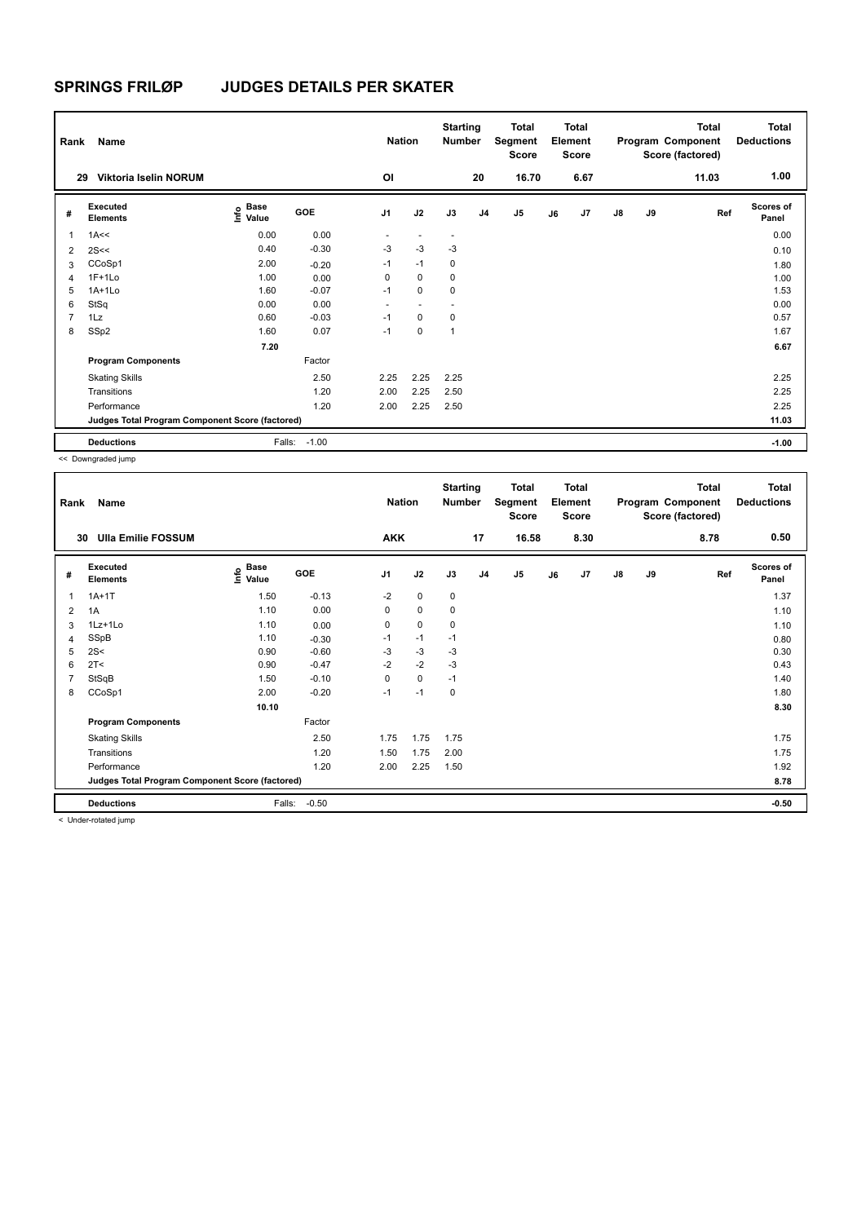| Rank           | Name                                            |                                  |         | <b>Nation</b>  |                | <b>Starting</b><br><b>Number</b> |                | <b>Total</b><br>Segment<br>Score |    | <b>Total</b><br>Element<br><b>Score</b> |               |    | <b>Total</b><br>Program Component<br>Score (factored) | <b>Total</b><br><b>Deductions</b> |
|----------------|-------------------------------------------------|----------------------------------|---------|----------------|----------------|----------------------------------|----------------|----------------------------------|----|-----------------------------------------|---------------|----|-------------------------------------------------------|-----------------------------------|
| 29             | Viktoria Iselin NORUM                           |                                  |         | OI             |                |                                  | 20             | 16.70                            |    | 6.67                                    |               |    | 11.03                                                 | 1.00                              |
| #              | Executed<br><b>Elements</b>                     | <b>Base</b><br>e Base<br>⊆ Value | GOE     | J <sub>1</sub> | J2             | J3                               | J <sub>4</sub> | J <sub>5</sub>                   | J6 | J7                                      | $\mathsf{J}8$ | J9 | Ref                                                   | <b>Scores of</b><br>Panel         |
| 1              | 1A<<                                            | 0.00                             | 0.00    | ٠              | $\overline{a}$ | $\overline{\phantom{a}}$         |                |                                  |    |                                         |               |    |                                                       | 0.00                              |
| $\overline{2}$ | 2S<<                                            | 0.40                             | $-0.30$ | $-3$           | $-3$           | $-3$                             |                |                                  |    |                                         |               |    |                                                       | 0.10                              |
| 3              | CCoSp1                                          | 2.00                             | $-0.20$ | $-1$           | $-1$           | 0                                |                |                                  |    |                                         |               |    |                                                       | 1.80                              |
| 4              | $1F+1Lo$                                        | 1.00                             | 0.00    | 0              | $\mathbf 0$    | 0                                |                |                                  |    |                                         |               |    |                                                       | 1.00                              |
| 5              | $1A+1Lo$                                        | 1.60                             | $-0.07$ | $-1$           | $\Omega$       | 0                                |                |                                  |    |                                         |               |    |                                                       | 1.53                              |
| 6              | StSq                                            | 0.00                             | 0.00    | ۰              |                | $\overline{\phantom{a}}$         |                |                                  |    |                                         |               |    |                                                       | 0.00                              |
| $\overline{7}$ | 1Lz                                             | 0.60                             | $-0.03$ | $-1$           | $\mathbf 0$    | 0                                |                |                                  |    |                                         |               |    |                                                       | 0.57                              |
| 8              | SSp2                                            | 1.60                             | 0.07    | $-1$           | $\mathbf 0$    | 1                                |                |                                  |    |                                         |               |    |                                                       | 1.67                              |
|                |                                                 | 7.20                             |         |                |                |                                  |                |                                  |    |                                         |               |    |                                                       | 6.67                              |
|                | <b>Program Components</b>                       |                                  | Factor  |                |                |                                  |                |                                  |    |                                         |               |    |                                                       |                                   |
|                | <b>Skating Skills</b>                           |                                  | 2.50    | 2.25           | 2.25           | 2.25                             |                |                                  |    |                                         |               |    |                                                       | 2.25                              |
|                | Transitions                                     |                                  | 1.20    | 2.00           | 2.25           | 2.50                             |                |                                  |    |                                         |               |    |                                                       | 2.25                              |
|                | Performance                                     |                                  | 1.20    | 2.00           | 2.25           | 2.50                             |                |                                  |    |                                         |               |    |                                                       | 2.25                              |
|                | Judges Total Program Component Score (factored) |                                  |         |                |                |                                  |                |                                  |    |                                         |               |    |                                                       | 11.03                             |
|                | <b>Deductions</b>                               | Falls:                           | $-1.00$ |                |                |                                  |                |                                  |    |                                         |               |    |                                                       | $-1.00$                           |

<< Downgraded jump

| Rank | Name                                            |                                           |         | <b>Nation</b>  |             | <b>Starting</b><br>Number |                | Total<br>Segment<br><b>Score</b> |    | <b>Total</b><br>Element<br><b>Score</b> |               |    | <b>Total</b><br>Program Component<br>Score (factored) | <b>Total</b><br><b>Deductions</b> |
|------|-------------------------------------------------|-------------------------------------------|---------|----------------|-------------|---------------------------|----------------|----------------------------------|----|-----------------------------------------|---------------|----|-------------------------------------------------------|-----------------------------------|
| 30   | <b>Ulla Emilie FOSSUM</b>                       |                                           |         | <b>AKK</b>     |             |                           | 17             | 16.58                            |    | 8.30                                    |               |    | 8.78                                                  | 0.50                              |
| #    | Executed<br><b>Elements</b>                     | $\frac{e}{E}$ Base<br>$\frac{E}{E}$ Value | GOE     | J <sub>1</sub> | J2          | J3                        | J <sub>4</sub> | J <sub>5</sub>                   | J6 | J7                                      | $\mathsf{J}8$ | J9 | Ref                                                   | <b>Scores of</b><br>Panel         |
| 1    | $1A+1T$                                         | 1.50                                      | $-0.13$ | $-2$           | $\mathbf 0$ | 0                         |                |                                  |    |                                         |               |    |                                                       | 1.37                              |
| 2    | 1A                                              | 1.10                                      | 0.00    | 0              | 0           | 0                         |                |                                  |    |                                         |               |    |                                                       | 1.10                              |
| 3    | 1Lz+1Lo                                         | 1.10                                      | 0.00    | 0              | $\mathbf 0$ | 0                         |                |                                  |    |                                         |               |    |                                                       | 1.10                              |
| 4    | SSpB                                            | 1.10                                      | $-0.30$ | $-1$           | $-1$        | $-1$                      |                |                                  |    |                                         |               |    |                                                       | 0.80                              |
| 5    | 2S<                                             | 0.90                                      | $-0.60$ | $-3$           | $-3$        | -3                        |                |                                  |    |                                         |               |    |                                                       | 0.30                              |
| 6    | 2T <                                            | 0.90                                      | $-0.47$ | $-2$           | $-2$        | -3                        |                |                                  |    |                                         |               |    |                                                       | 0.43                              |
| 7    | StSqB                                           | 1.50                                      | $-0.10$ | 0              | 0           | $-1$                      |                |                                  |    |                                         |               |    |                                                       | 1.40                              |
| 8    | CCoSp1                                          | 2.00                                      | $-0.20$ | $-1$           | $-1$        | 0                         |                |                                  |    |                                         |               |    |                                                       | 1.80                              |
|      |                                                 | 10.10                                     |         |                |             |                           |                |                                  |    |                                         |               |    |                                                       | 8.30                              |
|      | <b>Program Components</b>                       |                                           | Factor  |                |             |                           |                |                                  |    |                                         |               |    |                                                       |                                   |
|      | <b>Skating Skills</b>                           |                                           | 2.50    | 1.75           | 1.75        | 1.75                      |                |                                  |    |                                         |               |    |                                                       | 1.75                              |
|      | Transitions                                     |                                           | 1.20    | 1.50           | 1.75        | 2.00                      |                |                                  |    |                                         |               |    |                                                       | 1.75                              |
|      | Performance                                     |                                           | 1.20    | 2.00           | 2.25        | 1.50                      |                |                                  |    |                                         |               |    |                                                       | 1.92                              |
|      | Judges Total Program Component Score (factored) |                                           |         |                |             |                           |                |                                  |    |                                         |               |    |                                                       | 8.78                              |
|      | <b>Deductions</b>                               | Falls:                                    | $-0.50$ |                |             |                           |                |                                  |    |                                         |               |    |                                                       | $-0.50$                           |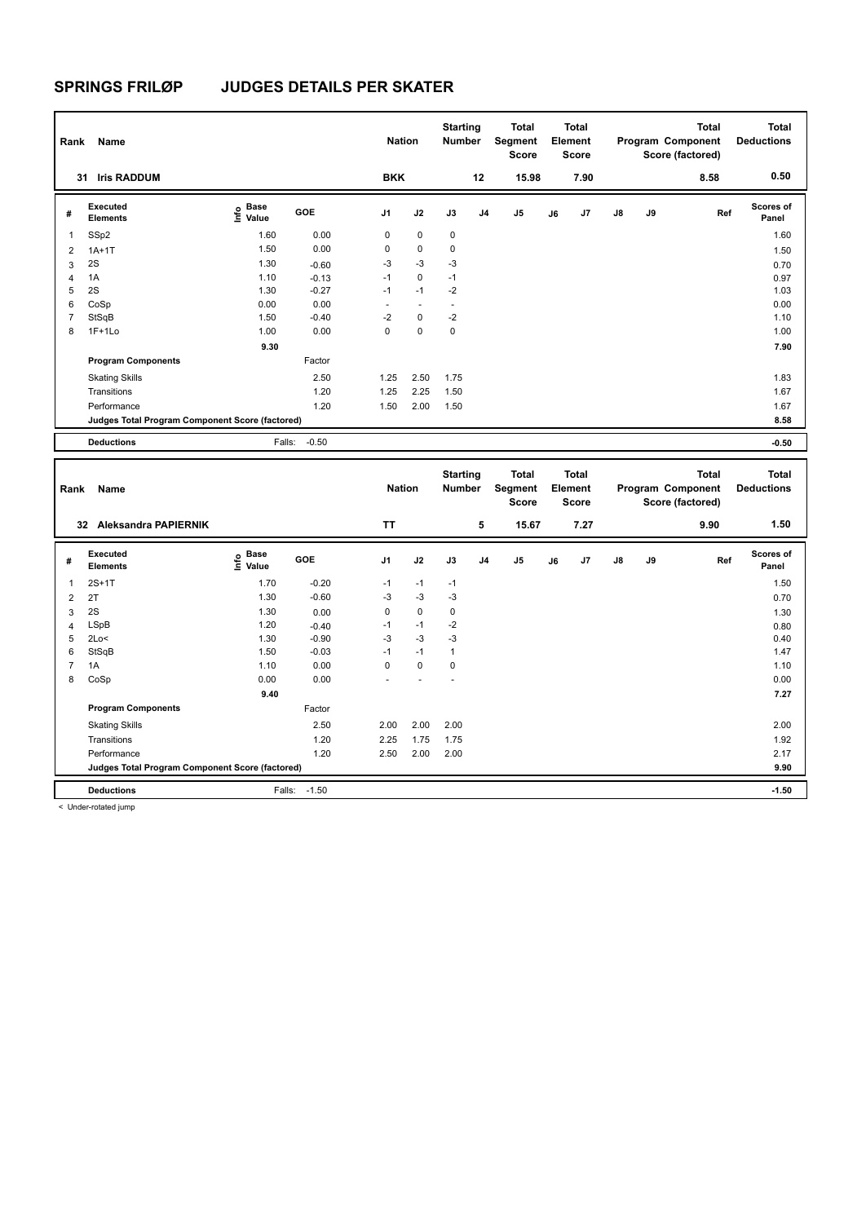| Rank           | Name                                            |                                  |         | <b>Nation</b> |             | <b>Starting</b><br><b>Number</b> |                | Total<br>Segment<br><b>Score</b> |    | <b>Total</b><br>Element<br><b>Score</b> |    |    | <b>Total</b><br>Program Component<br>Score (factored) | <b>Total</b><br><b>Deductions</b> |
|----------------|-------------------------------------------------|----------------------------------|---------|---------------|-------------|----------------------------------|----------------|----------------------------------|----|-----------------------------------------|----|----|-------------------------------------------------------|-----------------------------------|
|                | <b>Iris RADDUM</b><br>31                        |                                  |         | <b>BKK</b>    |             |                                  | 12             | 15.98                            |    | 7.90                                    |    |    | 8.58                                                  | 0.50                              |
| #              | Executed<br><b>Elements</b>                     | <b>Base</b><br>e Base<br>⊆ Value | GOE     | J1            | J2          | J3                               | J <sub>4</sub> | J <sub>5</sub>                   | J6 | J7                                      | J8 | J9 | Ref                                                   | Scores of<br>Panel                |
| 1              | SSp2                                            | 1.60                             | 0.00    | 0             | $\mathbf 0$ | $\mathbf 0$                      |                |                                  |    |                                         |    |    |                                                       | 1.60                              |
| $\overline{2}$ | $1A+1T$                                         | 1.50                             | 0.00    | 0             | 0           | 0                                |                |                                  |    |                                         |    |    |                                                       | 1.50                              |
| 3              | 2S                                              | 1.30                             | $-0.60$ | $-3$          | $-3$        | $-3$                             |                |                                  |    |                                         |    |    |                                                       | 0.70                              |
| 4              | 1A                                              | 1.10                             | $-0.13$ | $-1$          | 0           | $-1$                             |                |                                  |    |                                         |    |    |                                                       | 0.97                              |
| 5              | 2S                                              | 1.30                             | $-0.27$ | $-1$          | $-1$        | $-2$                             |                |                                  |    |                                         |    |    |                                                       | 1.03                              |
| 6              | CoSp                                            | 0.00                             | 0.00    |               |             |                                  |                |                                  |    |                                         |    |    |                                                       | 0.00                              |
| $\overline{7}$ | StSqB                                           | 1.50                             | $-0.40$ | $-2$          | $\mathbf 0$ | $-2$                             |                |                                  |    |                                         |    |    |                                                       | 1.10                              |
| 8              | $1F+1Lo$                                        | 1.00                             | 0.00    | $\mathbf 0$   | $\mathbf 0$ | 0                                |                |                                  |    |                                         |    |    |                                                       | 1.00                              |
|                |                                                 | 9.30                             |         |               |             |                                  |                |                                  |    |                                         |    |    |                                                       | 7.90                              |
|                | <b>Program Components</b>                       |                                  | Factor  |               |             |                                  |                |                                  |    |                                         |    |    |                                                       |                                   |
|                | <b>Skating Skills</b>                           |                                  | 2.50    | 1.25          | 2.50        | 1.75                             |                |                                  |    |                                         |    |    |                                                       | 1.83                              |
|                | Transitions                                     |                                  | 1.20    | 1.25          | 2.25        | 1.50                             |                |                                  |    |                                         |    |    |                                                       | 1.67                              |
|                | Performance                                     |                                  | 1.20    | 1.50          | 2.00        | 1.50                             |                |                                  |    |                                         |    |    |                                                       | 1.67                              |
|                | Judges Total Program Component Score (factored) |                                  |         |               |             |                                  |                |                                  |    |                                         |    |    |                                                       | 8.58                              |
|                | <b>Deductions</b>                               | Falls:                           | $-0.50$ |               |             |                                  |                |                                  |    |                                         |    |    |                                                       | $-0.50$                           |

| Rank           | Name                                            |                                  |            | <b>Nation</b>            |                | <b>Starting</b><br><b>Number</b> |                | Total<br>Segment<br><b>Score</b> |    | <b>Total</b><br>Element<br><b>Score</b> |               |    | <b>Total</b><br>Program Component<br>Score (factored) | <b>Total</b><br><b>Deductions</b> |
|----------------|-------------------------------------------------|----------------------------------|------------|--------------------------|----------------|----------------------------------|----------------|----------------------------------|----|-----------------------------------------|---------------|----|-------------------------------------------------------|-----------------------------------|
|                | <b>Aleksandra PAPIERNIK</b><br>32               |                                  |            | <b>TT</b>                |                |                                  | 5              | 15.67                            |    | 7.27                                    |               |    | 9.90                                                  | 1.50                              |
| #              | Executed<br><b>Elements</b>                     | <b>Base</b><br>e Base<br>E Value | <b>GOE</b> | J <sub>1</sub>           | J2             | J3                               | J <sub>4</sub> | J <sub>5</sub>                   | J6 | J7                                      | $\mathsf{J}8$ | J9 | Ref                                                   | <b>Scores of</b><br>Panel         |
| 1              | $2S+1T$                                         | 1.70                             | $-0.20$    | $-1$                     | $-1$           | $-1$                             |                |                                  |    |                                         |               |    |                                                       | 1.50                              |
| $\overline{2}$ | 2T                                              | 1.30                             | $-0.60$    | $-3$                     | $-3$           | $-3$                             |                |                                  |    |                                         |               |    |                                                       | 0.70                              |
| 3              | 2S                                              | 1.30                             | 0.00       | 0                        | $\mathbf 0$    | 0                                |                |                                  |    |                                         |               |    |                                                       | 1.30                              |
| 4              | LSpB                                            | 1.20                             | $-0.40$    | $-1$                     | $-1$           | $-2$                             |                |                                  |    |                                         |               |    |                                                       | 0.80                              |
| 5              | 2Lo<                                            | 1.30                             | $-0.90$    | $-3$                     | $-3$           | $-3$                             |                |                                  |    |                                         |               |    |                                                       | 0.40                              |
| 6              | StSqB                                           | 1.50                             | $-0.03$    | $-1$                     | $-1$           | $\mathbf{1}$                     |                |                                  |    |                                         |               |    |                                                       | 1.47                              |
|                | 1A                                              | 1.10                             | 0.00       | 0                        | $\mathbf 0$    | 0                                |                |                                  |    |                                         |               |    |                                                       | 1.10                              |
| 8              | CoSp                                            | 0.00                             | 0.00       | $\overline{\phantom{a}}$ | $\overline{a}$ | $\overline{\phantom{a}}$         |                |                                  |    |                                         |               |    |                                                       | 0.00                              |
|                |                                                 | 9.40                             |            |                          |                |                                  |                |                                  |    |                                         |               |    |                                                       | 7.27                              |
|                | <b>Program Components</b>                       |                                  | Factor     |                          |                |                                  |                |                                  |    |                                         |               |    |                                                       |                                   |
|                | <b>Skating Skills</b>                           |                                  | 2.50       | 2.00                     | 2.00           | 2.00                             |                |                                  |    |                                         |               |    |                                                       | 2.00                              |
|                | Transitions                                     |                                  | 1.20       | 2.25                     | 1.75           | 1.75                             |                |                                  |    |                                         |               |    |                                                       | 1.92                              |
|                | Performance                                     |                                  | 1.20       | 2.50                     | 2.00           | 2.00                             |                |                                  |    |                                         |               |    |                                                       | 2.17                              |
|                | Judges Total Program Component Score (factored) |                                  |            |                          |                |                                  |                |                                  |    |                                         |               |    |                                                       | 9.90                              |
|                | <b>Deductions</b>                               | Falls:                           | $-1.50$    |                          |                |                                  |                |                                  |    |                                         |               |    |                                                       | $-1.50$                           |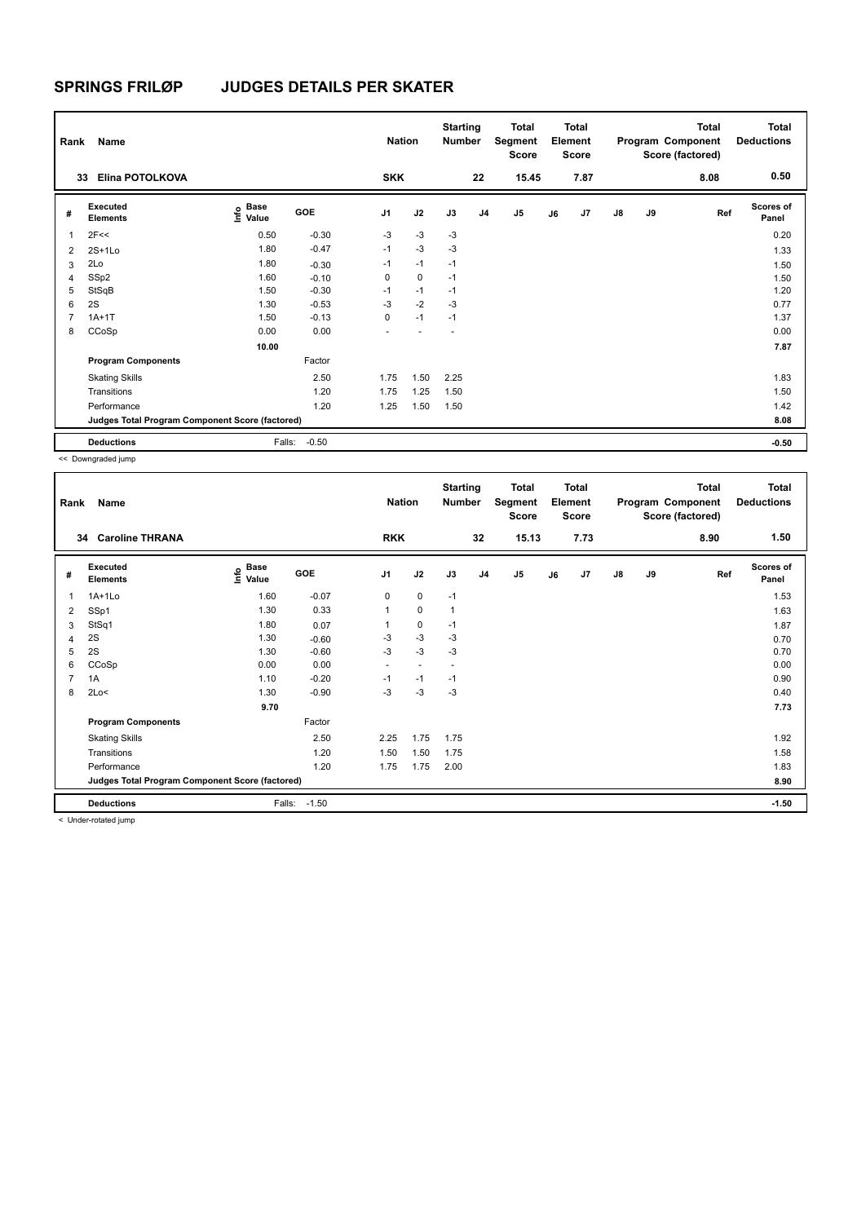| Rank           | Name                                            |                                  |         | <b>Nation</b>  |             | <b>Starting</b><br><b>Number</b> |                | <b>Total</b><br>Segment<br>Score |    | <b>Total</b><br>Element<br><b>Score</b> |               |    | <b>Total</b><br>Program Component<br>Score (factored) | <b>Total</b><br><b>Deductions</b><br>0.50 |
|----------------|-------------------------------------------------|----------------------------------|---------|----------------|-------------|----------------------------------|----------------|----------------------------------|----|-----------------------------------------|---------------|----|-------------------------------------------------------|-------------------------------------------|
| 33             | Elina POTOLKOVA                                 |                                  |         | <b>SKK</b>     |             |                                  | 22             | 15.45                            |    | 7.87                                    |               |    | 8.08                                                  |                                           |
| #              | <b>Executed</b><br><b>Elements</b>              | <b>Base</b><br>e Base<br>⊆ Value | GOE     | J <sub>1</sub> | J2          | J3                               | J <sub>4</sub> | J <sub>5</sub>                   | J6 | J7                                      | $\mathsf{J}8$ | J9 | Ref                                                   | <b>Scores of</b><br>Panel                 |
| 1              | 2F<<                                            | 0.50                             | $-0.30$ | $-3$           | $-3$        | $-3$                             |                |                                  |    |                                         |               |    |                                                       | 0.20                                      |
| 2              | $2S+1Lo$                                        | 1.80                             | $-0.47$ | $-1$           | $-3$        | $-3$                             |                |                                  |    |                                         |               |    |                                                       | 1.33                                      |
| 3              | 2Lo                                             | 1.80                             | $-0.30$ | $-1$           | $-1$        | $-1$                             |                |                                  |    |                                         |               |    |                                                       | 1.50                                      |
| 4              | SSp2                                            | 1.60                             | $-0.10$ | 0              | $\mathbf 0$ | $-1$                             |                |                                  |    |                                         |               |    |                                                       | 1.50                                      |
| 5              | StSqB                                           | 1.50                             | $-0.30$ | $-1$           | $-1$        | $-1$                             |                |                                  |    |                                         |               |    |                                                       | 1.20                                      |
| 6              | 2S                                              | 1.30                             | $-0.53$ | $-3$           | $-2$        | $-3$                             |                |                                  |    |                                         |               |    |                                                       | 0.77                                      |
| $\overline{7}$ | $1A+1T$                                         | 1.50                             | $-0.13$ | 0              | $-1$        | $-1$                             |                |                                  |    |                                         |               |    |                                                       | 1.37                                      |
| 8              | CCoSp                                           | 0.00                             | 0.00    |                |             | ٠                                |                |                                  |    |                                         |               |    |                                                       | 0.00                                      |
|                |                                                 | 10.00                            |         |                |             |                                  |                |                                  |    |                                         |               |    |                                                       | 7.87                                      |
|                | <b>Program Components</b>                       |                                  | Factor  |                |             |                                  |                |                                  |    |                                         |               |    |                                                       |                                           |
|                | <b>Skating Skills</b>                           |                                  | 2.50    | 1.75           | 1.50        | 2.25                             |                |                                  |    |                                         |               |    |                                                       | 1.83                                      |
|                | Transitions                                     |                                  | 1.20    | 1.75           | 1.25        | 1.50                             |                |                                  |    |                                         |               |    |                                                       | 1.50                                      |
|                | Performance                                     |                                  | 1.20    | 1.25           | 1.50        | 1.50                             |                |                                  |    |                                         |               |    |                                                       | 1.42                                      |
|                | Judges Total Program Component Score (factored) |                                  |         |                |             |                                  |                |                                  |    |                                         |               |    |                                                       | 8.08                                      |
|                | <b>Deductions</b>                               | Falls:                           | $-0.50$ |                |             |                                  |                |                                  |    |                                         |               |    |                                                       | $-0.50$                                   |

<< Downgraded jump

| Rank | Name                                            |                                           |         | <b>Nation</b>  |                          | <b>Starting</b><br>Number |                | Total<br>Segment<br><b>Score</b> |    | <b>Total</b><br>Element<br><b>Score</b> |               |    | <b>Total</b><br>Program Component<br>Score (factored) | <b>Total</b><br><b>Deductions</b> |
|------|-------------------------------------------------|-------------------------------------------|---------|----------------|--------------------------|---------------------------|----------------|----------------------------------|----|-----------------------------------------|---------------|----|-------------------------------------------------------|-----------------------------------|
| 34   | <b>Caroline THRANA</b>                          |                                           |         | <b>RKK</b>     |                          |                           | 32             | 15.13                            |    | 7.73                                    |               |    | 8.90                                                  | 1.50                              |
| #    | Executed<br><b>Elements</b>                     | $\frac{e}{E}$ Base<br>$\frac{E}{E}$ Value | GOE     | J <sub>1</sub> | J2                       | J3                        | J <sub>4</sub> | $\mathsf{J}5$                    | J6 | J7                                      | $\mathsf{J}8$ | J9 | Ref                                                   | <b>Scores of</b><br>Panel         |
| 1    | $1A+1Lo$                                        | 1.60                                      | $-0.07$ | 0              | 0                        | $-1$                      |                |                                  |    |                                         |               |    |                                                       | 1.53                              |
| 2    | SSp1                                            | 1.30                                      | 0.33    |                | $\mathbf 0$              | 1                         |                |                                  |    |                                         |               |    |                                                       | 1.63                              |
| 3    | StSq1                                           | 1.80                                      | 0.07    |                | 0                        | $-1$                      |                |                                  |    |                                         |               |    |                                                       | 1.87                              |
| 4    | 2S                                              | 1.30                                      | $-0.60$ | $-3$           | $-3$                     | -3                        |                |                                  |    |                                         |               |    |                                                       | 0.70                              |
| 5    | 2S                                              | 1.30                                      | $-0.60$ | $-3$           | $-3$                     | -3                        |                |                                  |    |                                         |               |    |                                                       | 0.70                              |
| 6    | CCoSp                                           | 0.00                                      | 0.00    | ٠              | $\overline{\phantom{a}}$ | $\overline{a}$            |                |                                  |    |                                         |               |    |                                                       | 0.00                              |
| 7    | 1A                                              | 1.10                                      | $-0.20$ | $-1$           | $-1$                     | $-1$                      |                |                                  |    |                                         |               |    |                                                       | 0.90                              |
| 8    | 2Lo<                                            | 1.30                                      | $-0.90$ | $-3$           | $-3$                     | -3                        |                |                                  |    |                                         |               |    |                                                       | 0.40                              |
|      |                                                 | 9.70                                      |         |                |                          |                           |                |                                  |    |                                         |               |    |                                                       | 7.73                              |
|      | <b>Program Components</b>                       |                                           | Factor  |                |                          |                           |                |                                  |    |                                         |               |    |                                                       |                                   |
|      | <b>Skating Skills</b>                           |                                           | 2.50    | 2.25           | 1.75                     | 1.75                      |                |                                  |    |                                         |               |    |                                                       | 1.92                              |
|      | Transitions                                     |                                           | 1.20    | 1.50           | 1.50                     | 1.75                      |                |                                  |    |                                         |               |    |                                                       | 1.58                              |
|      | Performance                                     |                                           | 1.20    | 1.75           | 1.75                     | 2.00                      |                |                                  |    |                                         |               |    |                                                       | 1.83                              |
|      | Judges Total Program Component Score (factored) |                                           |         |                |                          |                           |                |                                  |    |                                         |               |    |                                                       | 8.90                              |
|      | <b>Deductions</b>                               | Falls:                                    | $-1.50$ |                |                          |                           |                |                                  |    |                                         |               |    |                                                       | $-1.50$                           |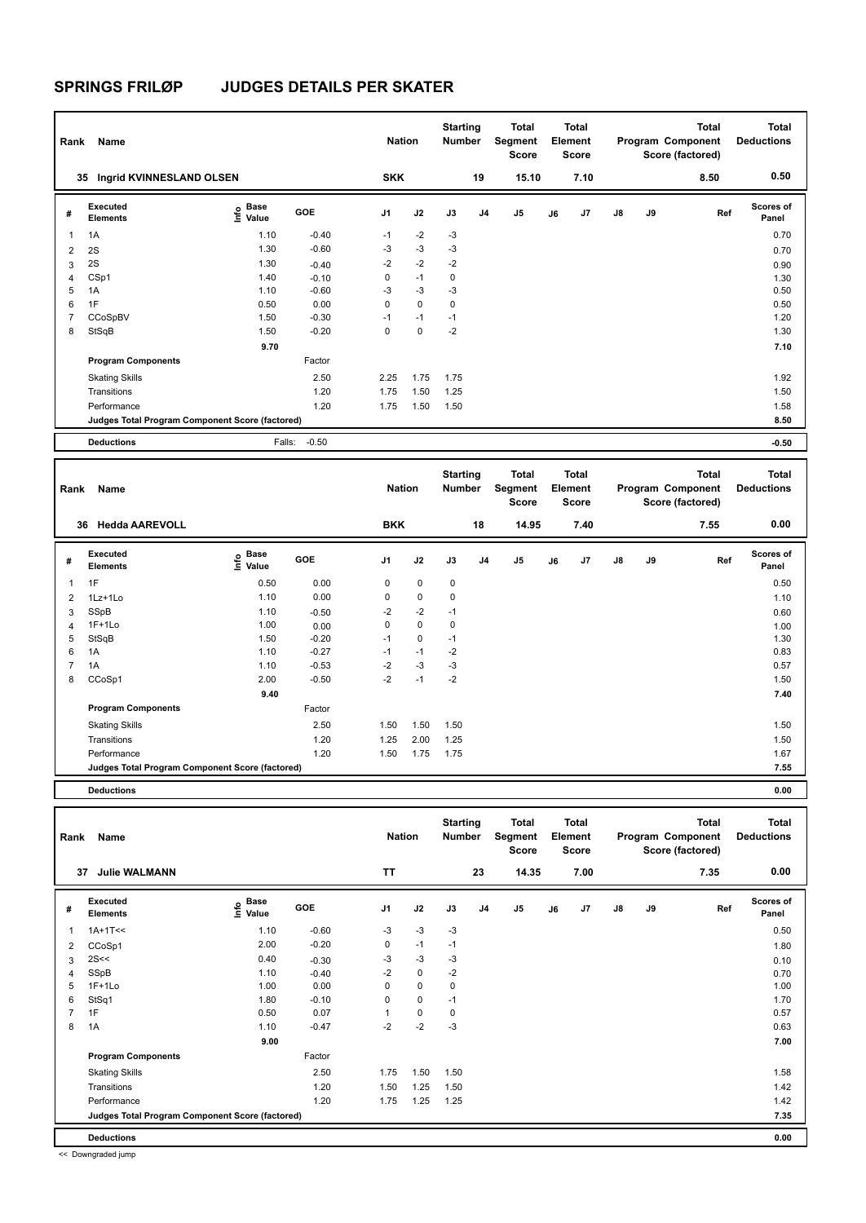| Rank           | Name                                            |                                  |            | <b>Nation</b>  |             | <b>Starting</b><br><b>Number</b> |    | Total<br>Segment<br><b>Score</b> |    | <b>Total</b><br>Element<br>Score |               |    | <b>Total</b><br>Program Component<br>Score (factored) | <b>Total</b><br><b>Deductions</b> |
|----------------|-------------------------------------------------|----------------------------------|------------|----------------|-------------|----------------------------------|----|----------------------------------|----|----------------------------------|---------------|----|-------------------------------------------------------|-----------------------------------|
|                | Ingrid KVINNESLAND OLSEN<br>35                  |                                  |            | <b>SKK</b>     |             |                                  | 19 | 15.10                            |    | 7.10                             |               |    | 8.50                                                  | 0.50                              |
| #              | Executed<br><b>Elements</b>                     | <b>Base</b><br>e Base<br>⊆ Value | <b>GOE</b> | J <sub>1</sub> | J2          | J3                               | J4 | J5                               | J6 | J <sub>7</sub>                   | $\mathsf{J}8$ | J9 | Ref                                                   | <b>Scores of</b><br>Panel         |
| 1              | 1A                                              | 1.10                             | $-0.40$    | $-1$           | $-2$        | $-3$                             |    |                                  |    |                                  |               |    |                                                       | 0.70                              |
| 2              | 2S                                              | 1.30                             | $-0.60$    | $-3$           | $-3$        | $-3$                             |    |                                  |    |                                  |               |    |                                                       | 0.70                              |
| 3              | 2S                                              | 1.30                             | $-0.40$    | $-2$           | $-2$        | $-2$                             |    |                                  |    |                                  |               |    |                                                       | 0.90                              |
| 4              | CSp1                                            | 1.40                             | $-0.10$    | 0              | $-1$        | 0                                |    |                                  |    |                                  |               |    |                                                       | 1.30                              |
| 5              | 1A                                              | 1.10                             | $-0.60$    | $-3$           | $-3$        | $-3$                             |    |                                  |    |                                  |               |    |                                                       | 0.50                              |
| 6              | 1F                                              | 0.50                             | 0.00       | $\mathbf 0$    | $\mathbf 0$ | $\mathbf 0$                      |    |                                  |    |                                  |               |    |                                                       | 0.50                              |
| $\overline{7}$ | CCoSpBV                                         | 1.50                             | $-0.30$    | $-1$           | $-1$        | $-1$                             |    |                                  |    |                                  |               |    |                                                       | 1.20                              |
| 8              | StSqB                                           | 1.50                             | $-0.20$    | $\mathbf 0$    | $\mathbf 0$ | $-2$                             |    |                                  |    |                                  |               |    |                                                       | 1.30                              |
|                |                                                 | 9.70                             |            |                |             |                                  |    |                                  |    |                                  |               |    |                                                       | 7.10                              |
|                | <b>Program Components</b>                       |                                  | Factor     |                |             |                                  |    |                                  |    |                                  |               |    |                                                       |                                   |
|                | <b>Skating Skills</b>                           |                                  | 2.50       | 2.25           | 1.75        | 1.75                             |    |                                  |    |                                  |               |    |                                                       | 1.92                              |
|                | Transitions                                     |                                  | 1.20       | 1.75           | 1.50        | 1.25                             |    |                                  |    |                                  |               |    |                                                       | 1.50                              |
|                | Performance                                     |                                  | 1.20       | 1.75           | 1.50        | 1.50                             |    |                                  |    |                                  |               |    |                                                       | 1.58                              |
|                | Judges Total Program Component Score (factored) |                                  |            |                |             |                                  |    |                                  |    |                                  |               |    |                                                       | 8.50                              |
|                | <b>Deductions</b>                               | Falls:                           | $-0.50$    |                |             |                                  |    |                                  |    |                                  |               |    |                                                       | $-0.50$                           |

| Rank           | Name                                            |                           |         | <b>Nation</b>  |             | <b>Starting</b><br><b>Number</b> |                | Total<br>Segment<br>Score |    | Total<br>Element<br>Score |               |    | Total<br>Program Component<br>Score (factored) | <b>Total</b><br><b>Deductions</b> |
|----------------|-------------------------------------------------|---------------------------|---------|----------------|-------------|----------------------------------|----------------|---------------------------|----|---------------------------|---------------|----|------------------------------------------------|-----------------------------------|
| 36             | <b>Hedda AAREVOLL</b>                           |                           |         | <b>BKK</b>     |             |                                  | 18             | 14.95                     |    | 7.40                      |               |    | 7.55                                           | 0.00                              |
| #              | Executed<br><b>Elements</b>                     | Base<br>e Base<br>⊆ Value | GOE     | J <sub>1</sub> | J2          | J3                               | J <sub>4</sub> | J <sub>5</sub>            | J6 | J <sub>7</sub>            | $\mathsf{J}8$ | J9 | Ref                                            | <b>Scores of</b><br>Panel         |
| 1              | 1F                                              | 0.50                      | 0.00    | 0              | $\mathbf 0$ | 0                                |                |                           |    |                           |               |    |                                                | 0.50                              |
| 2              | 1Lz+1Lo                                         | 1.10                      | 0.00    | 0              | $\mathbf 0$ | 0                                |                |                           |    |                           |               |    |                                                | 1.10                              |
| 3              | SSpB                                            | 1.10                      | $-0.50$ | $-2$           | $-2$        | $-1$                             |                |                           |    |                           |               |    |                                                | 0.60                              |
| $\overline{4}$ | $1F+1Lo$                                        | 1.00                      | 0.00    | 0              | $\mathbf 0$ | 0                                |                |                           |    |                           |               |    |                                                | 1.00                              |
| 5              | StSqB                                           | 1.50                      | $-0.20$ | $-1$           | 0           | $-1$                             |                |                           |    |                           |               |    |                                                | 1.30                              |
| 6              | 1A                                              | 1.10                      | $-0.27$ | $-1$           | $-1$        | $-2$                             |                |                           |    |                           |               |    |                                                | 0.83                              |
| $\overline{7}$ | 1A                                              | 1.10                      | $-0.53$ | $-2$           | $-3$        | $-3$                             |                |                           |    |                           |               |    |                                                | 0.57                              |
| 8              | CCoSp1                                          | 2.00                      | $-0.50$ | $-2$           | $-1$        | $-2$                             |                |                           |    |                           |               |    |                                                | 1.50                              |
|                |                                                 | 9.40                      |         |                |             |                                  |                |                           |    |                           |               |    |                                                | 7.40                              |
|                | <b>Program Components</b>                       |                           | Factor  |                |             |                                  |                |                           |    |                           |               |    |                                                |                                   |
|                | <b>Skating Skills</b>                           |                           | 2.50    | 1.50           | 1.50        | 1.50                             |                |                           |    |                           |               |    |                                                | 1.50                              |
|                | Transitions                                     |                           | 1.20    | 1.25           | 2.00        | 1.25                             |                |                           |    |                           |               |    |                                                | 1.50                              |
|                | Performance                                     |                           | 1.20    | 1.50           | 1.75        | 1.75                             |                |                           |    |                           |               |    |                                                | 1.67                              |
|                | Judges Total Program Component Score (factored) |                           |         |                |             |                                  |                |                           |    |                           |               |    |                                                | 7.55                              |
|                |                                                 |                           |         |                |             |                                  |                |                           |    |                           |               |    |                                                |                                   |

**Deductions 0.00**

| Rank           | Name                                            |                                  |         | <b>Nation</b>  |             | <b>Starting</b><br><b>Number</b> |                | <b>Total</b><br>Segment<br><b>Score</b> |    | <b>Total</b><br>Element<br><b>Score</b> |               |    | <b>Total</b><br>Program Component<br>Score (factored) | <b>Total</b><br><b>Deductions</b> |  |
|----------------|-------------------------------------------------|----------------------------------|---------|----------------|-------------|----------------------------------|----------------|-----------------------------------------|----|-----------------------------------------|---------------|----|-------------------------------------------------------|-----------------------------------|--|
|                | <b>Julie WALMANN</b><br>37                      |                                  |         | <b>TT</b>      |             |                                  | 23             | 14.35                                   |    | 7.00                                    |               |    | 7.35                                                  | 0.00                              |  |
| #              | Executed<br><b>Elements</b>                     | <b>Base</b><br>e Base<br>⊆ Value | GOE     | J <sub>1</sub> | J2          | J3                               | J <sub>4</sub> | J <sub>5</sub>                          | J6 | J7                                      | $\mathsf{J}8$ | J9 | Ref                                                   | <b>Scores of</b><br>Panel         |  |
| 1              | $1A+1T<<$                                       | 1.10                             | $-0.60$ | $-3$           | $-3$        | $-3$                             |                |                                         |    |                                         |               |    |                                                       | 0.50                              |  |
| 2              | CCoSp1                                          | 2.00                             | $-0.20$ | 0              | $-1$        | $-1$                             |                |                                         |    |                                         |               |    |                                                       | 1.80                              |  |
| 3              | 2S<<                                            | 0.40                             | $-0.30$ | $-3$           | $-3$        | $-3$                             |                |                                         |    |                                         |               |    |                                                       | 0.10                              |  |
| 4              | SSpB                                            | 1.10                             | $-0.40$ | $-2$           | $\mathbf 0$ | $-2$                             |                |                                         |    |                                         |               |    |                                                       | 0.70                              |  |
| 5              | $1F+1Lo$                                        | 1.00                             | 0.00    | 0              | $\mathbf 0$ | 0                                |                |                                         |    |                                         |               |    |                                                       | 1.00                              |  |
| 6              | StSq1                                           | 1.80                             | $-0.10$ | 0              | $\mathbf 0$ | $-1$                             |                |                                         |    |                                         |               |    |                                                       | 1.70                              |  |
| $\overline{7}$ | 1F                                              | 0.50                             | 0.07    | 1              | $\mathbf 0$ | 0                                |                |                                         |    |                                         |               |    |                                                       | 0.57                              |  |
| 8              | 1A                                              | 1.10                             | $-0.47$ | $-2$           | $-2$        | $-3$                             |                |                                         |    |                                         |               |    |                                                       | 0.63                              |  |
|                |                                                 | 9.00                             |         |                |             |                                  |                |                                         |    |                                         |               |    |                                                       | 7.00                              |  |
|                | <b>Program Components</b>                       |                                  | Factor  |                |             |                                  |                |                                         |    |                                         |               |    |                                                       |                                   |  |
|                | <b>Skating Skills</b>                           |                                  | 2.50    | 1.75           | 1.50        | 1.50                             |                |                                         |    |                                         |               |    |                                                       | 1.58                              |  |
|                | Transitions                                     |                                  | 1.20    | 1.50           | 1.25        | 1.50                             |                |                                         |    |                                         |               |    |                                                       | 1.42                              |  |
|                | Performance                                     |                                  | 1.20    | 1.75           | 1.25        | 1.25                             |                |                                         |    |                                         |               |    |                                                       | 1.42                              |  |
|                | Judges Total Program Component Score (factored) |                                  |         |                |             |                                  |                |                                         |    |                                         |               |    |                                                       | 7.35                              |  |
|                | <b>Deductions</b>                               |                                  |         |                |             |                                  |                |                                         |    |                                         |               |    |                                                       | 0.00                              |  |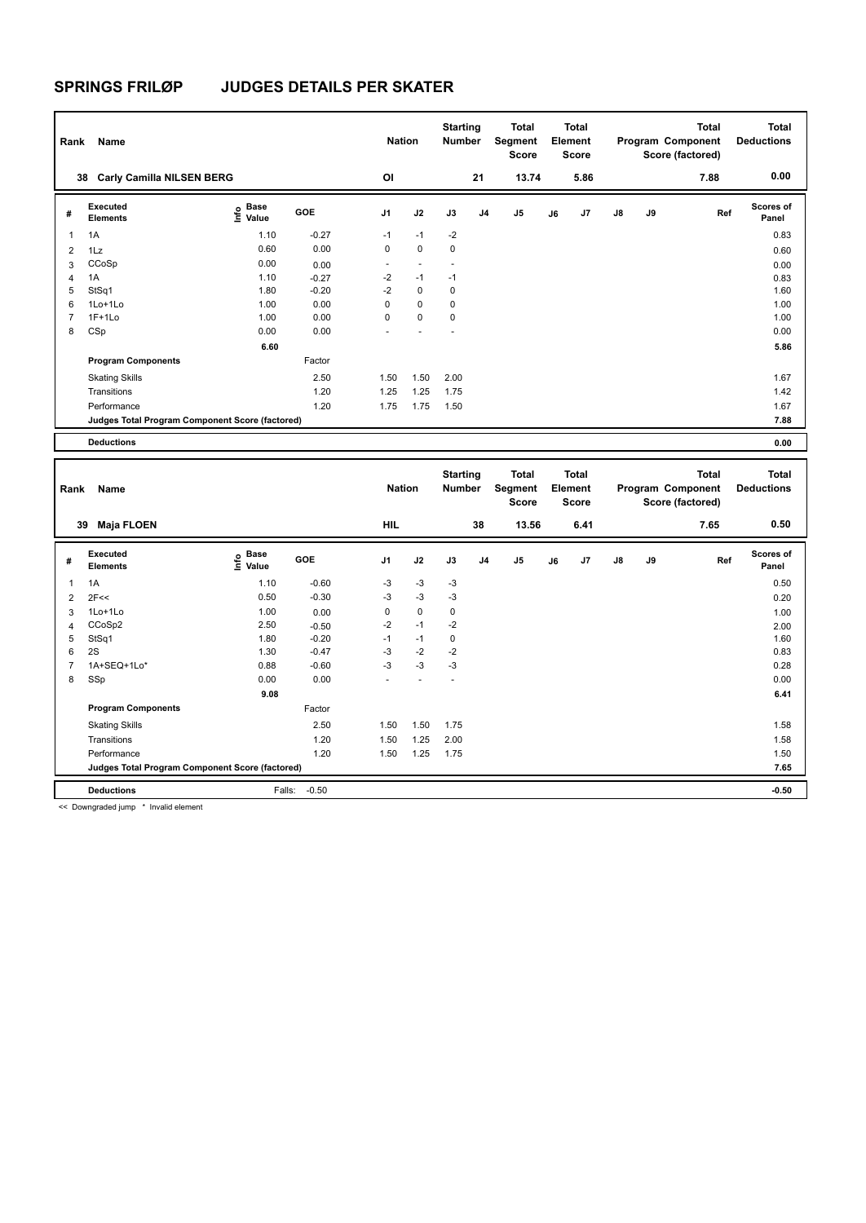|                | Name<br>Rank                                    |                                  |            |                          |                | <b>Starting</b><br><b>Number</b> |                | Total<br>Segment<br><b>Score</b> | <b>Total</b><br>Element<br><b>Score</b> |                |               |    | <b>Total</b><br>Program Component<br>Score (factored) | <b>Total</b><br><b>Deductions</b> |
|----------------|-------------------------------------------------|----------------------------------|------------|--------------------------|----------------|----------------------------------|----------------|----------------------------------|-----------------------------------------|----------------|---------------|----|-------------------------------------------------------|-----------------------------------|
|                | <b>Carly Camilla NILSEN BERG</b><br>38          |                                  |            | OI                       |                |                                  | 21             | 13.74                            |                                         | 5.86           |               |    | 7.88                                                  | 0.00                              |
| #              | Executed<br><b>Elements</b>                     | <b>Base</b><br>e Base<br>⊆ Value | <b>GOE</b> | J <sub>1</sub>           | J2             | J3                               | J <sub>4</sub> | J <sub>5</sub>                   | J6                                      | J <sub>7</sub> | $\mathsf{J}8$ | J9 | Ref                                                   | Scores of<br>Panel                |
| 1              | 1A                                              | 1.10                             | $-0.27$    | $-1$                     | $-1$           | $-2$                             |                |                                  |                                         |                |               |    |                                                       | 0.83                              |
| $\overline{2}$ | 1Lz                                             | 0.60                             | 0.00       | 0                        | $\mathbf 0$    | 0                                |                |                                  |                                         |                |               |    |                                                       | 0.60                              |
| 3              | CCoSp                                           | 0.00                             | 0.00       | $\overline{\phantom{a}}$ | $\overline{a}$ | $\overline{a}$                   |                |                                  |                                         |                |               |    |                                                       | 0.00                              |
| 4              | 1A                                              | 1.10                             | $-0.27$    | $-2$                     | $-1$           | $-1$                             |                |                                  |                                         |                |               |    |                                                       | 0.83                              |
| 5              | StSq1                                           | 1.80                             | $-0.20$    | $-2$                     | $\mathbf 0$    | 0                                |                |                                  |                                         |                |               |    |                                                       | 1.60                              |
| 6              | $1$ Lo $+1$ Lo                                  | 1.00                             | 0.00       | 0                        | $\mathbf 0$    | 0                                |                |                                  |                                         |                |               |    |                                                       | 1.00                              |
| $\overline{7}$ | $1F+1Lo$                                        | 1.00                             | 0.00       | 0                        | $\mathbf 0$    | $\mathbf 0$                      |                |                                  |                                         |                |               |    |                                                       | 1.00                              |
| 8              | CSp                                             | 0.00                             | 0.00       |                          |                |                                  |                |                                  |                                         |                |               |    |                                                       | 0.00                              |
|                |                                                 | 6.60                             |            |                          |                |                                  |                |                                  |                                         |                |               |    |                                                       | 5.86                              |
|                | <b>Program Components</b>                       |                                  | Factor     |                          |                |                                  |                |                                  |                                         |                |               |    |                                                       |                                   |
|                | <b>Skating Skills</b>                           |                                  | 2.50       | 1.50                     | 1.50           | 2.00                             |                |                                  |                                         |                |               |    |                                                       | 1.67                              |
|                | Transitions                                     |                                  | 1.20       | 1.25                     | 1.25           | 1.75                             |                |                                  |                                         |                |               |    |                                                       | 1.42                              |
|                | Performance                                     |                                  | 1.20       | 1.75                     | 1.75           | 1.50                             |                |                                  |                                         |                |               |    |                                                       | 1.67                              |
|                | Judges Total Program Component Score (factored) |                                  |            |                          |                |                                  |                |                                  |                                         |                |               |    |                                                       | 7.88                              |
|                | <b>Deductions</b>                               |                                  |            |                          |                |                                  |                |                                  |                                         |                |               |    |                                                       | 0.00                              |

**Total Deductions Total Program Component Score (factored) Total Element Score Total Segment Score Starting Rank Name Nation Number # Executed Elements Base Value GOE J1 J2 J3 J4 J5 J6 J7 J8 J9 Scores of Panel** 1 1A 1A 1.10 -0.60 -3 -3 -3 **Ref**  1A 0.50 **Info 39 Maja FLOEN HIL 38 13.56 6.41 7.65 0.50** 2 2F<< 0.50  $-0.30$   $-3$   $-3$   $-3$   $-3$   $-3$   $-1.30$   $0.20$ 3 1Lo+1Lo 1.00 0.00 0 0 0 1.00 4 CCoSp2 2.50 -0.50 -2 -1 -2 2.00 5 StSq1 1.80 -0.20 -1 -1 0 1.60  $6 \quad 2S$  1.30  $-0.47$   $-3$   $-2$   $-2$ 7 1A+SEQ+1Lo\* 0.88 -0.60 -3 -3 -3 0.28 8 SSp 0.00 0.00 - - - 0.00  **9.08 6.41 Program Components**  Skating Skills 1.50 1.75 Factor 2.50 1.50 1.50 1.75 1.75 1.58 1.58 Transitions 1.20 1.50 1.25 2.00 1.58 Performance 1.20 1.50 1.25 1.75 1.50 **Deductions** Falls: -0.50 **-0.50 Judges Total Program Component Score (factored) 7.65**

<< Downgraded jump \* Invalid element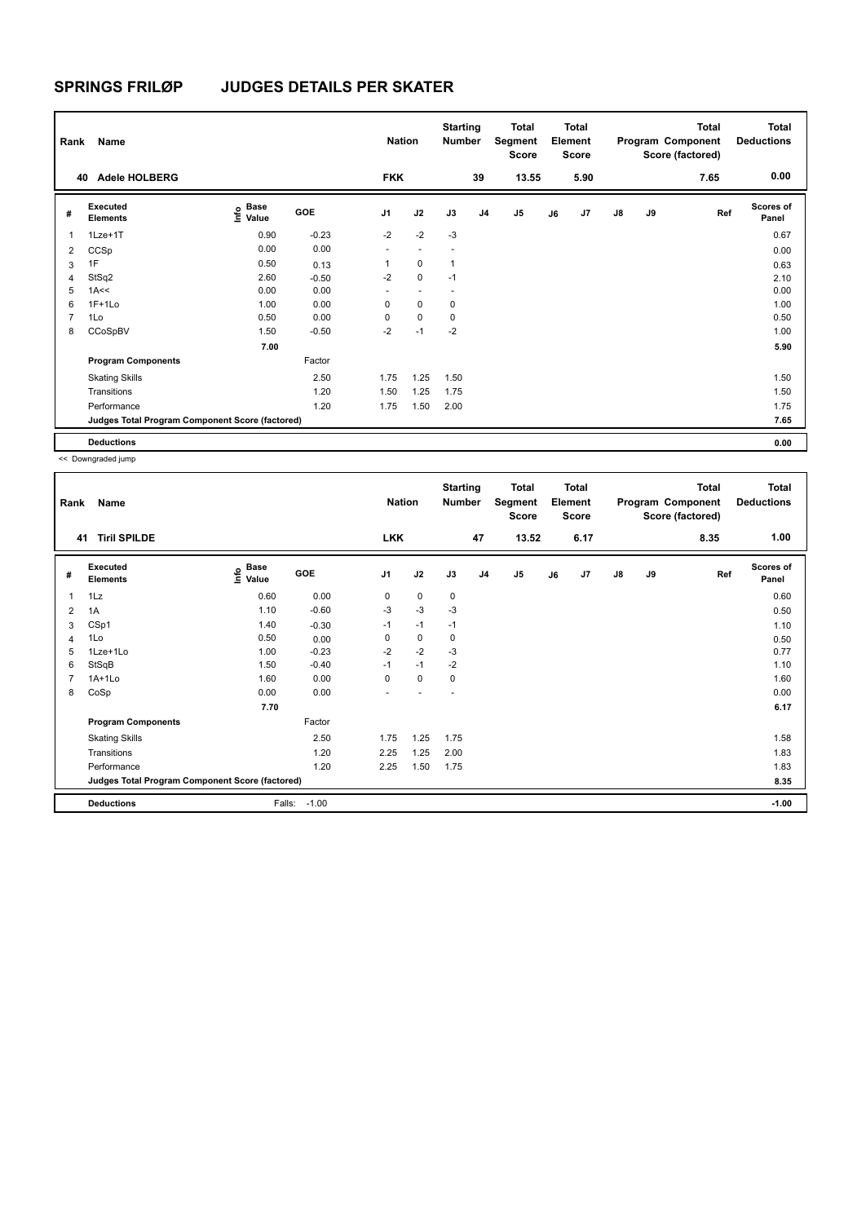| Rank           | Name                                            |                              |            | <b>Nation</b>  |             | <b>Starting</b><br><b>Number</b> |                | <b>Total</b><br>Segment<br><b>Score</b> |    | <b>Total</b><br>Element<br><b>Score</b> |               |    | <b>Total</b><br>Program Component<br>Score (factored) | <b>Total</b><br><b>Deductions</b> |
|----------------|-------------------------------------------------|------------------------------|------------|----------------|-------------|----------------------------------|----------------|-----------------------------------------|----|-----------------------------------------|---------------|----|-------------------------------------------------------|-----------------------------------|
| 40             | <b>Adele HOLBERG</b>                            |                              |            | <b>FKK</b>     |             |                                  | 39             | 13.55                                   |    | 5.90                                    |               |    | 7.65                                                  | 0.00                              |
| #              | Executed<br><b>Elements</b>                     | <b>Base</b><br>Info<br>Value | <b>GOE</b> | J <sub>1</sub> | J2          | J3                               | J <sub>4</sub> | J <sub>5</sub>                          | J6 | J7                                      | $\mathsf{J}8$ | J9 | Ref                                                   | <b>Scores of</b><br>Panel         |
|                | $1$ Lze $+1$ T                                  | 0.90                         | $-0.23$    | $-2$           | $-2$        | $-3$                             |                |                                         |    |                                         |               |    |                                                       | 0.67                              |
| 2              | CCSp                                            | 0.00                         | 0.00       | ٠              | ٠           | $\overline{\phantom{a}}$         |                |                                         |    |                                         |               |    |                                                       | 0.00                              |
| 3              | 1F                                              | 0.50                         | 0.13       | 1              | $\mathbf 0$ | $\overline{1}$                   |                |                                         |    |                                         |               |    |                                                       | 0.63                              |
| 4              | StSq2                                           | 2.60                         | $-0.50$    | -2             | $\mathbf 0$ | $-1$                             |                |                                         |    |                                         |               |    |                                                       | 2.10                              |
| 5              | 1A<<                                            | 0.00                         | 0.00       | ۰              | ٠           | $\overline{\phantom{a}}$         |                |                                         |    |                                         |               |    |                                                       | 0.00                              |
| 6              | $1F+1Lo$                                        | 1.00                         | 0.00       | 0              | $\mathbf 0$ | 0                                |                |                                         |    |                                         |               |    |                                                       | 1.00                              |
| $\overline{7}$ | 1Lo                                             | 0.50                         | 0.00       | 0              | $\mathbf 0$ | 0                                |                |                                         |    |                                         |               |    |                                                       | 0.50                              |
| 8              | CCoSpBV                                         | 1.50                         | $-0.50$    | $-2$           | $-1$        | $-2$                             |                |                                         |    |                                         |               |    |                                                       | 1.00                              |
|                |                                                 | 7.00                         |            |                |             |                                  |                |                                         |    |                                         |               |    |                                                       | 5.90                              |
|                | <b>Program Components</b>                       |                              | Factor     |                |             |                                  |                |                                         |    |                                         |               |    |                                                       |                                   |
|                | <b>Skating Skills</b>                           |                              | 2.50       | 1.75           | 1.25        | 1.50                             |                |                                         |    |                                         |               |    |                                                       | 1.50                              |
|                | Transitions                                     |                              | 1.20       | 1.50           | 1.25        | 1.75                             |                |                                         |    |                                         |               |    |                                                       | 1.50                              |
|                | Performance                                     |                              | 1.20       | 1.75           | 1.50        | 2.00                             |                |                                         |    |                                         |               |    |                                                       | 1.75                              |
|                | Judges Total Program Component Score (factored) |                              |            |                |             |                                  |                |                                         |    |                                         |               |    |                                                       | 7.65                              |
|                | <b>Deductions</b>                               |                              |            |                |             |                                  |                |                                         |    |                                         |               |    |                                                       | 0.00                              |

| Rank | Name                                            |                                                  |         | <b>Nation</b>  |             | <b>Starting</b><br>Number |                | <b>Total</b><br>Segment<br><b>Score</b> |    | <b>Total</b><br>Element<br><b>Score</b> |               |    | <b>Total</b><br>Program Component<br>Score (factored) | <b>Total</b><br><b>Deductions</b> |
|------|-------------------------------------------------|--------------------------------------------------|---------|----------------|-------------|---------------------------|----------------|-----------------------------------------|----|-----------------------------------------|---------------|----|-------------------------------------------------------|-----------------------------------|
| 41   | <b>Tiril SPILDE</b>                             |                                                  |         | <b>LKK</b>     |             |                           | 47             | 13.52                                   |    | 6.17                                    |               |    | 8.35                                                  | 1.00                              |
| #    | <b>Executed</b><br><b>Elements</b>              | <b>Base</b><br>$\mathop{\mathsf{Info}}$<br>Value | GOE     | J <sub>1</sub> | J2          | J3                        | J <sub>4</sub> | J5                                      | J6 | J7                                      | $\mathsf{J}8$ | J9 | Ref                                                   | <b>Scores of</b><br>Panel         |
| 1    | 1Lz                                             | 0.60                                             | 0.00    | 0              | $\mathbf 0$ | $\mathbf 0$               |                |                                         |    |                                         |               |    |                                                       | 0.60                              |
| 2    | 1A                                              | 1.10                                             | $-0.60$ | $-3$           | $-3$        | $-3$                      |                |                                         |    |                                         |               |    |                                                       | 0.50                              |
| 3    | CSp1                                            | 1.40                                             | $-0.30$ | $-1$           | $-1$        | $-1$                      |                |                                         |    |                                         |               |    |                                                       | 1.10                              |
| 4    | 1Lo                                             | 0.50                                             | 0.00    | 0              | 0           | 0                         |                |                                         |    |                                         |               |    |                                                       | 0.50                              |
| 5    | 1Lze+1Lo                                        | 1.00                                             | $-0.23$ | $-2$           | $-2$        | $-3$                      |                |                                         |    |                                         |               |    |                                                       | 0.77                              |
| 6    | StSqB                                           | 1.50                                             | $-0.40$ | $-1$           | $-1$        | $-2$                      |                |                                         |    |                                         |               |    |                                                       | 1.10                              |
| 7    | $1A+1Lo$                                        | 1.60                                             | 0.00    | $\Omega$       | 0           | $\mathbf 0$               |                |                                         |    |                                         |               |    |                                                       | 1.60                              |
| 8    | CoSp                                            | 0.00                                             | 0.00    |                |             |                           |                |                                         |    |                                         |               |    |                                                       | 0.00                              |
|      |                                                 | 7.70                                             |         |                |             |                           |                |                                         |    |                                         |               |    |                                                       | 6.17                              |
|      | <b>Program Components</b>                       |                                                  | Factor  |                |             |                           |                |                                         |    |                                         |               |    |                                                       |                                   |
|      | <b>Skating Skills</b>                           |                                                  | 2.50    | 1.75           | 1.25        | 1.75                      |                |                                         |    |                                         |               |    |                                                       | 1.58                              |
|      | Transitions                                     |                                                  | 1.20    | 2.25           | 1.25        | 2.00                      |                |                                         |    |                                         |               |    |                                                       | 1.83                              |
|      | Performance                                     |                                                  | 1.20    | 2.25           | 1.50        | 1.75                      |                |                                         |    |                                         |               |    |                                                       | 1.83                              |
|      | Judges Total Program Component Score (factored) |                                                  |         |                |             |                           |                |                                         |    |                                         |               |    |                                                       | 8.35                              |
|      | <b>Deductions</b>                               | Falls:                                           | $-1.00$ |                |             |                           |                |                                         |    |                                         |               |    |                                                       | $-1.00$                           |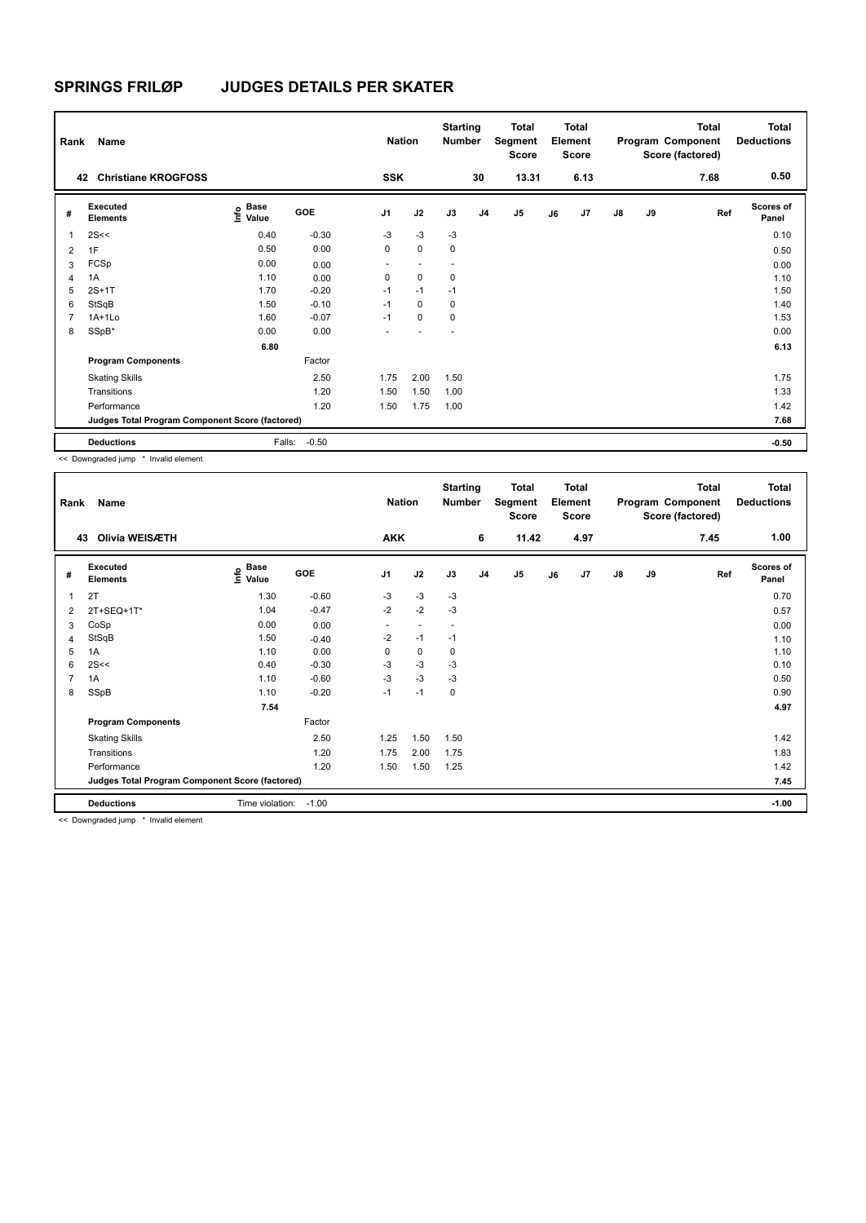| Rank           | Name                                            |                                      |         | <b>Nation</b>  |                          | <b>Starting</b><br><b>Number</b> |                | <b>Total</b><br>Segment<br>Score |    | <b>Total</b><br>Element<br><b>Score</b> |               |    | <b>Total</b><br>Program Component<br>Score (factored) | <b>Total</b><br><b>Deductions</b> |
|----------------|-------------------------------------------------|--------------------------------------|---------|----------------|--------------------------|----------------------------------|----------------|----------------------------------|----|-----------------------------------------|---------------|----|-------------------------------------------------------|-----------------------------------|
| 42             | <b>Christiane KROGFOSS</b>                      |                                      |         | <b>SSK</b>     |                          |                                  | 30             | 13.31                            |    | 6.13                                    |               |    | 7.68                                                  | 0.50                              |
| #              | <b>Executed</b><br><b>Elements</b>              | Base<br>e <sup>Base</sup><br>⊆ Value | GOE     | J <sub>1</sub> | J2                       | J3                               | J <sub>4</sub> | J <sub>5</sub>                   | J6 | J7                                      | $\mathsf{J}8$ | J9 | Ref                                                   | <b>Scores of</b><br>Panel         |
| 1              | 2S<<                                            | 0.40                                 | $-0.30$ | $-3$           | $-3$                     | $-3$                             |                |                                  |    |                                         |               |    |                                                       | 0.10                              |
| $\overline{2}$ | 1F                                              | 0.50                                 | 0.00    | 0              | $\mathbf 0$              | 0                                |                |                                  |    |                                         |               |    |                                                       | 0.50                              |
| 3              | FCSp                                            | 0.00                                 | 0.00    | ٠              | $\overline{\phantom{a}}$ | $\blacksquare$                   |                |                                  |    |                                         |               |    |                                                       | 0.00                              |
| 4              | 1A                                              | 1.10                                 | 0.00    | 0              | $\mathbf 0$              | 0                                |                |                                  |    |                                         |               |    |                                                       | 1.10                              |
| 5              | $2S+1T$                                         | 1.70                                 | $-0.20$ | $-1$           | $-1$                     | $-1$                             |                |                                  |    |                                         |               |    |                                                       | 1.50                              |
| 6              | StSqB                                           | 1.50                                 | $-0.10$ | $-1$           | $\Omega$                 | 0                                |                |                                  |    |                                         |               |    |                                                       | 1.40                              |
| $\overline{7}$ | $1A+1Lo$                                        | 1.60                                 | $-0.07$ | $-1$           | $\mathbf 0$              | $\mathbf 0$                      |                |                                  |    |                                         |               |    |                                                       | 1.53                              |
| 8              | SSpB*                                           | 0.00                                 | 0.00    |                |                          | ٠                                |                |                                  |    |                                         |               |    |                                                       | 0.00                              |
|                |                                                 | 6.80                                 |         |                |                          |                                  |                |                                  |    |                                         |               |    |                                                       | 6.13                              |
|                | <b>Program Components</b>                       |                                      | Factor  |                |                          |                                  |                |                                  |    |                                         |               |    |                                                       |                                   |
|                | <b>Skating Skills</b>                           |                                      | 2.50    | 1.75           | 2.00                     | 1.50                             |                |                                  |    |                                         |               |    |                                                       | 1.75                              |
|                | Transitions                                     |                                      | 1.20    | 1.50           | 1.50                     | 1.00                             |                |                                  |    |                                         |               |    |                                                       | 1.33                              |
|                | Performance                                     |                                      | 1.20    | 1.50           | 1.75                     | 1.00                             |                |                                  |    |                                         |               |    |                                                       | 1.42                              |
|                | Judges Total Program Component Score (factored) |                                      |         |                |                          |                                  |                |                                  |    |                                         |               |    |                                                       | 7.68                              |
|                | <b>Deductions</b>                               | Falls:                               | $-0.50$ |                |                          |                                  |                |                                  |    |                                         |               |    |                                                       | $-0.50$                           |

<< Downgraded jump \* Invalid element

| Rank | Name                                                    |                                  |         | <b>Nation</b>  |                          | <b>Starting</b><br>Number |                | <b>Total</b><br>Segment<br><b>Score</b> |    | <b>Total</b><br>Element<br><b>Score</b> |               |    | <b>Total</b><br>Program Component<br>Score (factored) | <b>Total</b><br><b>Deductions</b> |
|------|---------------------------------------------------------|----------------------------------|---------|----------------|--------------------------|---------------------------|----------------|-----------------------------------------|----|-----------------------------------------|---------------|----|-------------------------------------------------------|-----------------------------------|
| 43   | Olivia WEISÆTH                                          |                                  |         | <b>AKK</b>     |                          |                           | 6              | 11.42                                   |    | 4.97                                    |               |    | 7.45                                                  | 1.00                              |
| #    | <b>Executed</b><br><b>Elements</b>                      | <b>Base</b><br>e Base<br>⊆ Value | GOE     | J <sub>1</sub> | J2                       | J3                        | J <sub>4</sub> | J5                                      | J6 | J7                                      | $\mathsf{J}8$ | J9 | Ref                                                   | <b>Scores of</b><br>Panel         |
| 1    | 2T                                                      | 1.30                             | $-0.60$ | $-3$           | $-3$                     | $-3$                      |                |                                         |    |                                         |               |    |                                                       | 0.70                              |
| 2    | 2T+SEQ+1T*                                              | 1.04                             | $-0.47$ | $-2$           | $-2$                     | $-3$                      |                |                                         |    |                                         |               |    |                                                       | 0.57                              |
| 3    | CoSp                                                    | 0.00                             | 0.00    | ٠              | $\overline{\phantom{a}}$ | $\overline{\phantom{a}}$  |                |                                         |    |                                         |               |    |                                                       | 0.00                              |
| 4    | StSqB                                                   | 1.50                             | $-0.40$ | $-2$           | $-1$                     | $-1$                      |                |                                         |    |                                         |               |    |                                                       | 1.10                              |
| 5    | 1A                                                      | 1.10                             | 0.00    | 0              | 0                        | 0                         |                |                                         |    |                                         |               |    |                                                       | 1.10                              |
| 6    | 2S<<                                                    | 0.40                             | $-0.30$ | $-3$           | -3                       | -3                        |                |                                         |    |                                         |               |    |                                                       | 0.10                              |
| 7    | 1A                                                      | 1.10                             | $-0.60$ | $-3$           | $-3$                     | -3                        |                |                                         |    |                                         |               |    |                                                       | 0.50                              |
| 8    | SSpB                                                    | 1.10                             | $-0.20$ | $-1$           | $-1$                     | 0                         |                |                                         |    |                                         |               |    |                                                       | 0.90                              |
|      |                                                         | 7.54                             |         |                |                          |                           |                |                                         |    |                                         |               |    |                                                       | 4.97                              |
|      | <b>Program Components</b>                               |                                  | Factor  |                |                          |                           |                |                                         |    |                                         |               |    |                                                       |                                   |
|      | <b>Skating Skills</b>                                   |                                  | 2.50    | 1.25           | 1.50                     | 1.50                      |                |                                         |    |                                         |               |    |                                                       | 1.42                              |
|      | Transitions                                             |                                  | 1.20    | 1.75           | 2.00                     | 1.75                      |                |                                         |    |                                         |               |    |                                                       | 1.83                              |
|      | Performance                                             |                                  | 1.20    | 1.50           | 1.50                     | 1.25                      |                |                                         |    |                                         |               |    |                                                       | 1.42                              |
|      | Judges Total Program Component Score (factored)         |                                  |         |                |                          |                           |                |                                         |    |                                         |               |    |                                                       | 7.45                              |
|      | <b>Deductions</b>                                       | Time violation:                  | $-1.00$ |                |                          |                           |                |                                         |    |                                         |               |    |                                                       | $-1.00$                           |
|      | and Process associated formers. Williams References and |                                  |         |                |                          |                           |                |                                         |    |                                         |               |    |                                                       |                                   |

<< Downgraded jump \* Invalid element